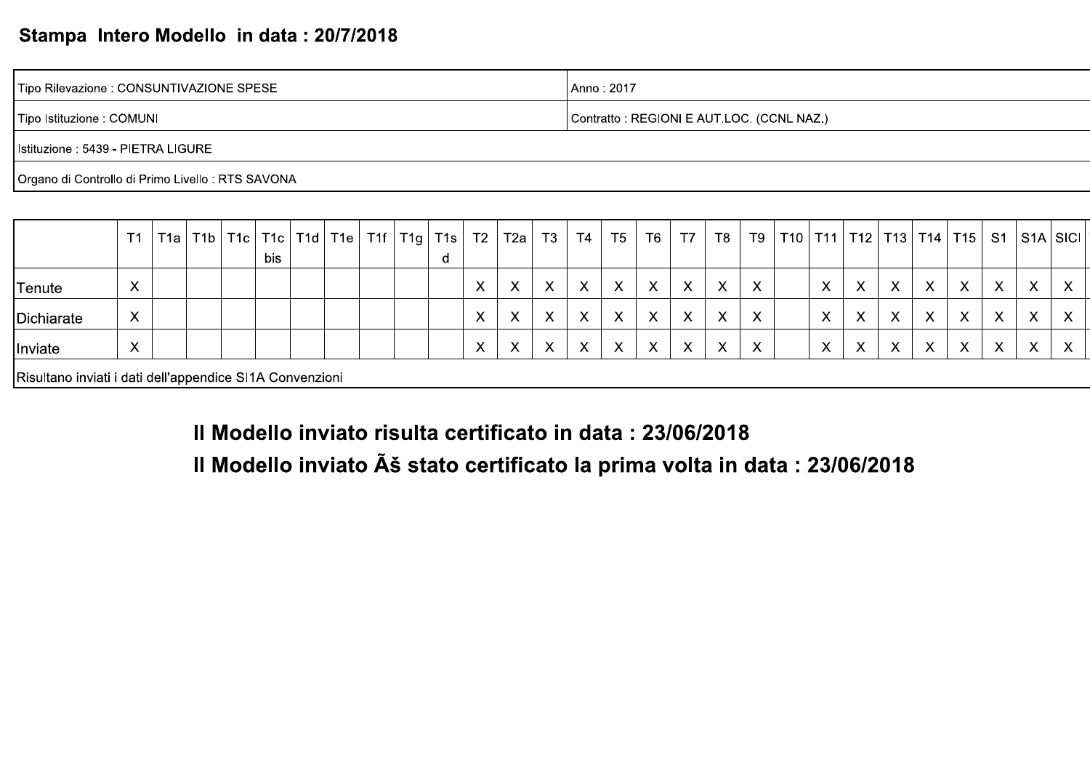### Stampa Intero Modello in data: 20/7/2018

Tipo Rilevazione : CONSUNTIVAZIONE SPESE Anno: 2017 Tipo Istituzione : COMUNI Contratto: REGIONI E AUT.LOC. (CCNL NAZ.)

Istituzione : 5439 - PIETRA LIGURE

Organo di Controllo di Primo Livello : RTS SAVONA

|            | T <sub>1</sub>            | T1a | T1b | bis | $T1c$   T1c   T1d | T1e | T1f | $TIg$   T1s | T <sub>2</sub>            | T2a | T <sub>3</sub> | T4           | T <sub>5</sub>            | T <sub>6</sub>            | <b>T7</b>                 | T8 | T9                        | T10 | T <sub>11</sub>   | $\vert$ T12 $\vert$ | T13          | T14                                  | T15          | S <sub>1</sub> |                           | S1A S1C                   |
|------------|---------------------------|-----|-----|-----|-------------------|-----|-----|-------------|---------------------------|-----|----------------|--------------|---------------------------|---------------------------|---------------------------|----|---------------------------|-----|-------------------|---------------------|--------------|--------------------------------------|--------------|----------------|---------------------------|---------------------------|
| Tenute     | X                         |     |     |     |                   |     |     |             | X                         |     | X              |              | Х                         | $\boldsymbol{\mathsf{X}}$ | Χ                         | X  | X                         |     | $\checkmark$<br>ᄉ |                     | Х            | $\checkmark$<br>$\lambda$            | X            | X              | X                         | X                         |
| Dichiarate | X                         |     |     |     |                   |     |     |             | $\boldsymbol{\mathsf{X}}$ |     | X              | $\checkmark$ | $\checkmark$              | $\boldsymbol{\mathsf{X}}$ |                           | X  | $\boldsymbol{\mathsf{X}}$ |     | $\mathbf{v}$<br>⋏ |                     | Х            | $\boldsymbol{\mathcal{N}}$<br>$\sim$ | $\times$     | X              | $\checkmark$<br>$\lambda$ | $\boldsymbol{\mathsf{X}}$ |
| Inviate    | $\boldsymbol{\mathsf{X}}$ |     |     |     |                   |     |     |             | $\checkmark$<br>$\lambda$ |     | X              | $\sqrt{}$    | $\checkmark$<br>$\lambda$ | $\boldsymbol{\mathsf{X}}$ | $\boldsymbol{\mathsf{X}}$ | X  | $\times$                  |     | $\checkmark$<br>ᄉ |                     | $\checkmark$ | $\mathbf{v}$                         | $\checkmark$ | $\sqrt{}$      | $\checkmark$<br>$\sim$    | $\lambda$                 |

Risultano inviati i dati dell'appendice SI1A Convenzioni

Il Modello inviato risulta certificato in data: 23/06/2018

Il Modello inviato Ú stato certificato la prima volta in data : 23/06/2018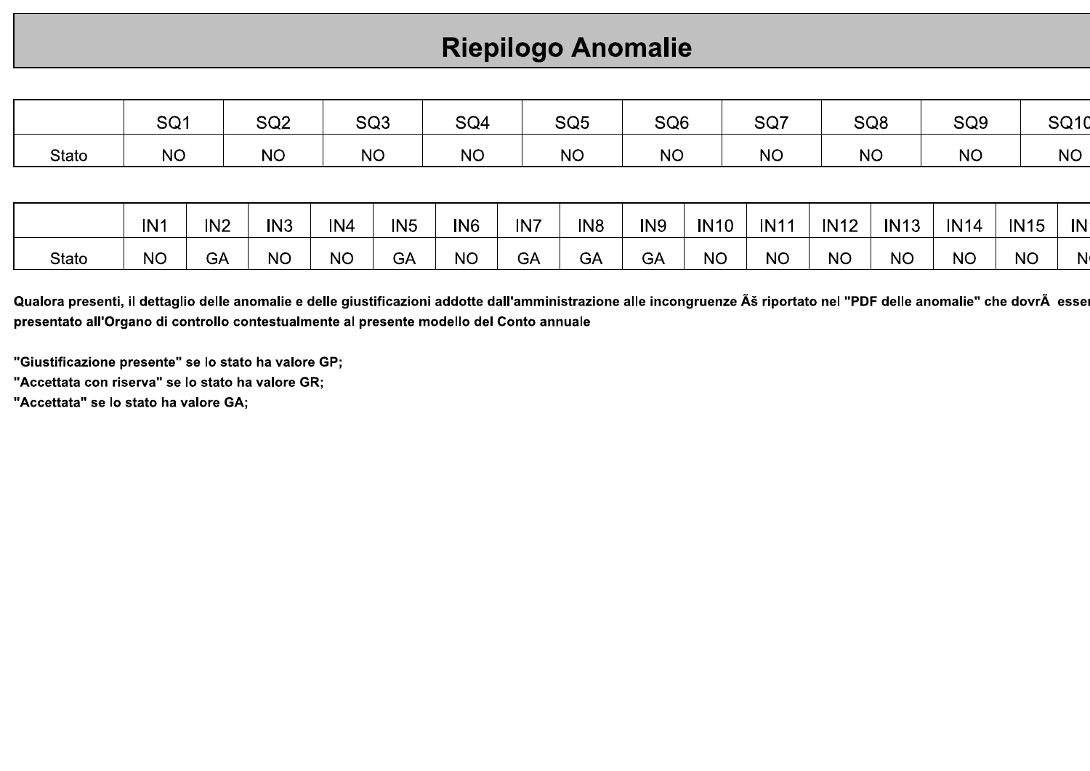# **Riepilogo Anomalie**

|              | SQ <sub>1</sub> |                 | SQ <sub>2</sub> |           | SQ <sub>3</sub> | SQ4             |     | SQ <sub>5</sub> | SQ <sub>6</sub> |             | SQ7         |             | SQ <sub>8</sub> | SQ <sub>9</sub> |             | SQ <sub>1</sub> d |
|--------------|-----------------|-----------------|-----------------|-----------|-----------------|-----------------|-----|-----------------|-----------------|-------------|-------------|-------------|-----------------|-----------------|-------------|-------------------|
| Stato        | <b>NO</b>       |                 | <b>NO</b>       |           | <b>NO</b>       | <b>NO</b>       |     | <b>NO</b>       | <b>NO</b>       |             | <b>NO</b>   |             | <b>NO</b>       | <b>NO</b>       |             | <b>NO</b>         |
|              |                 |                 |                 |           |                 |                 |     |                 |                 |             |             |             |                 |                 |             |                   |
|              | IN <sub>1</sub> | IN <sub>2</sub> | IN <sub>3</sub> | IN4       | IN <sub>5</sub> | IN <sub>6</sub> | IN7 | IN <sub>8</sub> | IN <sub>9</sub> | <b>IN10</b> | <b>IN11</b> | <b>IN12</b> | <b>IN13</b>     | <b>IN14</b>     | <b>IN15</b> | IN                |
| <b>Stato</b> | <b>NO</b>       | <b>GA</b>       | <b>NO</b>       | <b>NO</b> | <b>GA</b>       | <b>NO</b>       | GA  | GA              | GA              | <b>NO</b>   | <b>NO</b>   | <b>NO</b>   | <b>NO</b>       | <b>NO</b>       | <b>NO</b>   | N                 |

Qualora presenti, il dettaglio delle anomalie e delle giustificazioni addotte dall'amministrazione alle incongruenze š riportato nel "PDF delle anomalie" che dovr esse presentato all'Organo di controllo contestualmente al presente modello del Conto annuale

"Giustificazione presente" se lo stato ha valore GP;

"Accettata con riserva" se lo stato ha valore GR;

"Accettata" se lo stato ha valore GA;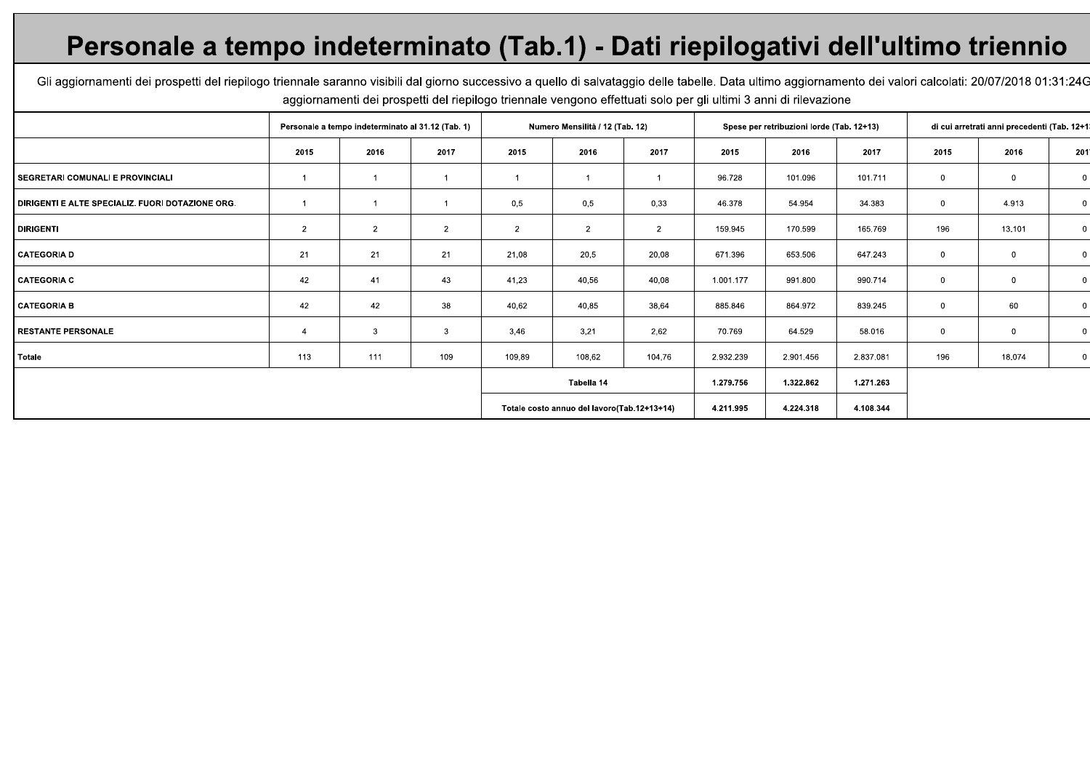## Personale a tempo indeterminato (Tab.1) - Dati riepilogativi dell'ultimo triennio

Gli aggiornamenti dei prospetti del riepilogo triennale saranno visibili dal giorno successivo a quello di salvataggio delle tabelle. Data ultimo aggiornamento dei valori calcolati: 20/07/2018 01:31:24G aggiornamenti dei prospetti del riepilogo triennale vengono effettuati solo per gli ultimi 3 anni di rilevazione

|                                                  | Personale a tempo indeterminato al 31.12 (Tab. 1) |                |                | Numero Mensilità / 12 (Tab. 12) |                                             |                |           | Spese per retribuzioni lorde (Tab. 12+13) |           |                | di cui arretrati anni precedenti (Tab. 12+1) |                |
|--------------------------------------------------|---------------------------------------------------|----------------|----------------|---------------------------------|---------------------------------------------|----------------|-----------|-------------------------------------------|-----------|----------------|----------------------------------------------|----------------|
|                                                  | 2015                                              | 2016           | 2017           | 2015                            | 2016                                        | 2017           | 2015      | 2016                                      | 2017      | 2015           | 2016                                         | 201            |
| SEGRETARI COMUNALI E PROVINCIALI                 |                                                   |                |                |                                 |                                             |                | 96.728    | 101.096                                   | 101.711   | $\overline{0}$ | $\bf{0}$                                     | $\mathbf{0}$   |
| DIRIGENTI E ALTE SPECIALIZ. FUORI DOTAZIONE ORG. |                                                   |                |                | 0,5                             | 0,5                                         | 0,33           | 46.378    | 54.954                                    | 34.383    | $\mathbf{0}$   | 4.913                                        | $\overline{0}$ |
| <b>DIRIGENTI</b>                                 | $\overline{2}$                                    | $\overline{2}$ | $\overline{2}$ | $\overline{2}$                  | $\overline{2}$                              | $\overline{2}$ | 159.945   | 170.599                                   | 165.769   | 196            | 13.101                                       | $\mathbf 0$    |
| CATEGORIA D                                      | 21                                                | 21             | 21             | 21,08                           | 20,5                                        | 20,08          | 671.396   | 653.506                                   | 647.243   | 0              | 0                                            | $\mathbf{0}$   |
| <b>CATEGORIA C</b>                               | 42                                                | 41             | 43             | 41,23                           | 40,56                                       | 40,08          | 1.001.177 | 991.800                                   | 990.714   | $\mathbf 0$    | $\mathbf 0$                                  | $\mathbf 0$    |
| <b>CATEGORIA B</b>                               | 42                                                | 42             | 38             | 40,62                           | 40,85                                       | 38,64          | 885.846   | 864.972                                   | 839.245   | $\mathbf 0$    | 60                                           | $\overline{0}$ |
| <b>RESTANTE PERSONALE</b>                        | 4                                                 | 3              | 3              | 3,46                            | 3,21                                        | 2,62           | 70.769    | 64.529                                    | 58.016    | 0              | $\mathbf 0$                                  | $\mathbf 0$    |
| Totale                                           | 113                                               | 111            | 109            | 109,89                          | 108,62                                      | 104,76         | 2.932.239 | 2.901.456                                 | 2.837.081 | 196            | 18.074                                       | $\overline{0}$ |
|                                                  |                                                   |                |                |                                 | Tabella 14                                  |                | 1.279.756 | 1.322.862                                 | 1.271.263 |                |                                              |                |
|                                                  |                                                   |                |                |                                 | Totale costo annuo del lavoro(Tab.12+13+14) |                | 4.211.995 | 4.224.318                                 | 4.108.344 |                |                                              |                |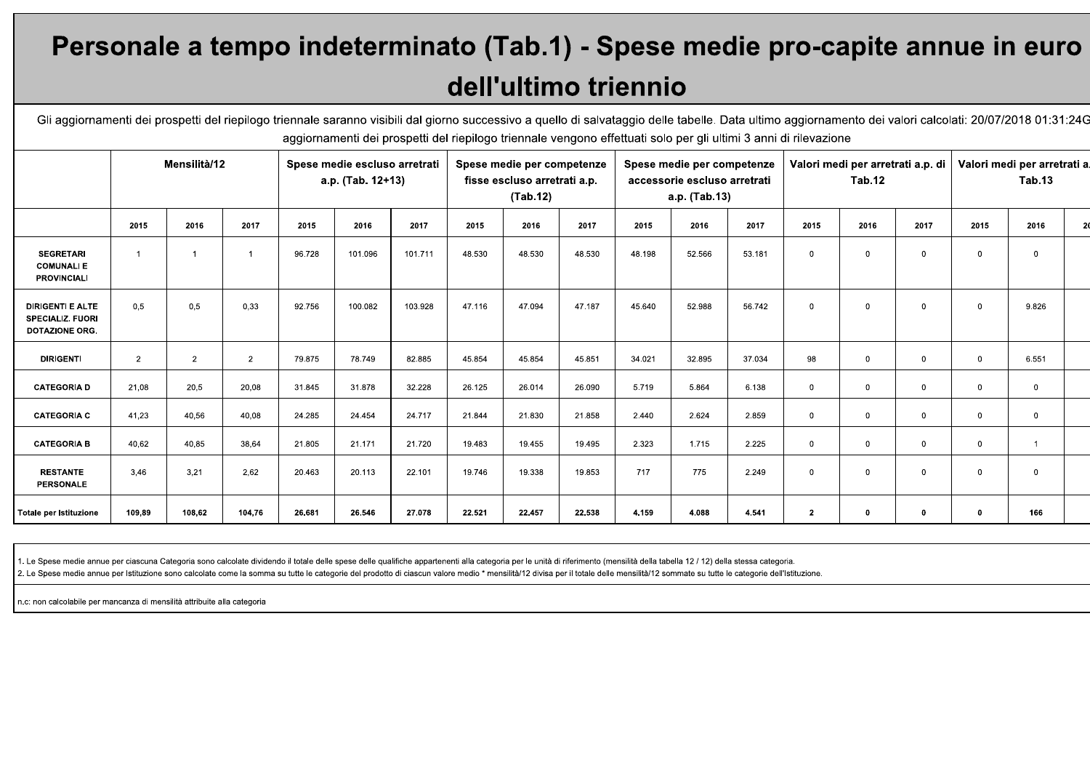# Personale a tempo indeterminato (Tab.1) - Spese medie pro-capite annue in euro dell'ultimo triennio

Gli aggiornamenti dei prospetti del riepilogo triennale saranno visibili dal giorno successivo a quello di salvataggio delle tabelle. Data ultimo aggiornamento dei valori calcolati: 20/07/2018 01:31:24G aggiornamenti dei prospetti del riepilogo triennale vengono effettuati solo per gli ultimi 3 anni di rilevazione

|                                                                             | Mensilità/12   |                | Spese medie escluso arretrati<br>a.p. (Tab. 12+13) |        | Spese medie per competenze<br>fisse escluso arretrati a.p.<br>(Tab.12) |         | Spese medie per competenze<br>accessorie escluso arretrati<br>a.p. (Tab.13) |        | Valori medi per arretrati a.p. di<br>Tab.12 |        |        | Valori medi per arretrati a<br>Tab.13 |                |             |              |                |              |                |
|-----------------------------------------------------------------------------|----------------|----------------|----------------------------------------------------|--------|------------------------------------------------------------------------|---------|-----------------------------------------------------------------------------|--------|---------------------------------------------|--------|--------|---------------------------------------|----------------|-------------|--------------|----------------|--------------|----------------|
|                                                                             | 2015           | 2016           | 2017                                               | 2015   | 2016                                                                   | 2017    | 2015                                                                        | 2016   | 2017                                        | 2015   | 2016   | 2017                                  | 2015           | 2016        | 2017         | 2015           | 2016         | $\overline{2}$ |
| <b>SEGRETARI</b><br><b>COMUNALIE</b><br><b>PROVINCIALI</b>                  | $\overline{1}$ |                | $\overline{1}$                                     | 96.728 | 101.096                                                                | 101.711 | 48.530                                                                      | 48.530 | 48.530                                      | 48.198 | 52.566 | 53.181                                | $\overline{0}$ | $\mathbf 0$ | $\mathbf 0$  | $\mathbf 0$    | $\mathbf{0}$ |                |
| <b>DIRIGENTI E ALTE</b><br><b>SPECIALIZ. FUORI</b><br><b>DOTAZIONE ORG.</b> | 0.5            | 0,5            | 0,33                                               | 92.756 | 100.082                                                                | 103.928 | 47.116                                                                      | 47.094 | 47.187                                      | 45.640 | 52.988 | 56.742                                | $\overline{0}$ | $\mathbf 0$ | $\mathbf 0$  | $\mathbf 0$    | 9.826        |                |
| <b>DIRIGENTI</b>                                                            | 2              | $\overline{2}$ | $\overline{2}$                                     | 79.875 | 78.749                                                                 | 82.885  | 45.854                                                                      | 45.854 | 45.851                                      | 34.021 | 32.895 | 37.034                                | 98             | $\mathbf 0$ | $\mathbf{0}$ | $\mathbf 0$    | 6.551        |                |
| <b>CATEGORIA D</b>                                                          | 21,08          | 20,5           | 20,08                                              | 31.845 | 31.878                                                                 | 32.228  | 26.125                                                                      | 26.014 | 26.090                                      | 5.719  | 5.864  | 6.138                                 | $\overline{0}$ | $\mathbf 0$ | $\mathbf 0$  | $\mathbf 0$    | $\mathbf 0$  |                |
| <b>CATEGORIA C</b>                                                          | 41,23          | 40,56          | 40,08                                              | 24.285 | 24.454                                                                 | 24.717  | 21.844                                                                      | 21.830 | 21.858                                      | 2.440  | 2.624  | 2.859                                 | $\mathbf 0$    | $\mathbf 0$ | $\mathbf{0}$ | $\mathbf 0$    | $\mathbf 0$  |                |
| <b>CATEGORIA B</b>                                                          | 40.62          | 40,85          | 38,64                                              | 21.805 | 21.171                                                                 | 21.720  | 19.483                                                                      | 19.455 | 19.495                                      | 2.323  | 1.715  | 2.225                                 | $\mathbf 0$    | $\mathbf 0$ | $\mathbf{0}$ | $\overline{0}$ |              |                |
| <b>RESTANTE</b><br>PERSONALE                                                | 3,46           | 3,21           | 2,62                                               | 20.463 | 20.113                                                                 | 22.101  | 19.746                                                                      | 19.338 | 19.853                                      | 717    | 775    | 2.249                                 | $\mathbf{0}$   | $\mathbf 0$ | $\mathbf 0$  | $\overline{0}$ | $\Omega$     |                |
| Totale per Istituzione                                                      | 109,89         | 108,62         | 104,76                                             | 26.681 | 26.546                                                                 | 27.078  | 22.521                                                                      | 22.457 | 22.538                                      | 4.159  | 4.088  | 4.541                                 | $\mathbf{2}$   | $\mathbf 0$ | 0            | $\mathbf{0}$   | 166          |                |

1. Le Spese medie annue per ciascuna Categoria sono calcolate dividendo il totale delle spese delle qualifiche appartenenti alla categoria per le unità di riferimento (mensilità della tabella 12 / 12) della stessa categori

2. Le Spese medie annue per Istituzione sono calcolate come la somma su tutte le categorie del prodotto di ciascun valore medio \* mensilità/12 divisa per il totale delle mensilità/12 sommate su tutte le categorie dell'Isti

n.c: non calcolabile per mancanza di mensilità attribuite alla categoria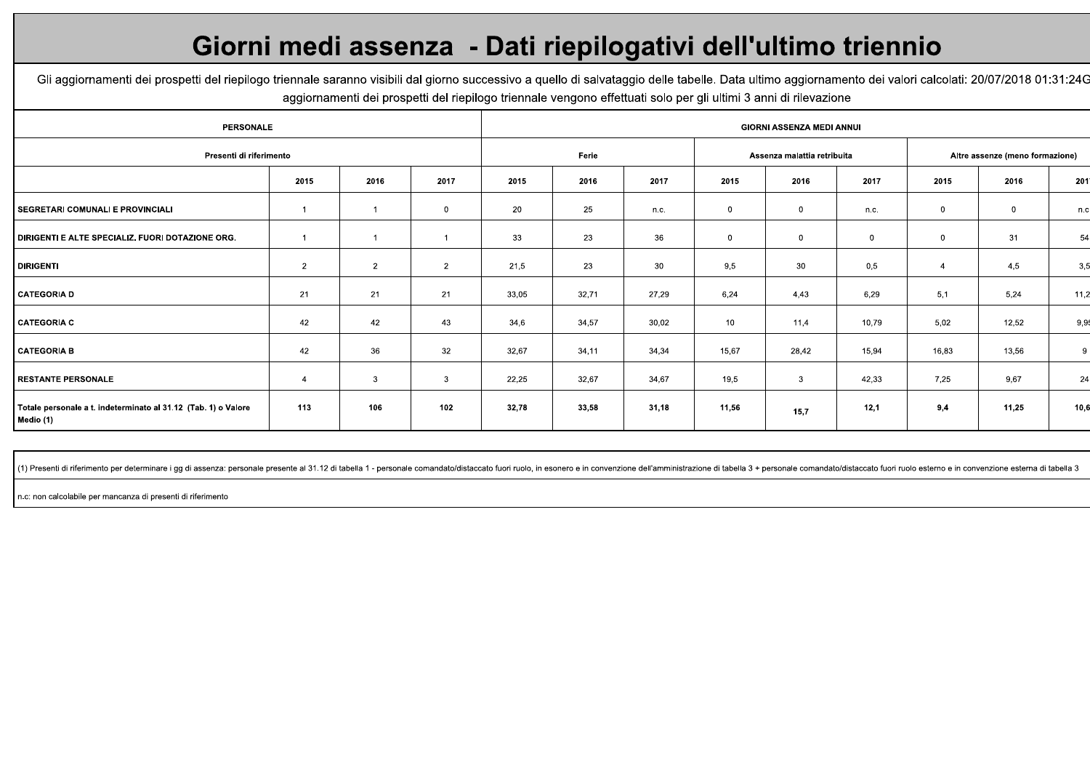### Giorni medi assenza - Dati riepilogativi dell'ultimo triennio

Gli aggiornamenti dei prospetti del riepilogo triennale saranno visibili dal giorno successivo a quello di salvataggio delle tabelle. Data ultimo aggiornamento dei valori calcolati: 20/07/2018 01:31:24G aggiornamenti dei prospetti del riepilogo triennale vengono effettuati solo per gli ultimi 3 anni di rilevazione

| <b>PERSONALE</b>                                                            | <b>GIORNI ASSENZA MEDI ANNUI</b> |                |                |       |        |                             |              |                                 |             |                |       |      |
|-----------------------------------------------------------------------------|----------------------------------|----------------|----------------|-------|--------|-----------------------------|--------------|---------------------------------|-------------|----------------|-------|------|
| Presenti di riferimento                                                     |                                  |                | Ferie          |       |        | Assenza malattia retribuita |              | Altre assenze (meno formazione) |             |                |       |      |
|                                                                             | 2015                             | 2016           | 2017           | 2015  | 2016   | 2017                        | 2015         | 2016                            | 2017        | 2015           | 2016  | 201  |
| SEGRETARI COMUNALI E PROVINCIALI                                            |                                  |                | 0              | 20    | 25     | n.c.                        | $\mathbf{0}$ | $\overline{0}$                  | n.c.        | $\mathbf{0}$   | 0     | n.c  |
| DIRIGENTI E ALTE SPECIALIZ. FUORI DOTAZIONE ORG.                            |                                  |                |                | 33    | 23     | 36                          | $\mathbf 0$  | $\overline{\mathbf{0}}$         | $\mathbf 0$ | $\mathbf 0$    | 31    | 54   |
| <b>DIRIGENTI</b>                                                            | $\overline{2}$                   | $\overline{2}$ | $\overline{2}$ | 21,5  | 23     | 30 <sup>°</sup>             | 9,5          | 30                              | 0,5         | $\overline{4}$ | 4,5   | 3,5  |
| <b>CATEGORIA D</b>                                                          | 21                               | 21             | 21             | 33,05 | 32,71  | 27,29                       | 6,24         | 4,43                            | 6,29        | 5,1            | 5,24  | 11,2 |
| <b>CATEGORIA C</b>                                                          | 42                               | 42             | 43             | 34,6  | 34,57  | 30,02                       | 10           | 11,4                            | 10,79       | 5,02           | 12,52 | 9,9  |
| <b>CATEGORIA B</b>                                                          | 42                               | 36             | 32             | 32,67 | 34, 11 | 34,34                       | 15,67        | 28,42                           | 15,94       | 16,83          | 13,56 | 9    |
| <b>RESTANTE PERSONALE</b>                                                   | $\overline{4}$                   | 3              | 3              | 22,25 | 32,67  | 34,67                       | 19,5         | $\mathbf{3}$                    | 42,33       | 7,25           | 9,67  | 24   |
| Totale personale a t. indeterminato al 31.12 (Tab. 1) o Valore<br>Medio (1) | 113                              | 106            | 102            | 32,78 | 33,58  | 31,18                       | 11,56        | 15,7                            | 12,1        | 9,4            | 11,25 | 10,6 |

(1) Presenti di riferimento per determinare i gg di assenza: personale presente al 31.12 di tabella 1 - personale comandato/distaccato fuori ruolo, in esonero e in convenzione dell'amministrazione di tabella 3 + personale

n.c: non calcolabile per mancanza di presenti di riferimento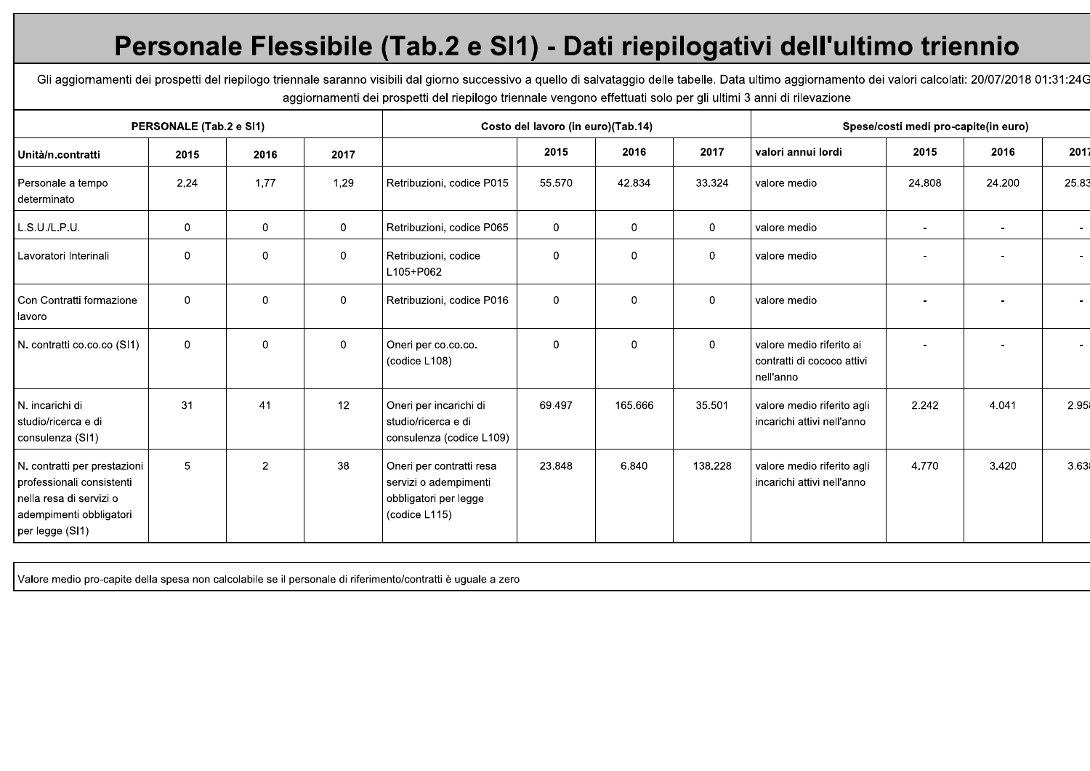# Personale Flessibile (Tab.2 e SI1) - Dati riepilogativi dell'ultimo triennio

Gli aggiornamenti dei prospetti del riepilogo triennale saranno visibili dal giorno successivo a quello di salvataggio delle tabelle. Data ultimo aggiornamento dei valori calcolati: 20/07/2018 01:31:24G aggiornamenti dei prospetti del riepilogo triennale vengono effettuati solo per gli ultimi 3 anni di rilevazione

|                                                                                                                                    | PERSONALE (Tab.2 e SI1) |                |              |                                                                                             | Costo del lavoro (in euro)(Tab.14) |              |             |                                                                     | Spese/costi medi pro-capite(in euro) |        |                          |  |  |  |  |
|------------------------------------------------------------------------------------------------------------------------------------|-------------------------|----------------|--------------|---------------------------------------------------------------------------------------------|------------------------------------|--------------|-------------|---------------------------------------------------------------------|--------------------------------------|--------|--------------------------|--|--|--|--|
| Unità/n.contratti                                                                                                                  | 2015                    | 2016           | 2017         |                                                                                             | 2015                               | 2016         | 2017        | valori annui lordi                                                  | 2015                                 | 2016   | 2017                     |  |  |  |  |
| Personale a tempo<br>determinato                                                                                                   | 2.24                    | 1,77           | 1,29         | Retribuzioni, codice P015                                                                   | 55.570                             | 42.834       | 33.324      | valore medio                                                        | 24.808                               | 24.200 | 25.83                    |  |  |  |  |
| L.S.U.I.L.P.U.                                                                                                                     | $\mathbf 0$             | $\mathbf 0$    | $\mathbf 0$  | Retribuzioni, codice P065                                                                   | $\mathbf 0$                        | 0            | $\mathbf 0$ | valore medio                                                        | $\sim$                               |        | $\sim$                   |  |  |  |  |
| Lavoratori Interinali                                                                                                              | 0                       | 0              | $\mathbf{0}$ | Retribuzioni, codice<br>L105+P062                                                           | $\mathbf 0$                        | $\mathbf{0}$ | 0           | valore medio                                                        |                                      |        | $\overline{\phantom{a}}$ |  |  |  |  |
| Con Contratti formazione<br>lavoro                                                                                                 | $\mathbf 0$             | 0              | $\mathbf 0$  | Retribuzioni, codice P016                                                                   | $\mathbf 0$                        | $\Omega$     | $\mathbf 0$ | valore medio                                                        |                                      |        | $\sim$                   |  |  |  |  |
| N. contratti co.co.co (SI1)                                                                                                        | $\mathbf 0$             | $\mathbf 0$    | $\mathbf 0$  | Oneri per co.co.co.<br>(codice L108)                                                        | $\mathbf 0$                        | $\Omega$     | $\mathbf 0$ | valore medio riferito ai<br>contratti di cococo attivi<br>nell'anno |                                      |        | $\overline{\phantom{a}}$ |  |  |  |  |
| N. incarichi di<br>studio/ricerca e di<br>  consulenza (SI1)                                                                       | 31                      | 41             | 12           | Oneri per incarichi di<br>studio/ricerca e di<br>consulenza (codice L109)                   | 69.497                             | 165.666      | 35.501      | valore medio riferito agli<br>incarichi attivi nell'anno            | 2.242                                | 4.041  | 2.95                     |  |  |  |  |
| N. contratti per prestazioni<br>professionali consistenti<br>nella resa di servizi o<br>adempimenti obbligatori<br>per legge (SI1) | 5                       | $\overline{2}$ | 38           | Oneri per contratti resa<br>servizi o adempimenti<br>obbligatori per legge<br>(codice L115) | 23.848                             | 6.840        | 138.228     | valore medio riferito agli<br>incarichi attivi nell'anno            | 4.770                                | 3.420  | 3.63                     |  |  |  |  |

Valore medio pro-capite della spesa non calcolabile se il personale di riferimento/contratti è uguale a zero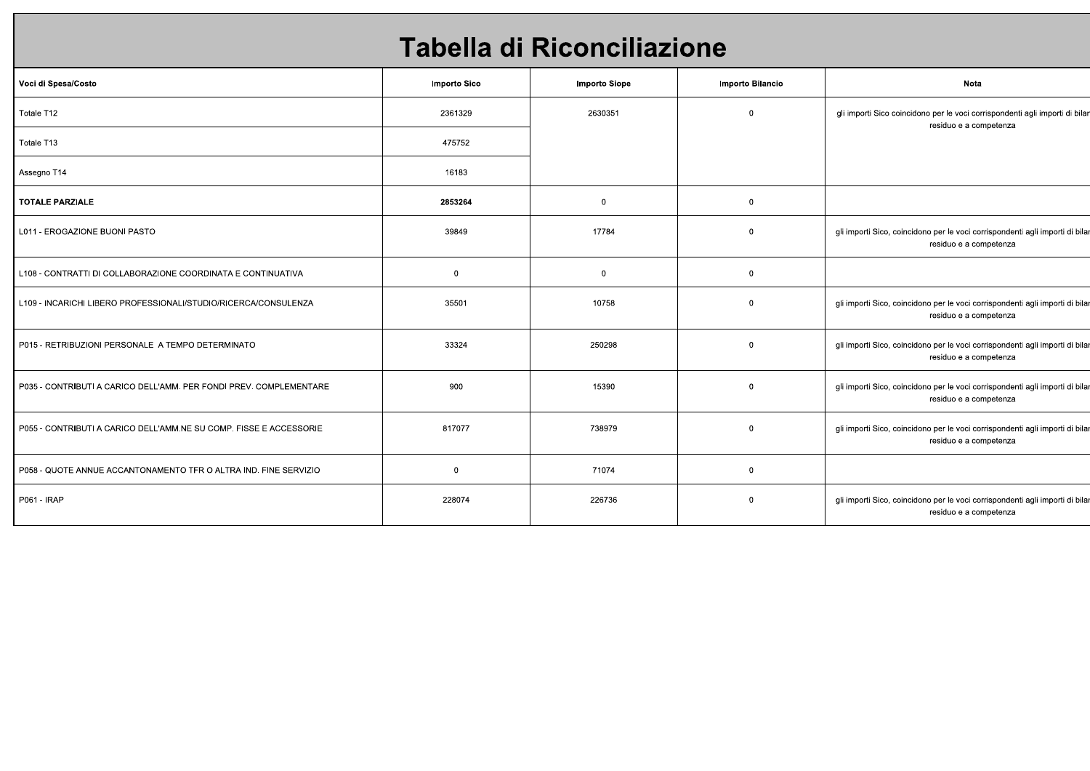## Tabella di Riconciliazione

| Voci di Spesa/Costo                                                | Importo Sico   | <b>Importo Siope</b> | Importo Bilancio | Nota                                                                                                   |
|--------------------------------------------------------------------|----------------|----------------------|------------------|--------------------------------------------------------------------------------------------------------|
| Totale T12                                                         | 2361329        | 2630351              | $\mathbf 0$      | gli importi Sico coincidono per le voci corrispondenti agli importi di bilar<br>residuo e a competenza |
| Totale T13                                                         | 475752         |                      |                  |                                                                                                        |
| Assegno T14                                                        | 16183          |                      |                  |                                                                                                        |
| <b>TOTALE PARZIALE</b>                                             | 2853264        | $\mathbf 0$          | $\mathbf 0$      |                                                                                                        |
| L011 - EROGAZIONE BUONI PASTO                                      | 39849          | 17784                | $\mathbf 0$      | gli importi Sico, coincidono per le voci corrispondenti agli importi di bila<br>residuo e a competenza |
| L108 - CONTRATTI DI COLLABORAZIONE COORDINATA E CONTINUATIVA       | $\overline{0}$ | $\mathbf{0}$         | $\mathbf 0$      |                                                                                                        |
| L109 - INCARICHI LIBERO PROFESSIONALI/STUDIO/RICERCA/CONSULENZA    | 35501          | 10758                | $\mathbf 0$      | gli importi Sico, coincidono per le voci corrispondenti agli importi di bila<br>residuo e a competenza |
| P015 - RETRIBUZIONI PERSONALE A TEMPO DETERMINATO                  | 33324          | 250298               | $\mathbf 0$      | gli importi Sico, coincidono per le voci corrispondenti agli importi di bila<br>residuo e a competenza |
| P035 - CONTRIBUTI A CARICO DELL'AMM. PER FONDI PREV. COMPLEMENTARE | 900            | 15390                | $\mathbf 0$      | gli importi Sico, coincidono per le voci corrispondenti agli importi di bila<br>residuo e a competenza |
| P055 - CONTRIBUTI A CARICO DELL'AMM.NE SU COMP. FISSE E ACCESSORIE | 817077         | 738979               | $\mathbf{0}$     | gli importi Sico, coincidono per le voci corrispondenti agli importi di bila<br>residuo e a competenza |
| P058 - QUOTE ANNUE ACCANTONAMENTO TFR O ALTRA IND. FINE SERVIZIO   | $\overline{0}$ | 71074                | $\mathbf 0$      |                                                                                                        |
| P061 - IRAP                                                        | 228074         | 226736               | $\mathbf 0$      | gli importi Sico, coincidono per le voci corrispondenti agli importi di bila<br>residuo e a competenza |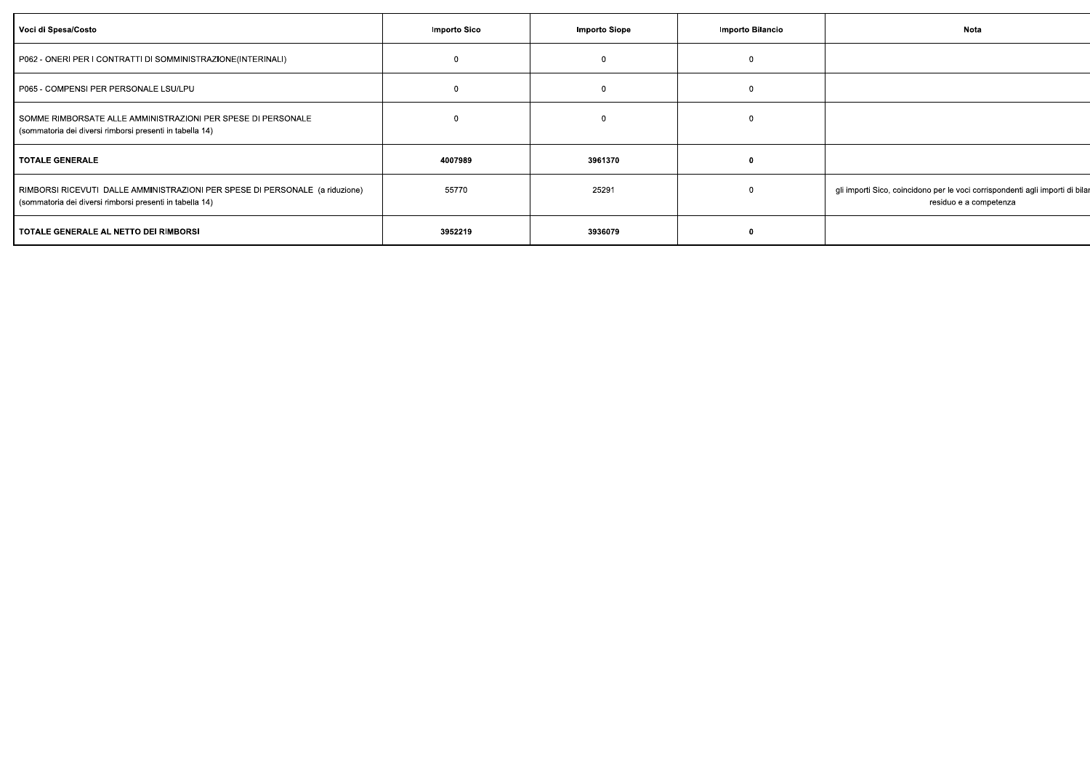| Voci di Spesa/Costo                                                                                                                      | Importo Sico | Importo Siope | Importo Bilancio | Nota                                                                                                    |
|------------------------------------------------------------------------------------------------------------------------------------------|--------------|---------------|------------------|---------------------------------------------------------------------------------------------------------|
| P062 - ONERI PER I CONTRATTI DI SOMMINISTRAZIONE(INTERINALI)                                                                             | $\Omega$     |               |                  |                                                                                                         |
| P065 - COMPENSI PER PERSONALE LSU/LPU                                                                                                    | $\Omega$     |               |                  |                                                                                                         |
| SOMME RIMBORSATE ALLE AMMINISTRAZIONI PER SPESE DI PERSONALE<br>(sommatoria dei diversi rimborsi presenti in tabella 14)                 | $\Omega$     |               |                  |                                                                                                         |
| <b>TOTALE GENERALE</b>                                                                                                                   | 4007989      | 3961370       |                  |                                                                                                         |
| RIMBORSI RICEVUTI DALLE AMMINISTRAZIONI PER SPESE DI PERSONALE (a riduzione)<br>(sommatoria dei diversi rimborsi presenti in tabella 14) | 55770        | 25291         |                  | gli importi Sico, coincidono per le voci corrispondenti agli importi di bilar<br>residuo e a competenza |
| TOTALE GENERALE AL NETTO DEI RIMBORSI                                                                                                    | 3952219      | 3936079       |                  |                                                                                                         |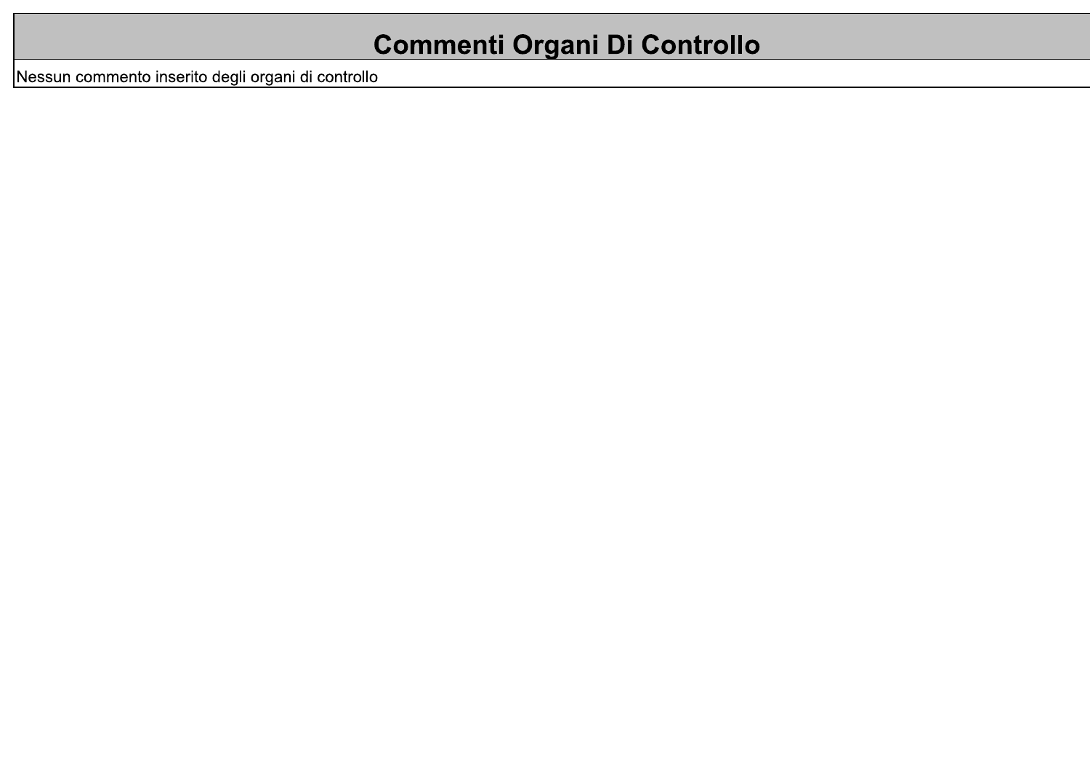# **Commenti Organi Di Controllo**

Nessun commento inserito degli organi di controllo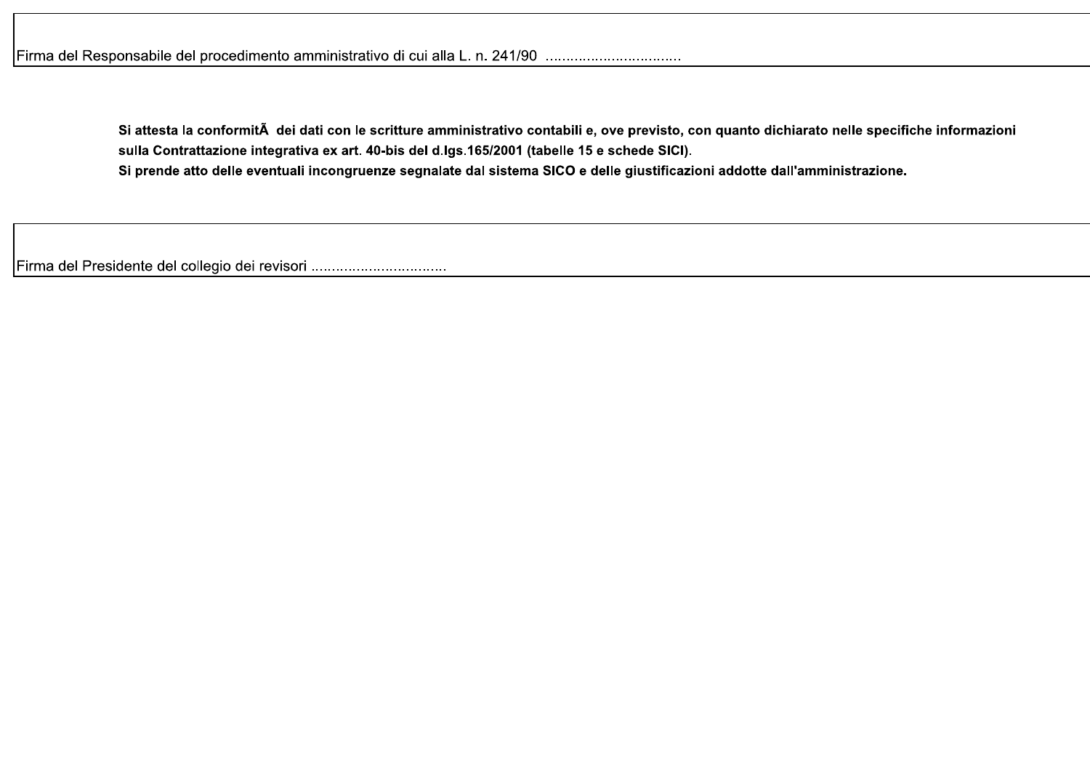Si attesta la conformità dei dati con le scritture amministrativo contabili e, ove previsto, con quanto dichiarato nelle specifiche informazioni sulla Contrattazione integrativa ex art. 40-bis del d.lgs.165/2001 (tabelle 15 e schede SICI). Si prende atto delle eventuali incongruenze segnalate dal sistema SICO e delle giustificazioni addotte dall'amministrazione.

Firma del Presidente del collegio dei revisori .................................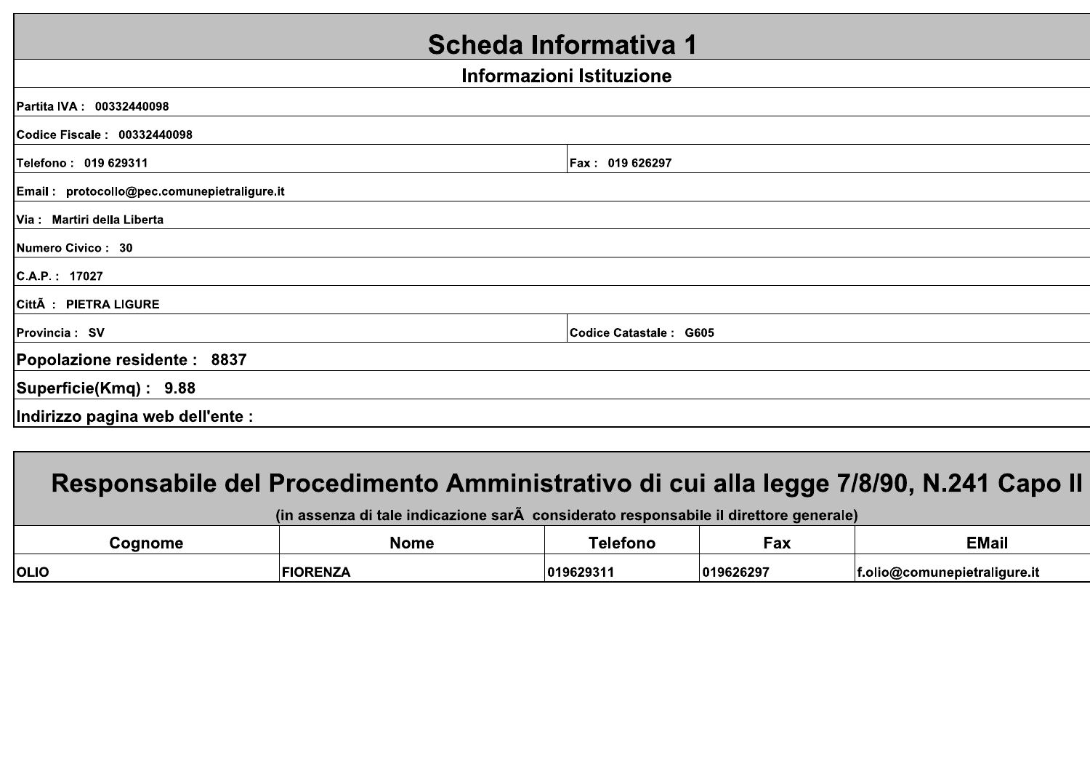### Scheda Informativa 1

#### Informazioni Istituzione

### Responsabile del Procedimento Amministrativo di cui alla legge 7/8/90, N.241 Capo II

(in assenza di tale indicazione sarà considerato responsabile il direttore generale)

| <b>conome</b> | <b>Nome</b> |                    | – a∧       | <b>EMail</b>                 |
|---------------|-------------|--------------------|------------|------------------------------|
| <b>OLIO</b>   |             | 101962931<br>. כפג | 1019626297 | f.olio@comunepietraliqure.it |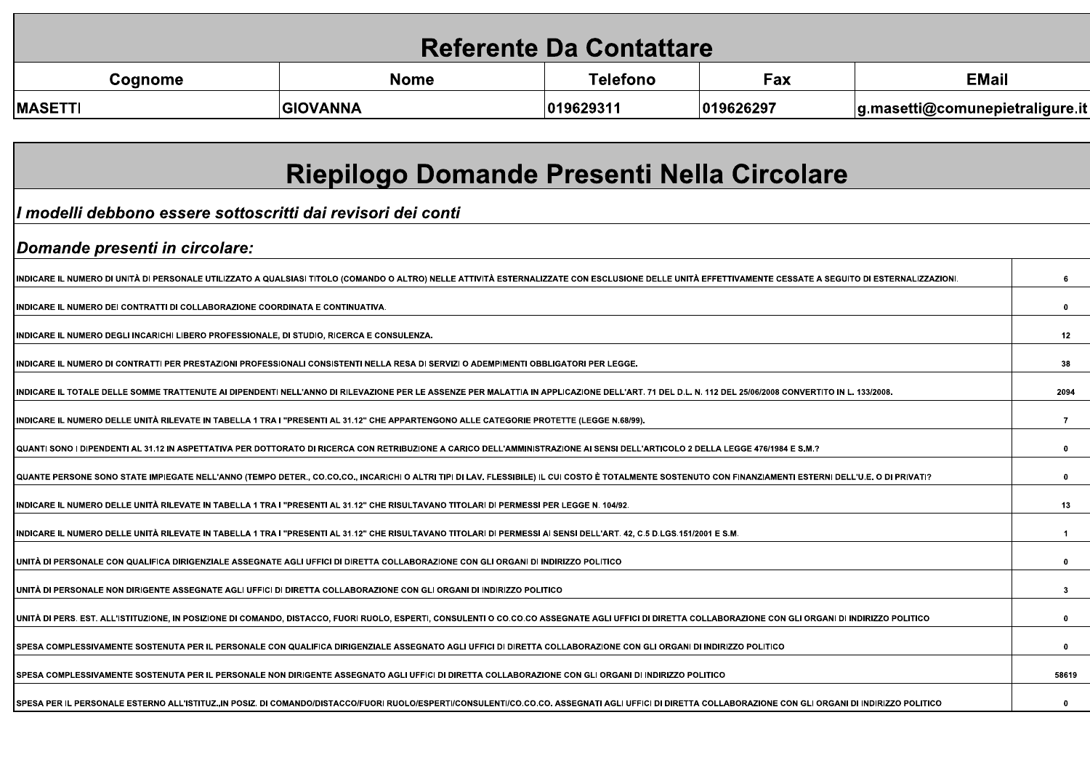| <b>Referente Da Contattare</b> |                 |           |           |                                 |  |  |  |  |  |  |  |
|--------------------------------|-----------------|-----------|-----------|---------------------------------|--|--|--|--|--|--|--|
| Cognome                        | <b>Nome</b>     | Telefono  | Fax       | <b>EMail</b>                    |  |  |  |  |  |  |  |
| <b>MASETTI</b>                 | <b>GIOVANNA</b> | 019629311 | 019626297 | g.masetti@comunepietraligure.it |  |  |  |  |  |  |  |

| Riepilogo Domande Presenti Nella Circolare                                                                                                                                                               |              |
|----------------------------------------------------------------------------------------------------------------------------------------------------------------------------------------------------------|--------------|
| Il modelli debbono essere sottoscritti dai revisori dei conti                                                                                                                                            |              |
| Domande presenti in circolare:                                                                                                                                                                           |              |
| INDICARE IL NUMERO DI UNITÀ DI PERSONALE UTILIZZATO A QUALSIASI TITOLO (COMANDO O ALTRO) NELLE ATTIVITÀ ESTERNALIZZATE CON ESCLUSIONE DELLE UNITÀ EFFETTIVAMENTE CESSATE A SEGUITO DI ESTERNALIZZAZIONI. | 6            |
| INDICARE IL NUMERO DEI CONTRATTI DI COLLABORAZIONE COORDINATA E CONTINUATIVA.                                                                                                                            | $\mathbf{0}$ |
| INDICARE IL NUMERO DEGLI INCARICHI LIBERO PROFESSIONALE, DI STUDIO, RICERCA E CONSULENZA.                                                                                                                | 12           |
| INDICARE IL NUMERO DI CONTRATTI PER PRESTAZIONI PROFESSIONALI CONSISTENTI NELLA RESA DI SERVIZI O ADEMPIMENTI OBBLIGATORI PER LEGGE.                                                                     | 38           |
| I INDICARE IL TOTALE DELLE SOMME TRATTENUTE AI DIPENDENTI NELL'ANNO DI RILEVAZIONE PER LE ASSENZE PER MALATTIA IN APPLICAZIONE DELL'ART. 71 DEL D.L. N. 112 DEL 25/06/2008 CONVERTITO IN L. 133/2008.    | 2094         |
| INDICARE IL NUMERO DELLE UNITÀ RILEVATE IN TABELLA 1 TRA I "PRESENTI AL 31.12" CHE APPARTENGONO ALLE CATEGORIE PROTETTE (LEGGE N.68/99).                                                                 | -7           |
| QUANTI SONO I DIPENDENTI AL 31.12 IN ASPETTATIVA PER DOTTORATO DI RICERCA CON RETRIBUZIONE A CARICO DELL'AMMINISTRAZIONE AI SENSI DELL'ARTICOLO 2 DELLA LEGGE 476/1984 E S.M.?                           | $\bf{0}$     |
| QUANTE PERSONE SONO STATE IMPIEGATE NELL'ANNO (TEMPO DETER., CO.CO.CO., INCARICHI O ALTRI TIPI DI LAV. FLESSIBILE) IL CUI COSTO È TOTALMENTE SOSTENUTO CON FINANZIAMENTI ESTERNI DELL'U.E. O DI PRIVATI? | $\mathbf{0}$ |
| INDICARE IL NUMERO DELLE UNITÀ RILEVATE IN TABELLA 1 TRA I "PRESENTI AL 31.12" CHE RISULTAVANO TITOLARI DI PERMESSI PER LEGGE N. 104/92.                                                                 | 13           |
| INDICARE IL NUMERO DELLE UNITÀ RILEVATE IN TABELLA 1 TRA I "PRESENTI AL 31.12" CHE RISULTAVANO TITOLARI DI PERMESSI AI SENSI DELL'ART. 42. C.5 D.LGS.151/2001 E S.M.                                     | $\mathbf{1}$ |
| UNITA DI PERSONALE CON QUALIFICA DIRIGENZIALE ASSEGNATE AGLI UFFICI DI DIRETTA COLLABORAZIONE CON GLI ORGANI DI INDIRIZZO POLITICO                                                                       | 0            |
| I UNITÀ DI PERSONALE NON DIRIGENTE ASSEGNATE AGLI UFFICI DI DIRETTA COLLABORAZIONE CON GLI ORGANI DI INDIRIZZO POLITICO                                                                                  | 3            |
| UNITÀ DI PERS. EST. ALL'ISTITUZIONE. IN POSIZIONE DI COMANDO. DISTACCO. FUORI RUOLO. ESPERTI. CONSULENTI O CO.CO.CO ASSEGNATE AGLI UFFICI DI DIRETTA COLLABORAZIONE CON GLI ORGANI DI INDIRIZZO POLITICO | 0            |
| I SPESA COMPLESSIVAMENTE SOSTENUTA PER IL PERSONALE CON QUALIFICA DIRIGENZIALE ASSEGNATO AGLI UFFICI DI DIRETTA COLLABORAZIONE CON GLI ORGANI DI INDIRIZZO POLITICO                                      | $\mathbf{0}$ |
| I SPESA COMPLESSIVAMENTE SOSTENUTA PER IL PERSONALE NON DIRIGENTE ASSEGNATO AGLI UFFICI DI DIRETTA COLLABORAZIONE CON GLI ORGANI DI INDIRIZZO POLITICO                                                   | 58619        |
|                                                                                                                                                                                                          |              |

SPESA PER IL PERSONALE ESTERNO ALL'ISTITUZ.,IN POSIZ. DI COMANDO/DISTACCO/FUORI RUOLO/ESPERTI/CONSULENTI/CO.CO.CO. ASSEGNATI AGLI UFFICI DI DIRETTA COLLABORAZIONE CON GLI ORGANI DI INDIRIZZO POLITICO

 $\mathbf{0}^-$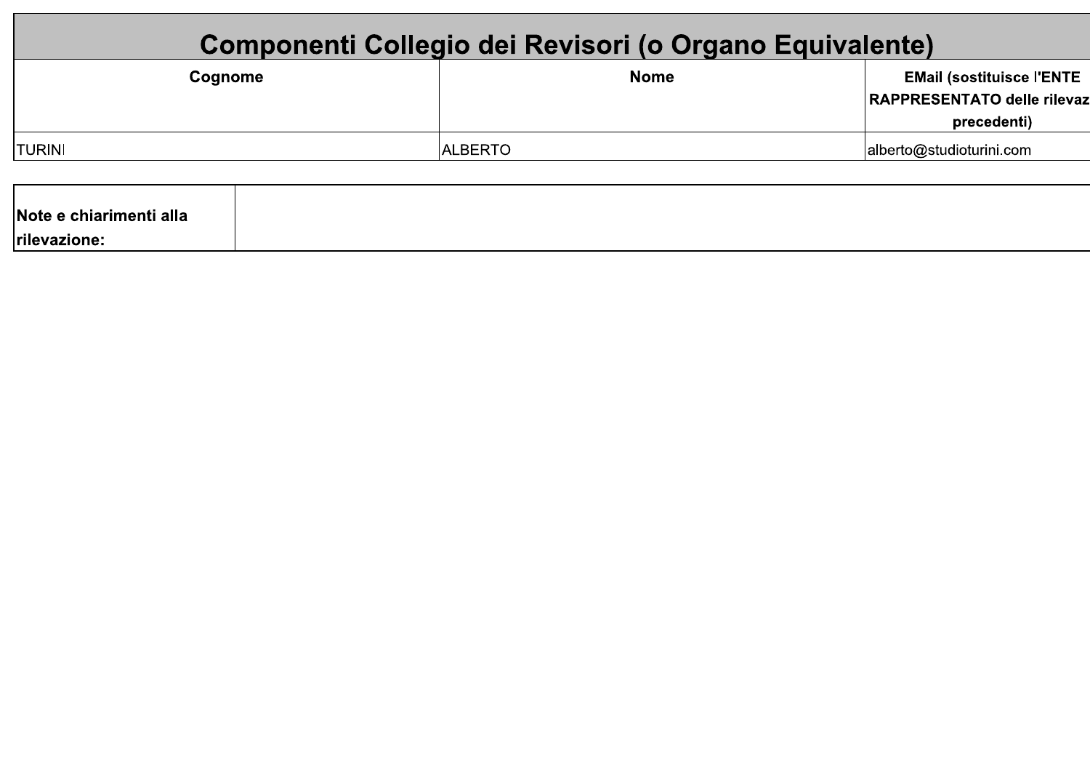| Componenti Collegio dei Revisori (o Organo Equivalente) |                |                                                                                |  |  |  |  |  |  |  |  |  |  |
|---------------------------------------------------------|----------------|--------------------------------------------------------------------------------|--|--|--|--|--|--|--|--|--|--|
| Cognome                                                 | <b>Nome</b>    | <b>EMail (sostituisce l'ENTE</b><br>RAPPRESENTATO delle rilevaz<br>precedenti) |  |  |  |  |  |  |  |  |  |  |
| TURINI                                                  | <b>ALBERTO</b> | alberto@studioturini.com                                                       |  |  |  |  |  |  |  |  |  |  |
| Note e chiarimenti alla<br>Irilevazione:                |                |                                                                                |  |  |  |  |  |  |  |  |  |  |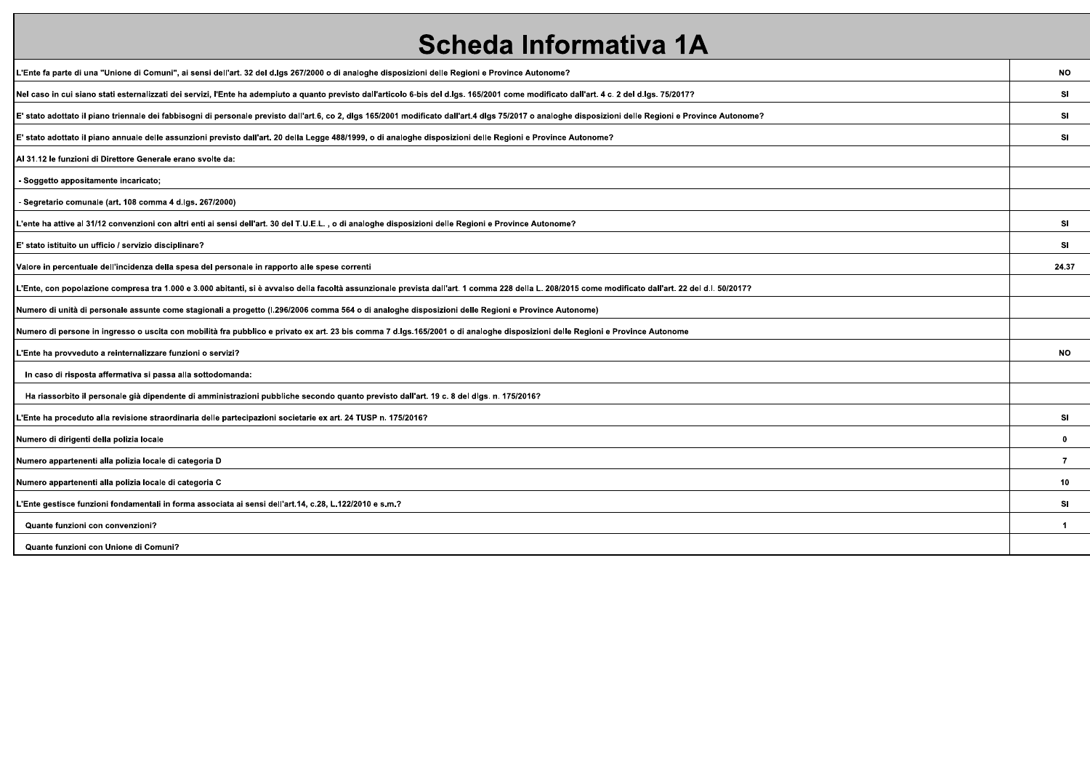# Scheda Informativa 1A

| L'Ente fa parte di una "Unione di Comuni", ai sensi dell'art. 32 del d.lgs 267/2000 o di analoghe disposizioni delle Regioni e Province Autonome?                                                       | <b>NO</b>      |
|---------------------------------------------------------------------------------------------------------------------------------------------------------------------------------------------------------|----------------|
| Nel caso in cui siano stati esternalizzati dei servizi, l'Ente ha adempiuto a quanto previsto dall'articolo 6-bis del d.lgs. 165/2001 come modificato dall'art. 4 c. 2 del d.lgs. 75/2017?              | SI             |
| E' stato adottato il piano triennale dei fabbisogni di personale previsto dall'art.6, co 2, dlgs 165/2001 modificato dall'art.4 dlgs 75/2017 o analoghe disposizioni delle Regioni e Province Autonome? | <b>SI</b>      |
| E' stato adottato il piano annuale delle assunzioni previsto dall'art. 20 della Legge 488/1999, o di analoghe disposizioni delle Regioni e Province Autonome?                                           | SI             |
| Al 31.12 le funzioni di Direttore Generale erano svolte da:                                                                                                                                             |                |
| - Soggetto appositamente incaricato;                                                                                                                                                                    |                |
| - Segretario comunale (art. 108 comma 4 d.lgs. 267/2000)                                                                                                                                                |                |
| L'ente ha attive al 31/12 convenzioni con altri enti ai sensi dell'art. 30 del T.U.E.L. , o di analoghe disposizioni delle Regioni e Province Autonome?                                                 | SI             |
| E' stato istituito un ufficio / servizio disciplinare?                                                                                                                                                  | SI             |
| Valore in percentuale dell'incidenza della spesa del personale in rapporto alle spese correnti                                                                                                          | 24.37          |
| L'Ente, con popolazione compresa tra 1.000 e 3.000 abitanti, si è avvalso della facoltà assunzionale prevista dall'art. 1 comma 228 della L. 208/2015 come modificato dall'art. 22 del d.l. 50/2017?    |                |
| Numero di unità di personale assunte come stagionali a progetto (I.296/2006 comma 564 o di analoghe disposizioni delle Regioni e Province Autonome)                                                     |                |
| Numero di persone in ingresso o uscita con mobilità fra pubblico e privato ex art. 23 bis comma 7 d.lgs.165/2001 o di analoghe disposizioni delle Regioni e Province Autonome                           |                |
| L'Ente ha provveduto a reinternalizzare funzioni o servizi?                                                                                                                                             | <b>NO</b>      |
| In caso di risposta affermativa si passa alla sottodomanda:                                                                                                                                             |                |
| Ha riassorbito il personale già dipendente di amministrazioni pubbliche secondo quanto previsto dall'art. 19 c. 8 del dlgs. n. 175/2016?                                                                |                |
| L'Ente ha proceduto alla revisione straordinaria delle partecipazioni societarie ex art. 24 TUSP n. 175/2016?                                                                                           | SI             |
| Numero di dirigenti della polizia locale                                                                                                                                                                | $\mathbf 0$    |
| Numero appartenenti alla polizia locale di categoria D                                                                                                                                                  | $\overline{7}$ |
| Numero appartenenti alla polizia locale di categoria C                                                                                                                                                  | 10             |
| ? "Ente gestisce funzioni fondamentali in forma associata ai sensi dell'art.14, c.28, L.122/2010 e s.mـ                                                                                                 | SI             |
| Quante funzioni con convenzioni?                                                                                                                                                                        | $\mathbf{1}$   |
| Quante funzioni con Unione di Comuni?                                                                                                                                                                   |                |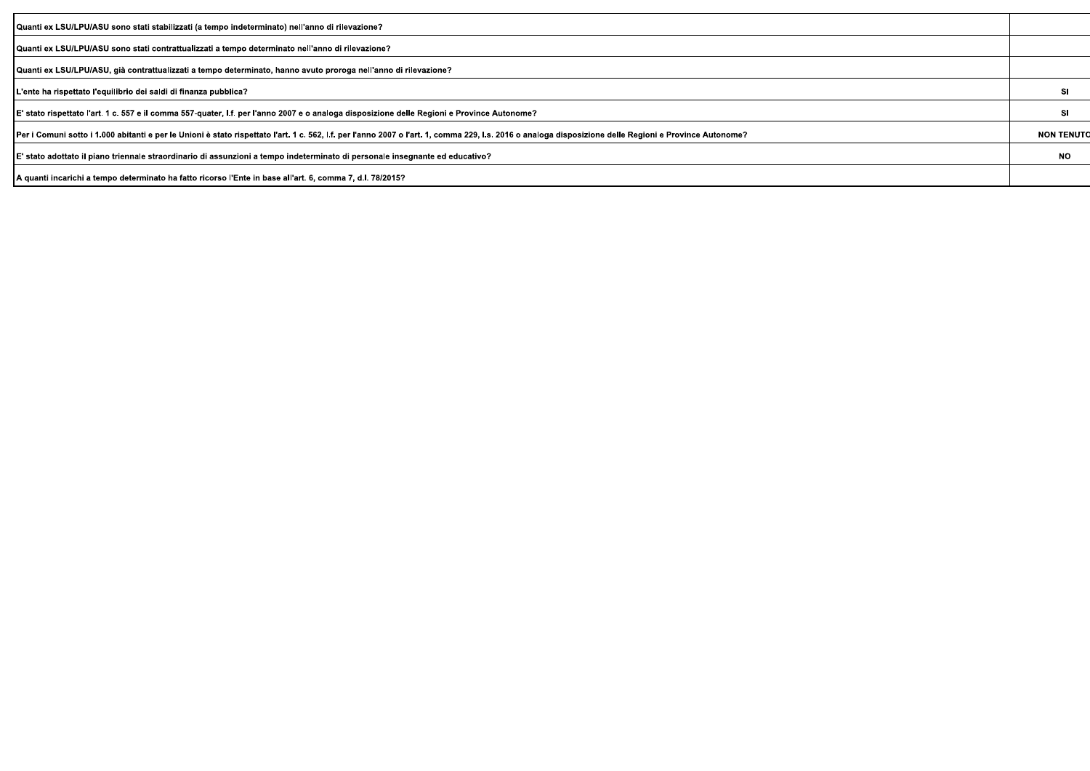| Quanti ex LSU/LPU/ASU sono stati stabilizzati (a tempo indeterminato) nell'anno di rilevazione?                                                                                                         |                   |
|---------------------------------------------------------------------------------------------------------------------------------------------------------------------------------------------------------|-------------------|
| Quanti ex LSU/LPU/ASU sono stati contrattualizzati a tempo determinato nell'anno di rilevazione?                                                                                                        |                   |
| Quanti ex LSU/LPU/ASU, già contrattualizzati a tempo determinato, hanno avuto proroga nell'anno di rilevazione?                                                                                         |                   |
| L'ente ha rispettato l'equilibrio dei saldi di finanza pubblica?                                                                                                                                        | sı                |
| E' stato rispettato l'art. 1 c. 557 e il comma 557-quater, I.f. per l'anno 2007 e o analoga disposizione delle Regioni e Province Autonome?                                                             | SI                |
| Per i Comuni sotto i 1.000 abitanti e per le Unioni è stato rispettato l'art. 1 c. 562, l.f. per l'anno 2007 o l'art. 1, comma 229, l.s. 2016 o analoga disposizione delle Regioni e Province Autonome? | <b>NON TENUTO</b> |
| E' stato adottato il piano triennale straordinario di assunzioni a tempo indeterminato di personale insegnante ed educativo?                                                                            | NO.               |
| A quanti incarichi a tempo determinato ha fatto ricorso l'Ente in base all'art. 6, comma 7, d.l. 78/2015?                                                                                               |                   |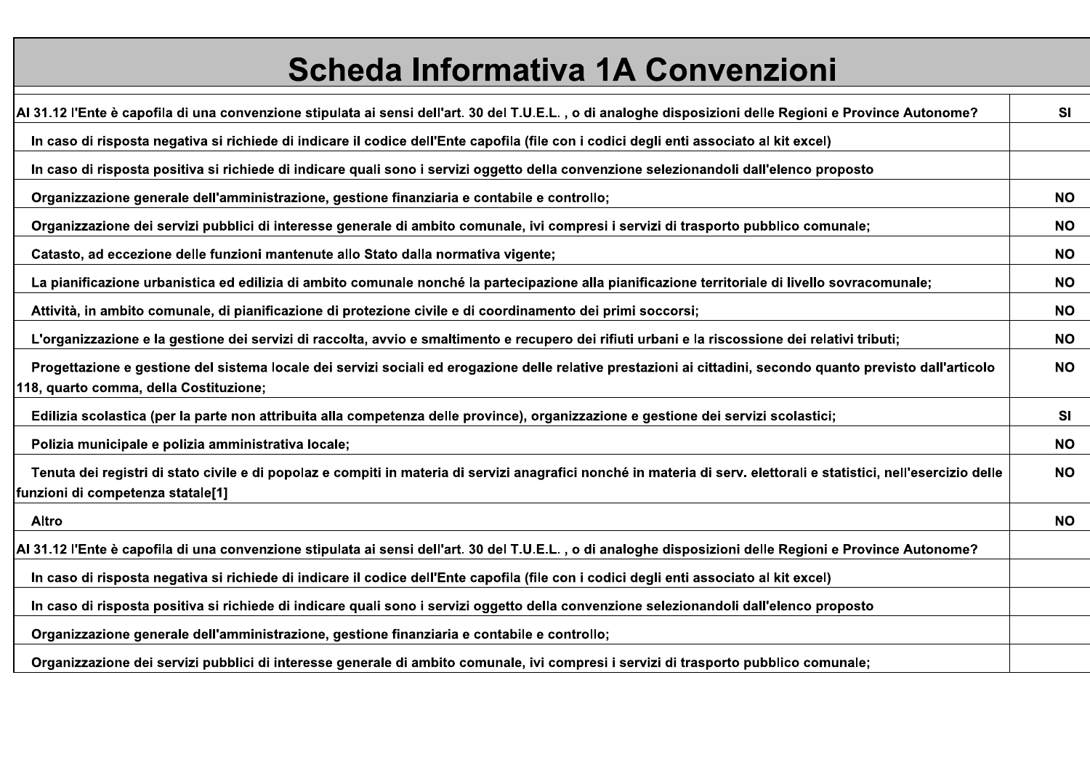# Scheda Informativa 1A Convenzioni

| Al 31.12 l'Ente è capofila di una convenzione stipulata ai sensi dell'art. 30 del T.U.E.L. , o di analoghe disposizioni delle Regioni e Province Autonome?                                                | <b>SI</b> |
|-----------------------------------------------------------------------------------------------------------------------------------------------------------------------------------------------------------|-----------|
| In caso di risposta negativa si richiede di indicare il codice dell'Ente capofila (file con i codici degli enti associato al kit excel)                                                                   |           |
| In caso di risposta positiva si richiede di indicare quali sono i servizi oggetto della convenzione selezionandoli dall'elenco proposto                                                                   |           |
| Organizzazione generale dell'amministrazione, gestione finanziaria e contabile e controllo;                                                                                                               | <b>NO</b> |
| Organizzazione dei servizi pubblici di interesse generale di ambito comunale, ivi compresi i servizi di trasporto pubblico comunale;                                                                      | NO.       |
| Catasto, ad eccezione delle funzioni mantenute allo Stato dalla normativa vigente;                                                                                                                        | NO.       |
| La pianificazione urbanistica ed edilizia di ambito comunale nonché la partecipazione alla pianificazione territoriale di livello sovracomunale;                                                          | NO.       |
| Attività, in ambito comunale, di pianificazione di protezione civile e di coordinamento dei primi soccorsi;                                                                                               | NO.       |
| L'organizzazione e la gestione dei servizi di raccolta, avvio e smaltimento e recupero dei rifiuti urbani e la riscossione dei relativi tributi;                                                          | NO.       |
| Progettazione e gestione del sistema locale dei servizi sociali ed erogazione delle relative prestazioni ai cittadini, secondo quanto previsto dall'articolo<br>118, quarto comma, della Costituzione;    | <b>NO</b> |
| Edilizia scolastica (per la parte non attribuita alla competenza delle province), organizzazione e gestione dei servizi scolastici;                                                                       | <b>SI</b> |
| Polizia municipale e polizia amministrativa locale;                                                                                                                                                       | NO.       |
| Tenuta dei registri di stato civile e di popolaz e compiti in materia di servizi anagrafici nonché in materia di serv. elettorali e statistici, nell'esercizio delle<br>funzioni di competenza statale[1] | <b>NO</b> |
| Altro                                                                                                                                                                                                     | NO.       |
| Al 31.12 l'Ente è capofila di una convenzione stipulata ai sensi dell'art. 30 del T.U.E.L. , o di analoghe disposizioni delle Regioni e Province Autonome?                                                |           |
| In caso di risposta negativa si richiede di indicare il codice dell'Ente capofila (file con i codici degli enti associato al kit excel)                                                                   |           |
| In caso di risposta positiva si richiede di indicare quali sono i servizi oggetto della convenzione selezionandoli dall'elenco proposto                                                                   |           |
| Organizzazione generale dell'amministrazione, gestione finanziaria e contabile e controllo;                                                                                                               |           |
| Organizzazione dei servizi pubblici di interesse generale di ambito comunale, ivi compresi i servizi di trasporto pubblico comunale;                                                                      |           |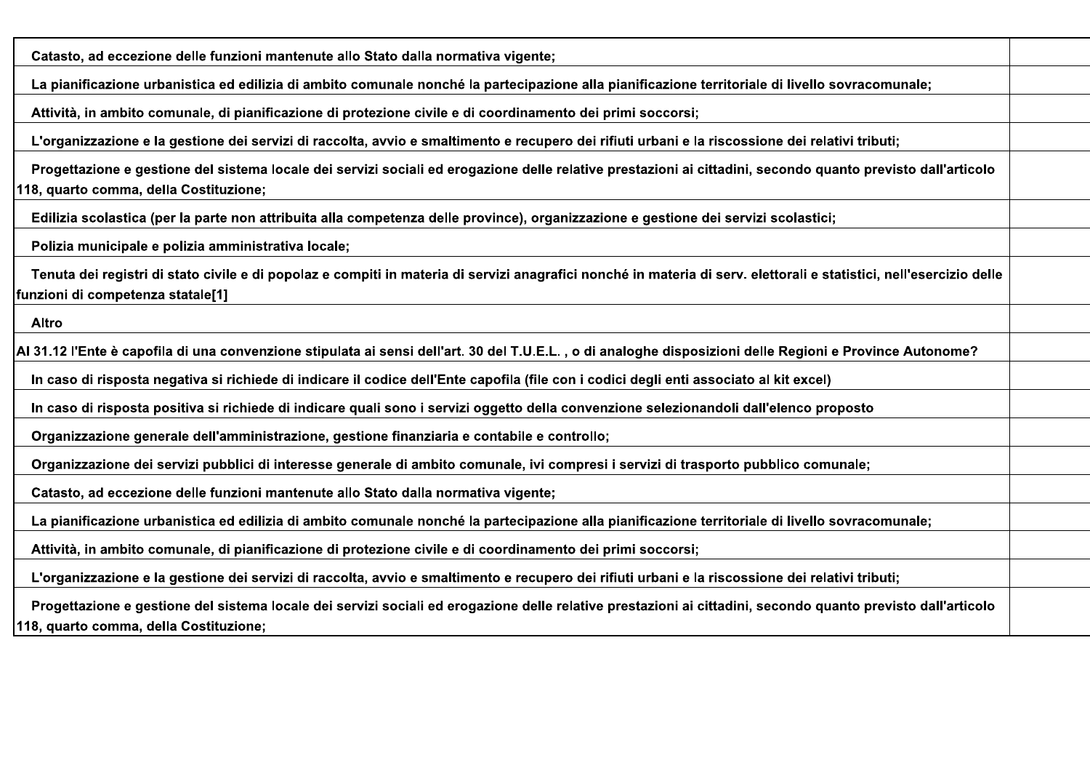| Catasto, ad eccezione delle funzioni mantenute allo Stato dalla normativa vigente;                                                                                                                        |  |
|-----------------------------------------------------------------------------------------------------------------------------------------------------------------------------------------------------------|--|
| La pianificazione urbanistica ed edilizia di ambito comunale nonché la partecipazione alla pianificazione territoriale di livello sovracomunale;                                                          |  |
| Attività, in ambito comunale, di pianificazione di protezione civile e di coordinamento dei primi soccorsi;                                                                                               |  |
| L'organizzazione e la gestione dei servizi di raccolta, avvio e smaltimento e recupero dei rifiuti urbani e la riscossione dei relativi tributi;                                                          |  |
| Progettazione e gestione del sistema locale dei servizi sociali ed erogazione delle relative prestazioni ai cittadini, secondo quanto previsto dall'articolo<br>118, quarto comma, della Costituzione;    |  |
| Edilizia scolastica (per la parte non attribuita alla competenza delle province), organizzazione e gestione dei servizi scolastici;                                                                       |  |
| Polizia municipale e polizia amministrativa locale;                                                                                                                                                       |  |
| Tenuta dei registri di stato civile e di popolaz e compiti in materia di servizi anagrafici nonché in materia di serv. elettorali e statistici, nell'esercizio delle<br>funzioni di competenza statale[1] |  |
| <b>Altro</b>                                                                                                                                                                                              |  |
| Al 31.12 l'Ente è capofila di una convenzione stipulata ai sensi dell'art. 30 del T.U.E.L. , o di analoghe disposizioni delle Regioni e Province Autonome?                                                |  |
| In caso di risposta negativa si richiede di indicare il codice dell'Ente capofila (file con i codici degli enti associato al kit excel)                                                                   |  |
| In caso di risposta positiva si richiede di indicare quali sono i servizi oggetto della convenzione selezionandoli dall'elenco proposto                                                                   |  |
| Organizzazione generale dell'amministrazione, gestione finanziaria e contabile e controllo;                                                                                                               |  |
| Organizzazione dei servizi pubblici di interesse generale di ambito comunale, ivi compresi i servizi di trasporto pubblico comunale;                                                                      |  |
| Catasto, ad eccezione delle funzioni mantenute allo Stato dalla normativa vigente;                                                                                                                        |  |
| La pianificazione urbanistica ed edilizia di ambito comunale nonché la partecipazione alla pianificazione territoriale di livello sovracomunale;                                                          |  |
| Attività, in ambito comunale, di pianificazione di protezione civile e di coordinamento dei primi soccorsi;                                                                                               |  |
| L'organizzazione e la gestione dei servizi di raccolta, avvio e smaltimento e recupero dei rifiuti urbani e la riscossione dei relativi tributi;                                                          |  |
| Progettazione e gestione del sistema locale dei servizi sociali ed erogazione delle relative prestazioni ai cittadini, secondo quanto previsto dall'articolo<br>118, quarto comma, della Costituzione;    |  |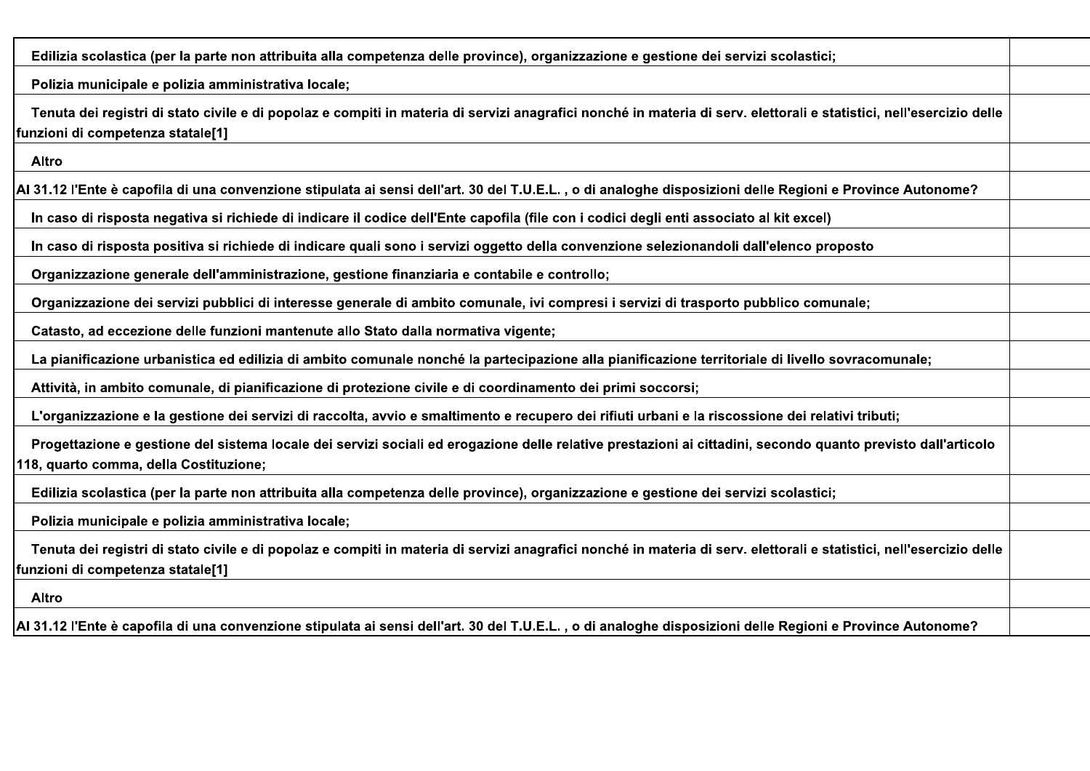| Edilizia scolastica (per la parte non attribuita alla competenza delle province), organizzazione e gestione dei servizi scolastici;                                                                       |  |
|-----------------------------------------------------------------------------------------------------------------------------------------------------------------------------------------------------------|--|
| Polizia municipale e polizia amministrativa locale;                                                                                                                                                       |  |
| Tenuta dei registri di stato civile e di popolaz e compiti in materia di servizi anagrafici nonché in materia di serv. elettorali e statistici, nell'esercizio delle<br>funzioni di competenza statale[1] |  |
| Altro                                                                                                                                                                                                     |  |
| Al 31.12 l'Ente è capofila di una convenzione stipulata ai sensi dell'art. 30 del T.U.E.L. , o di analoghe disposizioni delle Regioni e Province Autonome?                                                |  |
| In caso di risposta negativa si richiede di indicare il codice dell'Ente capofila (file con i codici degli enti associato al kit excel)                                                                   |  |
| In caso di risposta positiva si richiede di indicare quali sono i servizi oggetto della convenzione selezionandoli dall'elenco proposto                                                                   |  |
| Organizzazione generale dell'amministrazione, gestione finanziaria e contabile e controllo;                                                                                                               |  |
| Organizzazione dei servizi pubblici di interesse generale di ambito comunale, ivi compresi i servizi di trasporto pubblico comunale;                                                                      |  |
| Catasto, ad eccezione delle funzioni mantenute allo Stato dalla normativa vigente;                                                                                                                        |  |
| La pianificazione urbanistica ed edilizia di ambito comunale nonché la partecipazione alla pianificazione territoriale di livello sovracomunale;                                                          |  |
| Attività, in ambito comunale, di pianificazione di protezione civile e di coordinamento dei primi soccorsi;                                                                                               |  |
| L'organizzazione e la gestione dei servizi di raccolta, avvio e smaltimento e recupero dei rifiuti urbani e la riscossione dei relativi tributi;                                                          |  |
| Progettazione e gestione del sistema locale dei servizi sociali ed erogazione delle relative prestazioni ai cittadini, secondo quanto previsto dall'articolo<br>118, quarto comma, della Costituzione;    |  |
| Edilizia scolastica (per la parte non attribuita alla competenza delle province), organizzazione e gestione dei servizi scolastici;                                                                       |  |
| Polizia municipale e polizia amministrativa locale;                                                                                                                                                       |  |
| Tenuta dei registri di stato civile e di popolaz e compiti in materia di servizi anagrafici nonché in materia di serv. elettorali e statistici, nell'esercizio delle<br>funzioni di competenza statale[1] |  |
| <b>Altro</b>                                                                                                                                                                                              |  |
| Al 31.12 l'Ente è capofila di una convenzione stipulata ai sensi dell'art. 30 del T.U.E.L. , o di analoghe disposizioni delle Regioni e Province Autonome?                                                |  |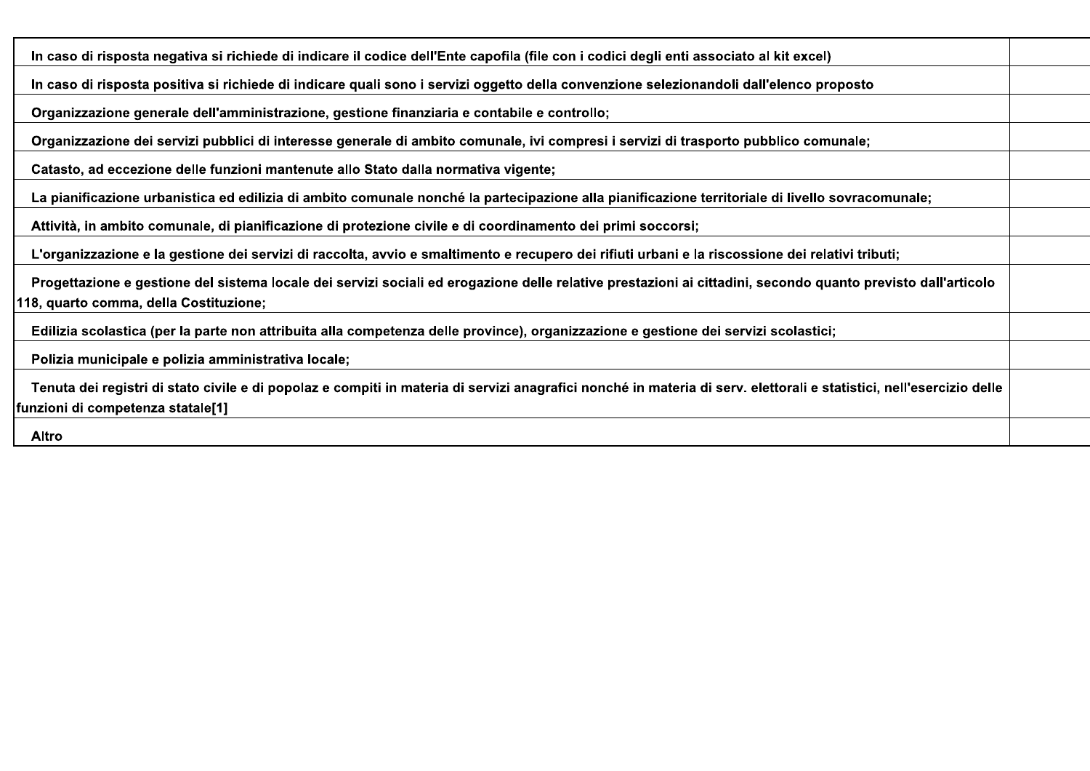| In caso di risposta negativa si richiede di indicare il codice dell'Ente capofila (file con i codici degli enti associato al kit excel)                                                                   |  |
|-----------------------------------------------------------------------------------------------------------------------------------------------------------------------------------------------------------|--|
| In caso di risposta positiva si richiede di indicare quali sono i servizi oggetto della convenzione selezionandoli dall'elenco proposto                                                                   |  |
| Organizzazione generale dell'amministrazione, gestione finanziaria e contabile e controllo;                                                                                                               |  |
| Organizzazione dei servizi pubblici di interesse generale di ambito comunale, ivi compresi i servizi di trasporto pubblico comunale;                                                                      |  |
| Catasto, ad eccezione delle funzioni mantenute allo Stato dalla normativa vigente;                                                                                                                        |  |
| La pianificazione urbanistica ed edilizia di ambito comunale nonché la partecipazione alla pianificazione territoriale di livello sovracomunale;                                                          |  |
| Attività, in ambito comunale, di pianificazione di protezione civile e di coordinamento dei primi soccorsi;                                                                                               |  |
| L'organizzazione e la gestione dei servizi di raccolta, avvio e smaltimento e recupero dei rifiuti urbani e la riscossione dei relativi tributi;                                                          |  |
| Progettazione e gestione del sistema locale dei servizi sociali ed erogazione delle relative prestazioni ai cittadini, secondo quanto previsto dall'articolo<br>118, quarto comma, della Costituzione;    |  |
| Edilizia scolastica (per la parte non attribuita alla competenza delle province), organizzazione e gestione dei servizi scolastici;                                                                       |  |
| Polizia municipale e polizia amministrativa locale;                                                                                                                                                       |  |
| Tenuta dei registri di stato civile e di popolaz e compiti in materia di servizi anagrafici nonché in materia di serv. elettorali e statistici, nell'esercizio delle<br>funzioni di competenza statale[1] |  |
| Altro                                                                                                                                                                                                     |  |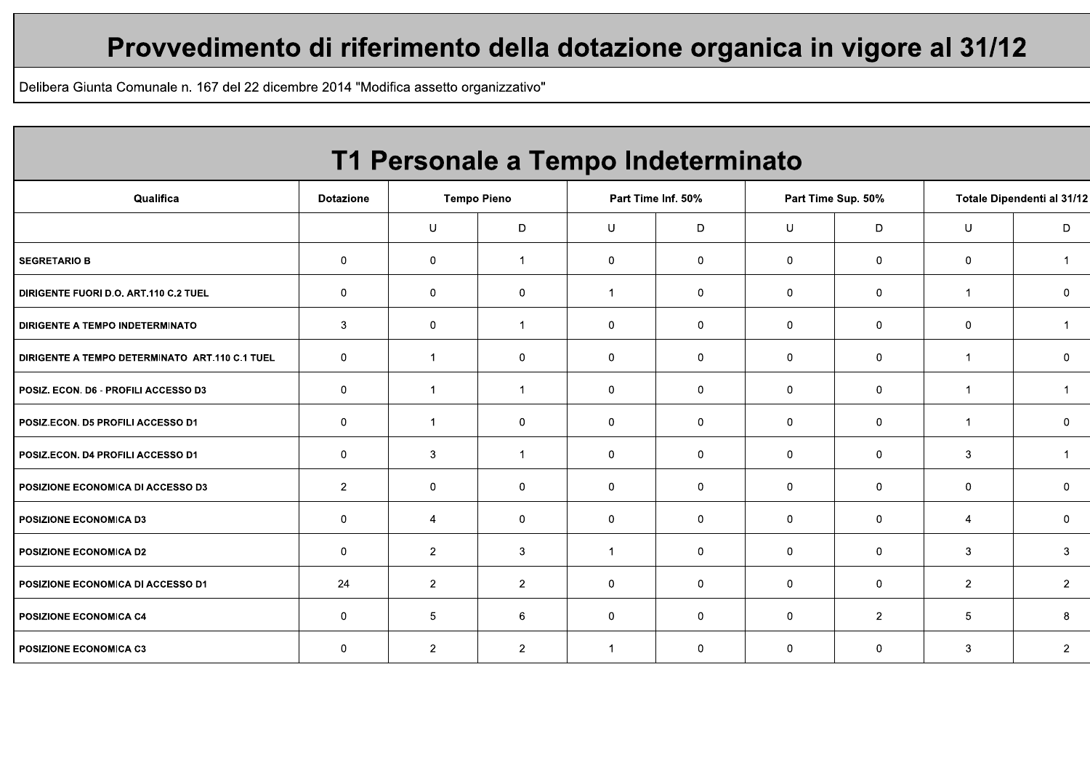## Provvedimento di riferimento della dotazione organica in vigore al 31/12

Delibera Giunta Comunale n. 167 del 22 dicembre 2014 "Modifica assetto organizzativo"

| T1 Personale a Tempo Indeterminato             |                  |                |                    |                      |                    |                |                    |                            |                |  |  |  |  |  |
|------------------------------------------------|------------------|----------------|--------------------|----------------------|--------------------|----------------|--------------------|----------------------------|----------------|--|--|--|--|--|
| Qualifica                                      | <b>Dotazione</b> |                | <b>Tempo Pieno</b> |                      | Part Time Inf. 50% |                | Part Time Sup. 50% | Totale Dipendenti al 31/12 |                |  |  |  |  |  |
|                                                |                  | U              | D                  | U                    | D                  | U              | D                  | U                          | D              |  |  |  |  |  |
| <b>SEGRETARIO B</b>                            | $\mathbf 0$      | $\mathbf 0$    | $\mathbf 1$        | 0                    | $\mathbf{0}$       | $\mathbf{0}$   | 0                  | $\mathbf 0$                |                |  |  |  |  |  |
| DIRIGENTE FUORI D.O. ART.110 C.2 TUEL          | 0                | 0              | $\mathbf 0$        | -1                   | $\mathbf 0$        | $\mathbf 0$    | 0                  | $\overline{1}$             | 0              |  |  |  |  |  |
| DIRIGENTE A TEMPO INDETERMINATO                | 3                | 0              | $\mathbf{1}$       | 0                    | $\mathbf 0$        | $\mathbf{0}$   | $\mathbf 0$        | $\mathbf 0$                | -1             |  |  |  |  |  |
| DIRIGENTE A TEMPO DETERMINATO ART.110 C.1 TUEL | $\mathbf 0$      | 1              | $\mathbf{0}$       | $\mathbf{0}$         | $\mathbf 0$        | $\mathbf{0}$   | $\mathbf 0$        | -1                         | $\mathbf{0}$   |  |  |  |  |  |
| POSIZ. ECON. D6 - PROFILI ACCESSO D3           | 0                | $\mathbf{1}$   | $\mathbf{1}$       | 0                    | $\mathbf 0$        | $\mathbf{0}$   | $\mathbf 0$        | $\overline{1}$             |                |  |  |  |  |  |
| POSIZ.ECON. D5 PROFILI ACCESSO D1              | $\mathbf 0$      | -1             | $\mathbf 0$        | 0                    | $\mathbf 0$        | $\mathbf{0}$   | $\mathbf 0$        | -1                         | $\mathbf 0$    |  |  |  |  |  |
| POSIZ.ECON. D4 PROFILI ACCESSO D1              | $\mathbf 0$      | 3              | $\mathbf 1$        | 0                    | $\mathbf 0$        | $\mathbf 0$    | $\mathbf 0$        | 3                          |                |  |  |  |  |  |
| POSIZIONE ECONOMICA DI ACCESSO D3              | $\overline{2}$   | 0              | $\mathbf 0$        | 0                    | $\mathbf 0$        | $\mathbf{0}$   | 0                  | 0                          | 0              |  |  |  |  |  |
| <b>POSIZIONE ECONOMICA D3</b>                  | $\mathbf 0$      | 4              | $\mathbf{0}$       | $\mathbf 0$          | $\mathbf 0$        | $\mathbf{0}$   | $\mathbf 0$        | $\overline{4}$             | $\mathbf 0$    |  |  |  |  |  |
| <b>POSIZIONE ECONOMICA D2</b>                  | $\mathbf{0}$     | $\overline{2}$ | 3                  | $\blacktriangleleft$ | $\overline{0}$     | $\overline{0}$ | $\mathbf 0$        | 3                          | 3              |  |  |  |  |  |
| POSIZIONE ECONOMICA DI ACCESSO D1              | 24               | $\overline{2}$ | $\overline{2}$     | 0                    | $\mathbf 0$        | $\mathbf 0$    | $\mathbf 0$        | $\overline{2}$             | $\overline{2}$ |  |  |  |  |  |
| <b>POSIZIONE ECONOMICA C4</b>                  | $\mathbf 0$      | 5              | 6                  | 0                    | $\overline{0}$     | $\mathbf{0}$   | $\overline{2}$     | 5                          | 8              |  |  |  |  |  |
| POSIZIONE ECONOMICA C3                         | $\Omega$         | $\overline{2}$ | $\overline{2}$     | -1                   | $\mathbf 0$        | $\mathbf{0}$   | $\mathbf 0$        | 3                          | $\overline{2}$ |  |  |  |  |  |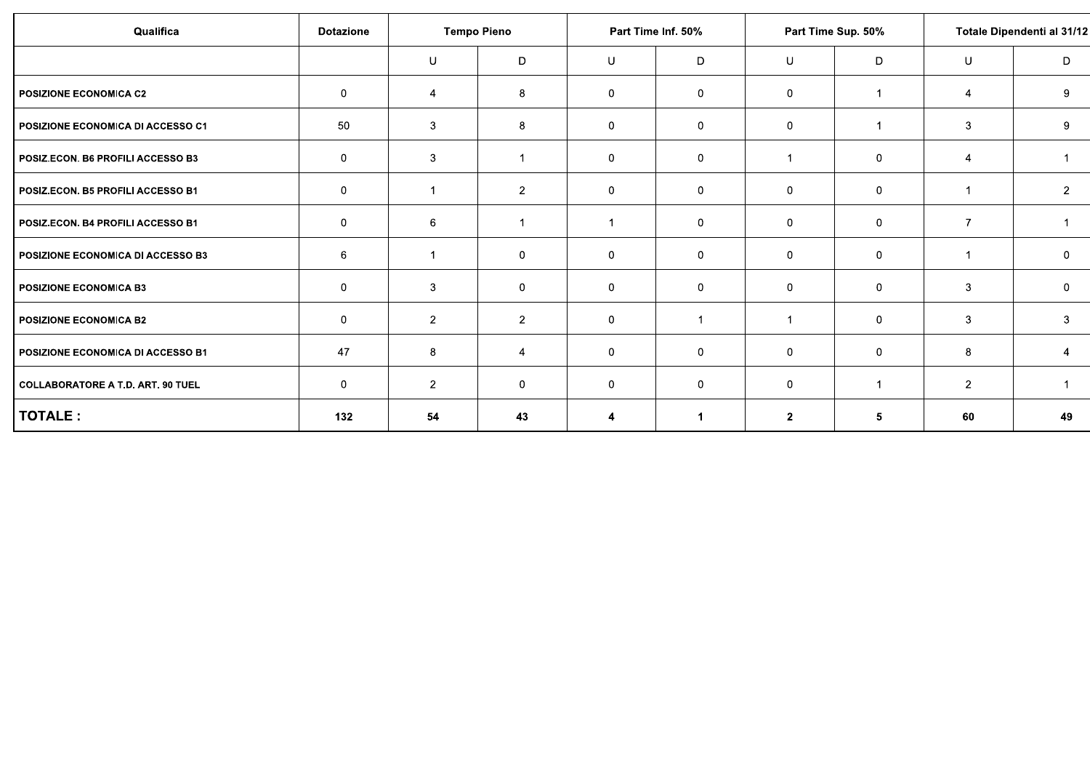| Qualifica                                | <b>Dotazione</b> | <b>Tempo Pieno</b> |                |                | Part Time Inf. 50% |                      | Part Time Sup. 50% | Totale Dipendenti al 31/12 |                |  |
|------------------------------------------|------------------|--------------------|----------------|----------------|--------------------|----------------------|--------------------|----------------------------|----------------|--|
|                                          |                  | U                  | D              | U              | D                  | U                    | D                  | U                          | D              |  |
| <b>POSIZIONE ECONOMICA C2</b>            | $\mathbf 0$      | $\overline{4}$     | 8              | $\overline{0}$ | $\mathbf 0$        | $\mathbf 0$          | -1                 | 4                          | 9              |  |
| POSIZIONE ECONOMICA DI ACCESSO C1        | 50               | 3                  | 8              | $\mathbf 0$    | $\mathbf 0$        | 0                    | $\mathbf{1}$       | 3                          | 9              |  |
| POSIZ.ECON. B6 PROFILI ACCESSO B3        | 0                | 3                  | 1              | $\mathbf 0$    | $\mathbf 0$        | -1                   | $\mathbf 0$        | 4                          |                |  |
| POSIZ.ECON. B5 PROFILI ACCESSO B1        | 0                |                    | $\overline{a}$ | $\overline{0}$ | 0                  | 0                    | $\mathbf 0$        |                            | $\overline{2}$ |  |
| POSIZ.ECON. B4 PROFILI ACCESSO B1        | 0                | 6                  | 1              | -1             | $\mathbf 0$        | 0                    | $\overline{0}$     | $\overline{7}$             |                |  |
| POSIZIONE ECONOMICA DI ACCESSO B3        | 6                | $\overline{1}$     | $\mathbf 0$    | $\mathbf 0$    | $\mathbf 0$        | $\mathbf 0$          | $\mathbf 0$        |                            | $\mathbf 0$    |  |
| <b>POSIZIONE ECONOMICA B3</b>            | 0                | 3                  | $\mathbf 0$    | $\mathbf 0$    | $\mathbf 0$        | 0                    | $\mathbf 0$        | 3                          | $\mathbf 0$    |  |
| <b>POSIZIONE ECONOMICA B2</b>            | 0                | $\overline{2}$     | $\overline{2}$ | $\mathbf 0$    |                    | $\blacktriangleleft$ | $\mathbf 0$        | 3                          | 3              |  |
| POSIZIONE ECONOMICA DI ACCESSO B1        | 47               | 8                  | $\overline{4}$ | $\mathbf 0$    | $\mathbf 0$        | 0                    | $\overline{0}$     | 8                          | 4              |  |
| <b>COLLABORATORE A T.D. ART. 90 TUEL</b> | $\overline{0}$   | $\overline{2}$     | $\mathbf 0$    | $\overline{0}$ | $\mathbf 0$        | $\mathbf 0$          | $\mathbf{1}$       | $\overline{2}$             |                |  |
| TOTALE:                                  | 132              | 54                 | 43             | 4              |                    | $\mathbf{2}$         | 5                  | 60                         | 49             |  |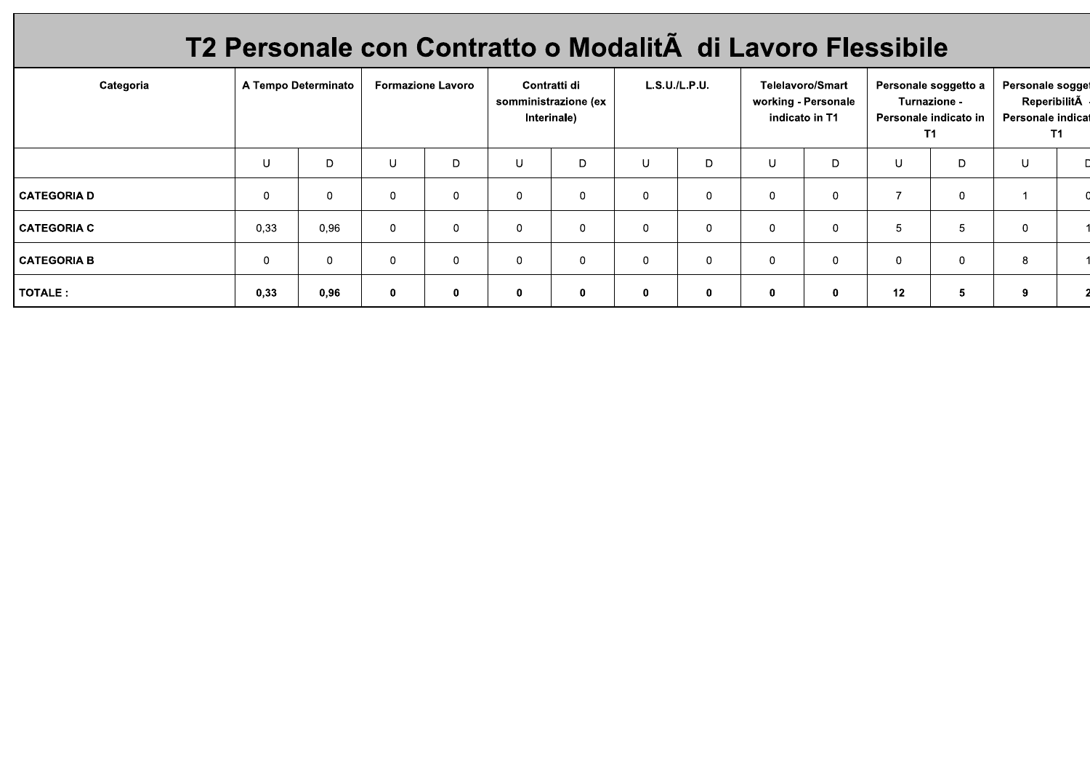# T2 Personale con Contratto o Modalità di Lavoro Flessibile

| Categoria          | A Tempo Determinato |      | <b>Formazione Lavoro</b> |              | Contratti di<br>somministrazione (ex<br>Interinale) |             | L.S.U./L.P.U. |             | <b>Telelavoro/Smart</b><br>working - Personale<br>indicato in T1 |             | Personale soggetto a<br>Turnazione -<br>Personale indicato in<br>T1. |    | Personale sogget<br>ReperibilitÃ<br>Personale indicat<br>T1. |  |
|--------------------|---------------------|------|--------------------------|--------------|-----------------------------------------------------|-------------|---------------|-------------|------------------------------------------------------------------|-------------|----------------------------------------------------------------------|----|--------------------------------------------------------------|--|
|                    | U                   | D    | U                        | D            | U                                                   | D           |               | D.          | U                                                                | D           | U                                                                    | D. | U                                                            |  |
| <b>CATEGORIA D</b> | $\mathbf 0$         | 0    | $\mathbf 0$              | $\mathbf{0}$ | $\Omega$                                            | $\mathbf 0$ | 0             | 0           | $\overline{0}$                                                   | $\Omega$    | $\overline{ }$                                                       | 0  |                                                              |  |
| <b>CATEGORIA C</b> | 0,33                | 0.96 | $\mathbf 0$              | $\mathbf 0$  | $\Omega$                                            | $\mathbf 0$ | $\mathbf 0$   | 0           | $\overline{0}$                                                   | $\Omega$    | 5                                                                    | 5  | 0                                                            |  |
| <b>CATEGORIA B</b> | $\mathbf 0$         | 0    | $\mathbf 0$              | $\mathbf{0}$ | $\mathbf{0}$                                        | $\mathbf 0$ | $\mathbf 0$   | $\mathbf 0$ | $\overline{0}$                                                   | $\mathbf 0$ | $\mathbf 0$                                                          | 0  | 8                                                            |  |
| TOTALE :           | 0,33                | 0,96 | $\mathbf 0$              | $\mathbf{0}$ | $\mathbf 0$                                         | $\mathbf 0$ | 0             | $\mathbf 0$ | $\mathbf{0}$                                                     | $\bf{0}$    | 12                                                                   | 5  | 9                                                            |  |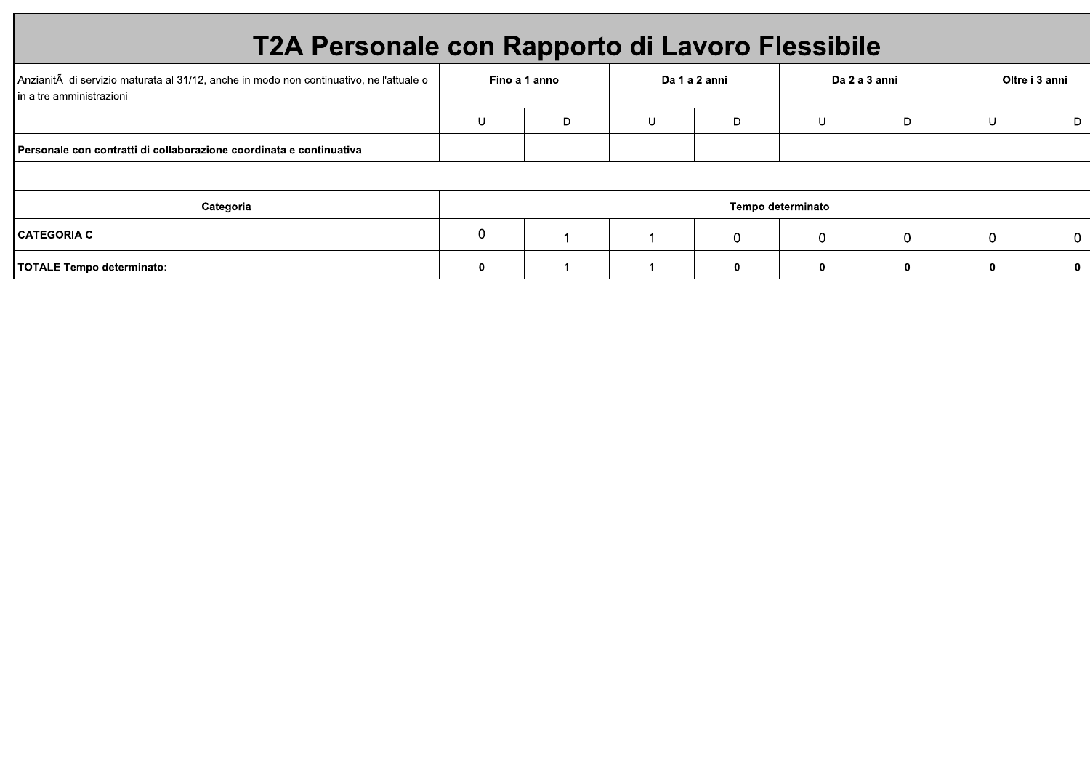# T2A Personale con Rapporto di Lavoro Flessibile

| Anzianità di servizio maturata al 31/12, anche in modo non continuativo, nell'attuale o<br>In altre amministrazioni |   | Fino a 1 anno |                          | Da 1 a 2 anni            |                   | Da 2 a 3 anni            |   | Oltre i 3 anni |  |  |  |
|---------------------------------------------------------------------------------------------------------------------|---|---------------|--------------------------|--------------------------|-------------------|--------------------------|---|----------------|--|--|--|
|                                                                                                                     | U | D             | U                        | D                        | U                 | D                        | U | D              |  |  |  |
| Personale con contratti di collaborazione coordinata e continuativa                                                 |   |               | $\overline{\phantom{a}}$ | $\overline{\phantom{0}}$ |                   | $\overline{\phantom{0}}$ |   |                |  |  |  |
|                                                                                                                     |   |               |                          |                          |                   |                          |   |                |  |  |  |
| Categoria                                                                                                           |   |               |                          |                          | Tempo determinato |                          |   |                |  |  |  |
| <b>CATEGORIA C</b>                                                                                                  | 0 |               |                          | 0                        | $\Omega$          |                          | 0 | $\Omega$       |  |  |  |
| TOTALE Tempo determinato:                                                                                           | 0 |               |                          |                          |                   |                          |   | 0              |  |  |  |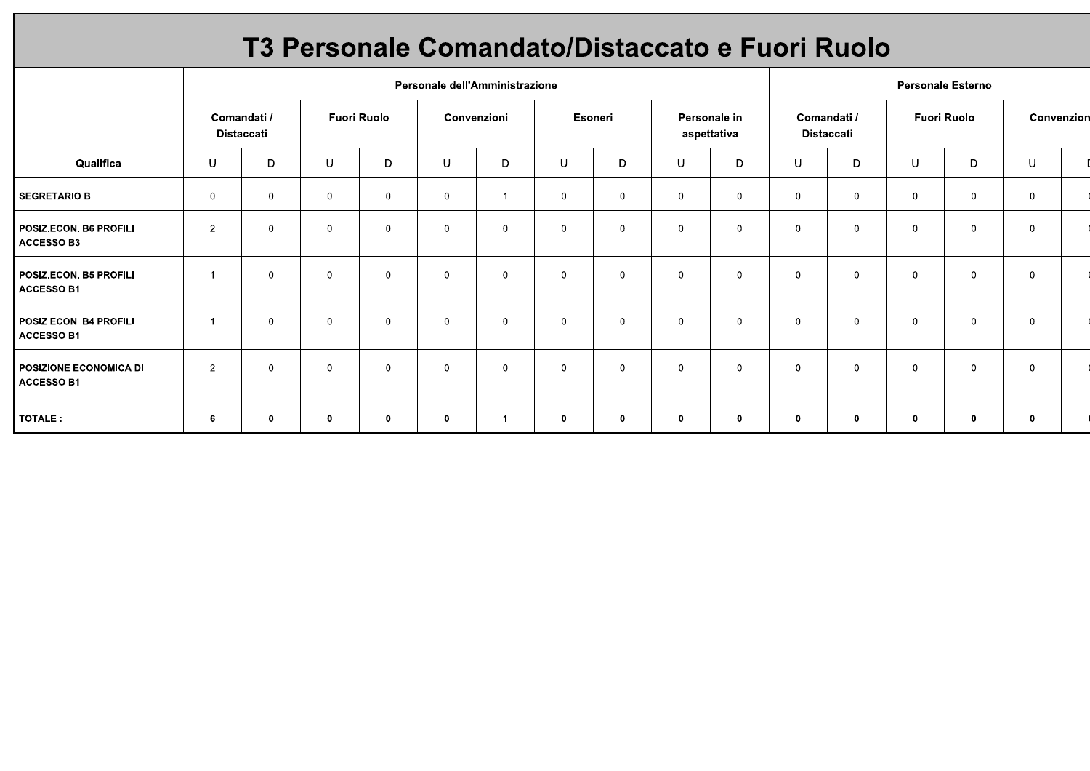## T3 Personale Comandato/Distaccato e Fuori Ruolo

|                                               |                           |              |                    |                |             | Personale dell'Amministrazione |             |              |                             |              | <b>Personale Esterno</b>         |              |                    |              |                |  |
|-----------------------------------------------|---------------------------|--------------|--------------------|----------------|-------------|--------------------------------|-------------|--------------|-----------------------------|--------------|----------------------------------|--------------|--------------------|--------------|----------------|--|
|                                               | Comandati /<br>Distaccati |              | <b>Fuori Ruolo</b> |                | Convenzioni |                                | Esoneri     |              | Personale in<br>aspettativa |              | Comandati /<br><b>Distaccati</b> |              | <b>Fuori Ruolo</b> |              | Convenzion     |  |
| Qualifica                                     | U                         | D            | U                  | D              | U           | D                              | U           | D            | U                           | D            | U                                | D            | U                  | D            | U              |  |
| <b>SEGRETARIO B</b>                           | $\mathbf 0$               | $\mathbf 0$  | $\mathbf{0}$       | $\mathbf 0$    | $\mathbf 0$ |                                | $\mathbf 0$ | $\mathbf 0$  | $\mathbf 0$                 | $\mathbf 0$  | $\mathbf 0$                      | $\mathbf 0$  | $\mathbf 0$        | $\mathbf{0}$ | $\mathbf 0$    |  |
| POSIZ.ECON. B6 PROFILI<br><b>ACCESSO B3</b>   | $\overline{2}$            | $\mathbf 0$  | $\mathbf 0$        | $\mathbf 0$    | 0           | $\mathbf{0}$                   | $\mathbf 0$ | $\mathbf 0$  | 0                           | $\mathbf 0$  | $\mathbf 0$                      | $\mathbf 0$  | $\mathbf 0$        | $\Omega$     | $\mathbf 0$    |  |
| POSIZ.ECON. B5 PROFILI<br><b>ACCESSO B1</b>   | $\overline{1}$            | $\mathbf 0$  | $\mathbf 0$        | $\overline{0}$ | $\mathbf 0$ | $\mathbf 0$                    | $\mathbf 0$ | $\mathbf{0}$ | $\mathbf 0$                 | $\mathbf 0$  | $\overline{0}$                   | $\mathbf{0}$ | $\mathbf 0$        | $\Omega$     | $\overline{0}$ |  |
| POSIZ.ECON. B4 PROFILI<br>ACCESSO B1          | 1                         | 0            | $\mathbf 0$        | $\mathbf 0$    | 0           | $\mathbf 0$                    | $\mathbf 0$ | $\mathbf 0$  | $\mathbf 0$                 | $\mathbf 0$  | $\mathbf 0$                      | $\mathbf 0$  | $\mathbf 0$        | $\mathbf 0$  | $\mathbf 0$    |  |
| I POSIZIONE ECONOMICA DI<br><b>ACCESSO B1</b> | $\overline{2}$            | $\mathbf 0$  | $\mathbf 0$        | $\mathbf 0$    | $\mathbf 0$ | $\mathbf 0$                    | $\mathbf 0$ | $\mathbf 0$  | $\mathbf 0$                 | $\mathbf 0$  | $\mathbf 0$                      | $\mathbf 0$  | $\mathbf 0$        | $\mathbf 0$  | $\mathbf 0$    |  |
| TOTALE:                                       | 6                         | $\mathbf{0}$ | 0                  | $\mathbf 0$    | 0           | $\mathbf 1$                    | $\mathbf 0$ | $\mathbf 0$  | 0                           | $\mathbf{0}$ | $\mathbf 0$                      | $\mathbf 0$  | 0                  | $\mathbf 0$  | $\mathbf 0$    |  |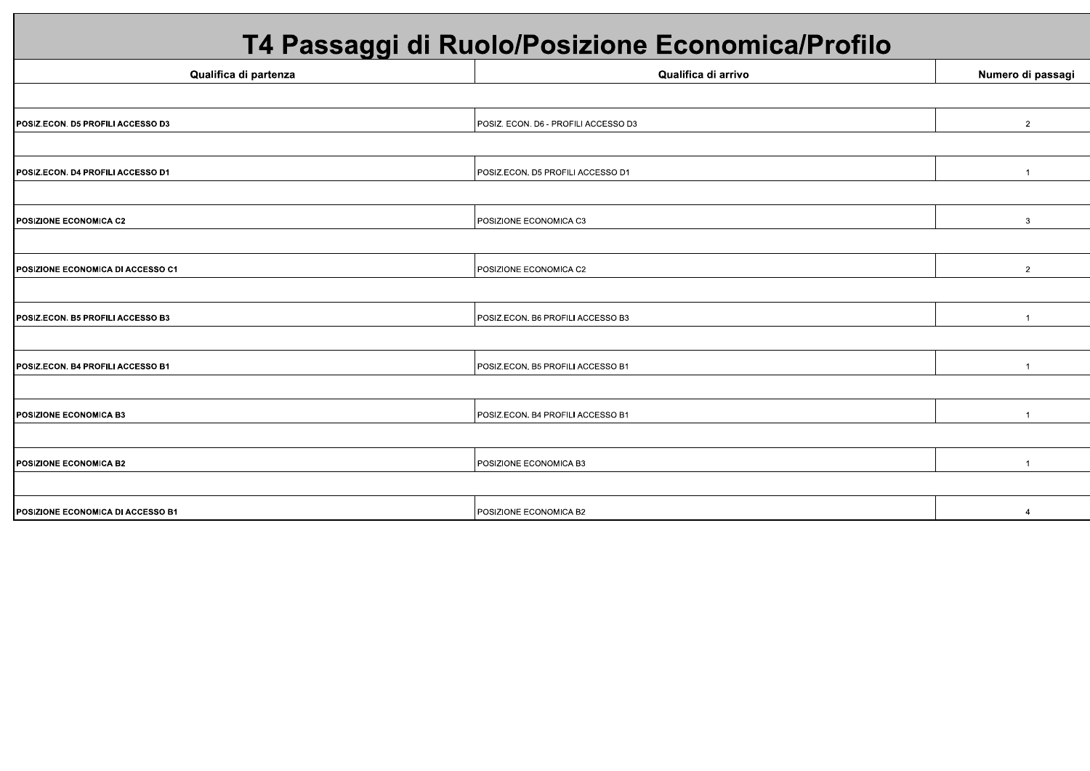# T4 Passaggi di Ruolo/Posizione Economica/Profilo

| Qualifica di partenza             | Qualifica di arrivo                  | Numero di passagi |
|-----------------------------------|--------------------------------------|-------------------|
|                                   |                                      |                   |
| POSIZ.ECON. D5 PROFILI ACCESSO D3 | POSIZ. ECON. D6 - PROFILI ACCESSO D3 | $\overline{2}$    |
|                                   |                                      |                   |
| POSIZ.ECON. D4 PROFILI ACCESSO D1 | POSIZ.ECON. D5 PROFILI ACCESSO D1    |                   |
|                                   |                                      |                   |
| <b>POSIZIONE ECONOMICA C2</b>     | POSIZIONE ECONOMICA C3               | 3                 |
|                                   |                                      |                   |
| POSIZIONE ECONOMICA DI ACCESSO C1 | POSIZIONE ECONOMICA C2               | $\overline{2}$    |
|                                   |                                      |                   |
| POSIZ.ECON. B5 PROFILI ACCESSO B3 | POSIZ.ECON. B6 PROFILI ACCESSO B3    | $\mathbf{1}$      |
|                                   |                                      |                   |
| POSIZ.ECON. B4 PROFILI ACCESSO B1 | POSIZ.ECON. B5 PROFILI ACCESSO B1    | $\overline{1}$    |
|                                   |                                      |                   |
| <b>POSIZIONE ECONOMICA B3</b>     | POSIZ.ECON. B4 PROFILI ACCESSO B1    | $\overline{1}$    |
|                                   |                                      |                   |
| <b>POSIZIONE ECONOMICA B2</b>     | POSIZIONE ECONOMICA B3               | $\overline{1}$    |
|                                   |                                      |                   |
| POSIZIONE ECONOMICA DI ACCESSO B1 | POSIZIONE ECONOMICA B2               |                   |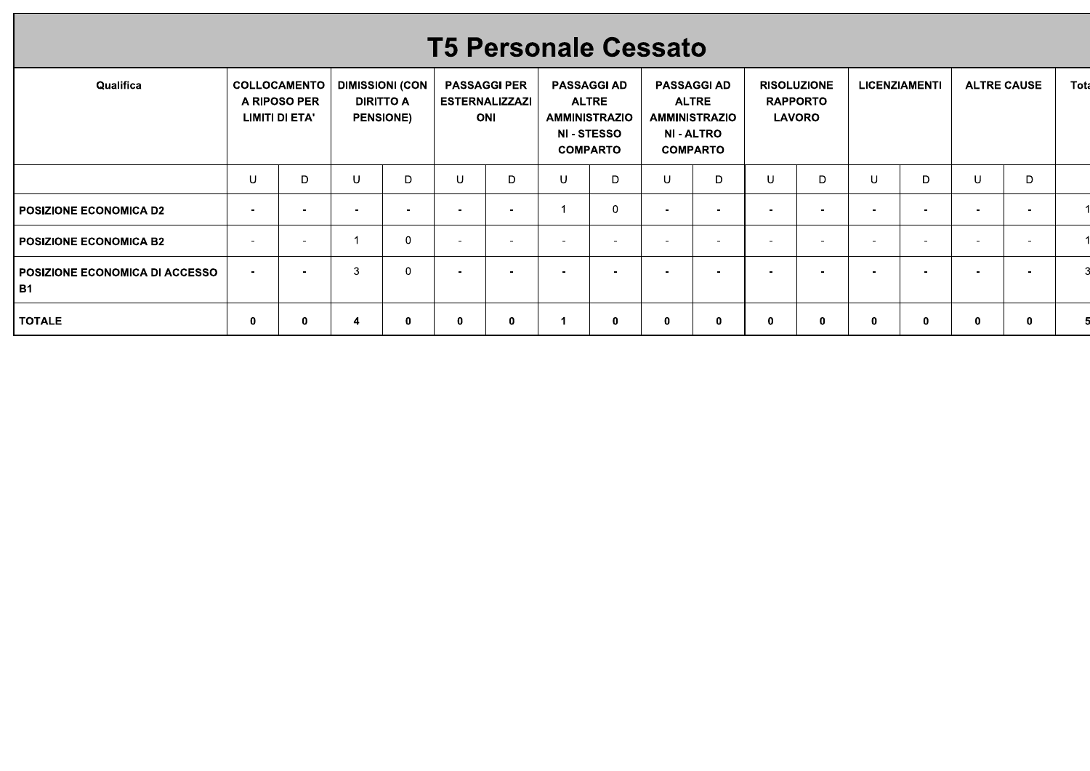## **T5 Personale Cessato**

| Qualifica                                |                          | <b>COLLOCAMENTO</b><br>A RIPOSO PER<br>LIMITI DI ETA' |   | <b>DIMISSIONI (CON</b><br><b>DIRITTO A</b><br><b>PENSIONE)</b> |        | <b>PASSAGGI PER</b><br><b>ESTERNALIZZAZI</b><br>ONI |                          | <b>PASSAGGI AD</b><br><b>ALTRE</b><br><b>AMMINISTRAZIO</b><br><b>NI - STESSO</b><br><b>COMPARTO</b> |                          | <b>PASSAGGI AD</b><br><b>ALTRE</b><br>AMMINISTRAZIO<br><b>NI - ALTRO</b><br><b>COMPARTO</b> |                          | <b>RISOLUZIONE</b><br><b>RAPPORTO</b><br><b>LAVORO</b> |          | <b>LICENZIAMENTI</b>     |                          | <b>ALTRE CAUSE</b> | Tota |
|------------------------------------------|--------------------------|-------------------------------------------------------|---|----------------------------------------------------------------|--------|-----------------------------------------------------|--------------------------|-----------------------------------------------------------------------------------------------------|--------------------------|---------------------------------------------------------------------------------------------|--------------------------|--------------------------------------------------------|----------|--------------------------|--------------------------|--------------------|------|
|                                          | U                        | D                                                     |   | D                                                              | U      | D                                                   | U                        | D                                                                                                   | U                        | D                                                                                           | U                        | D                                                      |          | D                        | U                        | D                  |      |
| POSIZIONE ECONOMICA D2                   | $\overline{\phantom{a}}$ | ٠.                                                    |   | ٠                                                              |        | -                                                   |                          |                                                                                                     | $\overline{\phantom{0}}$ | $\overline{\phantom{0}}$                                                                    | $\overline{\phantom{a}}$ |                                                        |          | $\overline{\phantom{0}}$ | $\overline{\phantom{0}}$ |                    |      |
| I POSIZIONE ECONOMICA B2                 | $\overline{\phantom{a}}$ | <b>100</b>                                            |   | $\mathbf 0$                                                    |        | $\overline{\phantom{0}}$                            | $\overline{\phantom{a}}$ |                                                                                                     | $\overline{\phantom{0}}$ | $\overline{\phantom{a}}$                                                                    | $\overline{\phantom{a}}$ | -                                                      |          | $\overline{\phantom{0}}$ | $\overline{\phantom{0}}$ |                    |      |
| I POSIZIONE ECONOMICA DI ACCESSO<br>l B1 | $\overline{\phantom{a}}$ | $\overline{\phantom{a}}$                              | 3 | $\Omega$                                                       | $\sim$ | . .                                                 | $\overline{\phantom{a}}$ |                                                                                                     | $\overline{\phantom{a}}$ | $\overline{\phantom{a}}$                                                                    | $\sim$                   |                                                        |          | $\blacksquare$           | $\sim$                   |                    |      |
| <b>TOTALE</b>                            | $\mathbf 0$              | 0                                                     | 4 | 0                                                              | 0      | $\mathbf 0$                                         |                          | 0                                                                                                   | $\bf{0}$                 | 0                                                                                           | 0                        | 0                                                      | $\bf{0}$ | 0                        | 0                        | 0                  |      |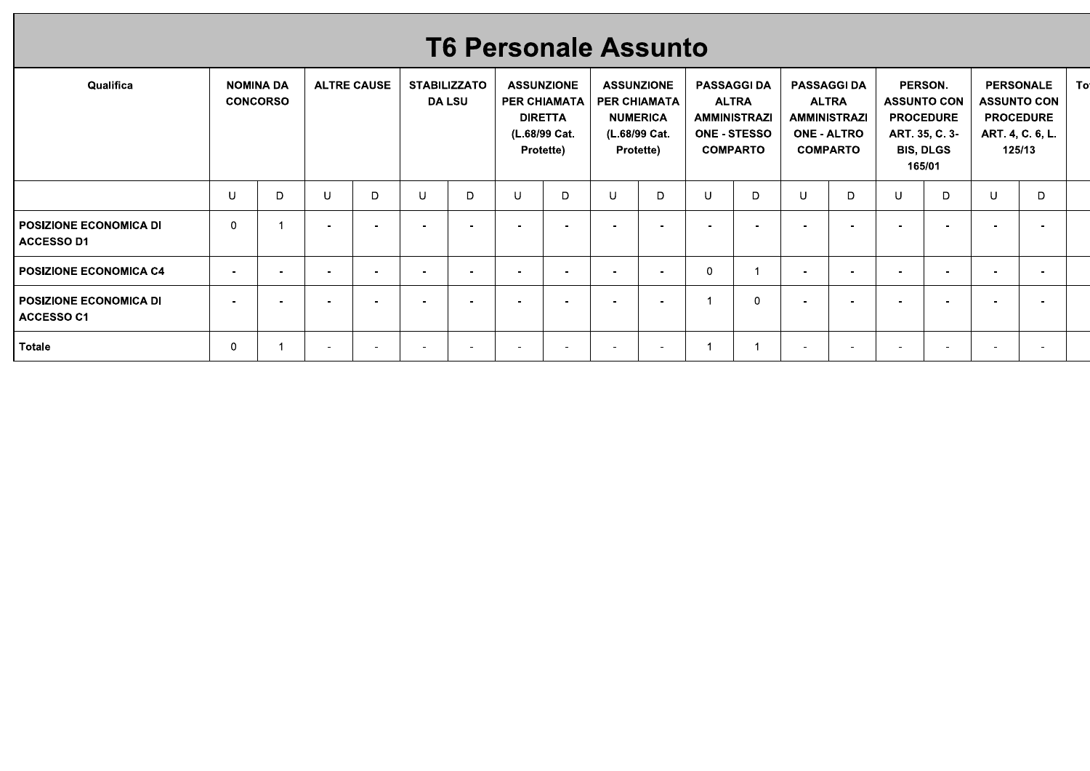|                                             |             |                                     |             |                    |             |                                      |              |                                                                                     | <b>T6 Personale Assunto</b> |                                                                                    |                                                              |                                     |                                                                                                    |                          |                          |                                                                                                   |                          |                                                                                          |    |
|---------------------------------------------|-------------|-------------------------------------|-------------|--------------------|-------------|--------------------------------------|--------------|-------------------------------------------------------------------------------------|-----------------------------|------------------------------------------------------------------------------------|--------------------------------------------------------------|-------------------------------------|----------------------------------------------------------------------------------------------------|--------------------------|--------------------------|---------------------------------------------------------------------------------------------------|--------------------------|------------------------------------------------------------------------------------------|----|
| Qualifica                                   |             | <b>NOMINA DA</b><br><b>CONCORSO</b> |             | <b>ALTRE CAUSE</b> |             | <b>STABILIZZATO</b><br><b>DA LSU</b> |              | <b>ASSUNZIONE</b><br>PER CHIAMATA  <br><b>DIRETTA</b><br>(L.68/99 Cat.<br>Protette) |                             | <b>ASSUNZIONE</b><br>PER CHIAMATA<br><b>NUMERICA</b><br>(L.68/99 Cat.<br>Protette) | <b>PASSAGGI DA</b><br><b>AMMINISTRAZI</b><br><b>COMPARTO</b> | <b>ALTRA</b><br><b>ONE - STESSO</b> | <b>PASSAGGI DA</b><br><b>ALTRA</b><br><b>AMMINISTRAZI</b><br><b>ONE - ALTRO</b><br><b>COMPARTO</b> |                          |                          | PERSON.<br><b>ASSUNTO CON</b><br><b>PROCEDURE</b><br>ART. 35, C. 3-<br><b>BIS, DLGS</b><br>165/01 |                          | <b>PERSONALE</b><br><b>ASSUNTO CON</b><br><b>PROCEDURE</b><br>ART. 4, C. 6, L.<br>125/13 | To |
|                                             | $\sf U$     | D                                   | $\mathsf U$ | D                  | $\mathsf U$ | D                                    | $\mathsf{U}$ | D                                                                                   | $\sf U$                     | D                                                                                  | $\cup$                                                       | D                                   | $\cup$                                                                                             | D                        | $\cup$                   | D                                                                                                 | $\cup$                   | D                                                                                        |    |
| POSIZIONE ECONOMICA DI<br><b>ACCESSO D1</b> | $\mathbf 0$ | $\overline{1}$                      | $\sim$      | $\sim$             | $\sim$      | $\sim$                               | $\sim$       | $\sim$                                                                              | $\sim$                      | $\sim$                                                                             | $\sim$                                                       | $\overline{\phantom{a}}$            | $\sim$                                                                                             | $\overline{\phantom{a}}$ | $\overline{\phantom{a}}$ | $\overline{\phantom{a}}$                                                                          | $\overline{\phantom{a}}$ | $\overline{\phantom{a}}$                                                                 |    |
| POSIZIONE ECONOMICA C4                      | $\sim$      | $\overline{a}$                      | $\sim$      | $\sim$             | $\sim$      | $\sim$                               | $\sim$       | $\sim$                                                                              | $\sim$                      | $\sim$                                                                             | $\overline{0}$                                               | $\overline{1}$                      | $\sim$                                                                                             | $\sim$                   | $\blacksquare$           | $\overline{\phantom{a}}$                                                                          | $\sim$                   | $\sim$                                                                                   |    |
|                                             |             |                                     |             | $\sim$             | $\sim$      | $\sim$                               | $\sim$       | $\sim$                                                                              | $\sim$                      | $\sim$                                                                             | $\overline{1}$                                               | $\mathbf 0$                         | $\sim$                                                                                             | $\sim$                   | $\sim$                   | $\sim$                                                                                            | $\blacksquare$           | $\sim$                                                                                   |    |
| POSIZIONE ECONOMICA DI<br>ACCESSO C1        | $\sim$      | $\sim$                              | $\sim$      |                    |             |                                      |              |                                                                                     |                             |                                                                                    |                                                              |                                     |                                                                                                    |                          |                          |                                                                                                   |                          |                                                                                          |    |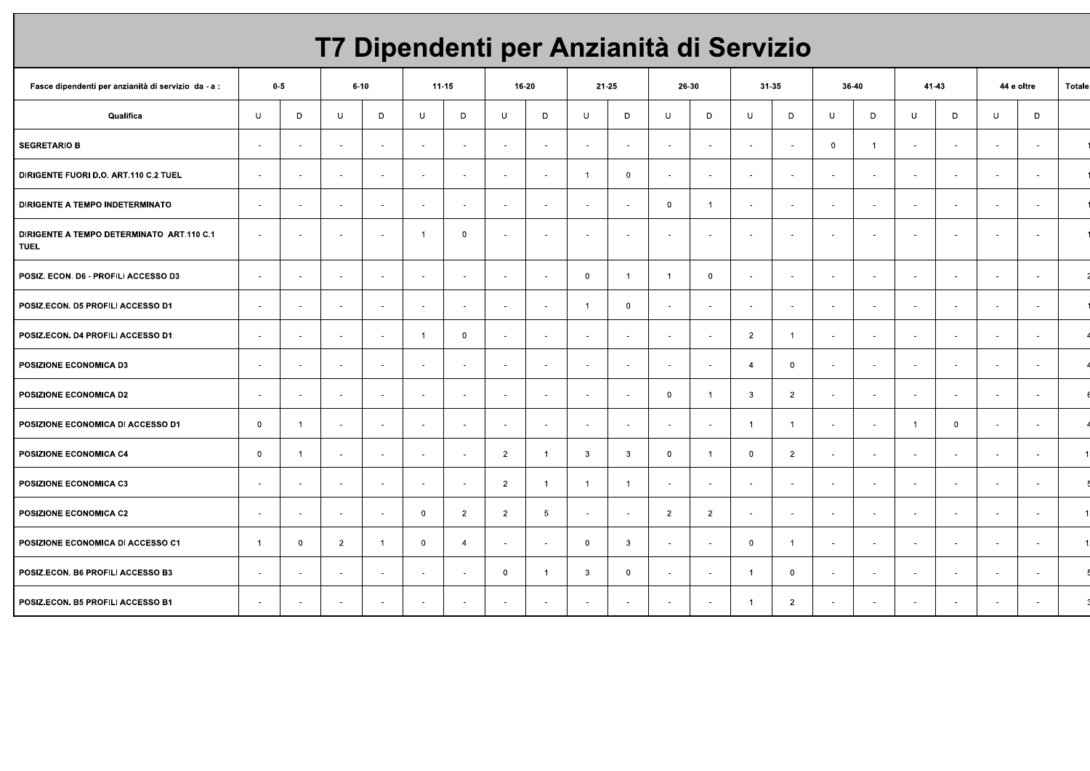# T7 Dipendenti per Anzianità di Servizio

| Fasce dipendenti per anzianità di servizio da - a :      |                | $0-5$          |                          | $6 - 10$                 |                          | $11 - 15$      |                | 16-20           | 21-25                    |                         | 26-30                    |                |                          | 31-35          | 36-40       |                          | 41-43    |                          |        | 44 e oltre | Totale |
|----------------------------------------------------------|----------------|----------------|--------------------------|--------------------------|--------------------------|----------------|----------------|-----------------|--------------------------|-------------------------|--------------------------|----------------|--------------------------|----------------|-------------|--------------------------|----------|--------------------------|--------|------------|--------|
| Qualifica                                                | U              | D              | U                        | D                        | U                        | D              | U              | D               | $\cup$                   | D                       | U                        | D              | $\cup$                   | D              | $\cup$      | D                        | U        | D                        | $\cup$ | D          |        |
| <b>SEGRETARIO B</b>                                      | $\sim$         | $\sim$         | $\sim$                   | $\sim$                   | $\sim$                   | $\sim$         | $\sim$         | $\sim$          | $\sim$                   | $\sim$                  | $\sim$                   | $\sim$         | $\sim$                   | $\sim$         | $\mathbf 0$ |                          | $\sim$   | $\sim$                   | $\sim$ | $\sim$     |        |
| DIRIGENTE FUORI D.O. ART.110 C.2 TUEL                    | $\sim$         | $\sim$         | $\sim$                   |                          | $\sim$                   | $\sim$         | $\sim$         | $\sim$          | -1                       | $\overline{\mathbf{0}}$ | $\sim$                   | $\sim$         | $\mathbf{r}$             | $\sim$         | $\sim$      | $\sim$                   | $\sim$   | $\sim$                   | $\sim$ | $\sim$     |        |
| DIRIGENTE A TEMPO INDETERMINATO                          | $\sim$         | $\sim$         | $\sim$                   |                          | $\sim$                   | $\sim$         | $\sim$         | $\sim$          | $\sim$                   | $\sim$                  | $\mathbf 0$              | $\overline{1}$ | $\mathbf{r}$             | $\sim$         | $\sim$      | $\sim$                   | $\sim$   | $\sim$                   | $\sim$ | $\sim$     |        |
| DIRIGENTE A TEMPO DETERMINATO ART.110 C.1<br><b>TUEL</b> | $\sim$         | $\sim$         | $\overline{a}$           |                          | -1                       | $\mathbf 0$    | ÷.             | $\sim$          |                          | $\sim$                  | $\overline{a}$           | $\sim$         | $\sim$                   | $\sim$         | $\sim$      | $\sim$                   |          | $\sim$                   | $\sim$ | $\sim$     |        |
| POSIZ. ECON. D6 - PROFILI ACCESSO D3                     | $\sim$         | $\sim$         | $\sim$                   |                          | $\sim$                   | $\sim$         | $\sim$         | $\sim$          | $\mathbf{0}$             | $\overline{1}$          | $\overline{1}$           | $\mathbf 0$    | $\overline{\phantom{a}}$ | $\sim$         | $\sim$      | $\sim$                   | <b>.</b> | $\sim$                   | $\sim$ | $\sim$     |        |
| POSIZ.ECON. D5 PROFILI ACCESSO D1                        | $\sim$         | $\sim$         | $\sim$                   |                          | $\sim$                   | $\sim$         | $\sim$         | $\sim$          | $\overline{1}$           | $\overline{0}$          | $\overline{\phantom{a}}$ | $\sim$         | $\blacksquare$           | $\sim$         | $\sim$      | $\sim$                   | $\sim$   | $\sim$                   | $\sim$ | $\sim$     |        |
| POSIZ.ECON. D4 PROFILI ACCESSO D1                        | $\sim$         | $\sim$         | $\sim$                   |                          | $\overline{1}$           | $\mathbf 0$    | $\sim$         | $\sim$          | $\sim$                   | $\sim$                  | $\sim$                   | $\sim$         | $\overline{2}$           | $\overline{1}$ | $\sim$      | $\sim$                   | $\sim$   | $\sim$                   | $\sim$ | $\sim$     |        |
| POSIZIONE ECONOMICA D3                                   | $\sim$         | $\blacksquare$ | $\sim$                   | $\sim$                   | $\overline{\phantom{a}}$ | $\sim$         | $\sim$         | $\blacksquare$  | $\sim$                   | $\sim$                  | $\sim$                   | $\sim$         | $\overline{4}$           | $\mathbf 0$    | $\sim$      | $\overline{\phantom{a}}$ | $\sim$   | $\overline{\phantom{a}}$ | $\sim$ | $\sim$     |        |
| POSIZIONE ECONOMICA D2                                   | $\sim$         | $\sim$         | $\sim$                   | $\overline{\phantom{a}}$ | $\sim$                   | $\sim$         | $\sim$         | $\sim$          | $\sim$                   | $\sim$                  | $\mathbf 0$              | $\overline{1}$ | $\mathbf{3}$             | $\overline{2}$ | $\sim$      | $\sim$                   | $\sim$   | $\sim$                   | $\sim$ | $\sim$     |        |
| POSIZIONE ECONOMICA DI ACCESSO D1                        | $\mathbf 0$    | - 1            | $\sim$                   | $\sim$                   | $\sim$                   | $\sim$         | $\sim$         | $\sim$          | $\sim$                   | $\sim$                  | $\sim$                   | $\sim$         | $\overline{1}$           | $\overline{1}$ | $\sim$      | $\overline{\phantom{a}}$ | -1       | $\overline{0}$           | $\sim$ | $\sim$     |        |
| POSIZIONE ECONOMICA C4                                   | $\mathbf 0$    | -1             | $\sim$                   | . .                      | $\sim$                   | $\sim$         | $\overline{2}$ | -1              | 3                        | $\overline{\mathbf{3}}$ | 0                        | $\overline{1}$ | $\overline{0}$           | $\overline{2}$ | $\sim$      | $\sim$                   | $\sim$   | $\sim$                   | $\sim$ | $\sim$     |        |
| POSIZIONE ECONOMICA C3                                   | $\sim$         | $\sim$         | $\sim$                   |                          | $\sim$                   | $\sim$         | $\overline{2}$ | -1              | $\overline{1}$           | $\overline{1}$          | $\sim$                   | $\sim$         | $\blacksquare$           | $\sim$         | $\sim$      | $\sim$                   |          | $\sim$                   | $\sim$ | $\sim$     |        |
| POSIZIONE ECONOMICA C2                                   | . —            | $\sim$         | $\overline{\phantom{a}}$ |                          | $\overline{0}$           | $\overline{2}$ | $\overline{2}$ | $5\phantom{.0}$ | - 10                     | $\sim$                  | $\overline{2}$           | $\overline{2}$ | $\blacksquare$           | $\sim$         | $\sim$      | $\sim$                   | . н.     | $\sim$                   | $\sim$ | $\sim$     |        |
| POSIZIONE ECONOMICA DI ACCESSO C1                        | $\overline{1}$ | $\mathbf 0$    | $\overline{2}$           | -1                       | $\overline{0}$           | $\overline{4}$ | $\sim$         | $\sim$          | $\mathbf{0}$             | $\mathbf{3}$            | $\sim$                   | $\sim$         | $\overline{0}$           | $\overline{1}$ | $\sim$      | $\sim$                   | . .      | $\sim$                   | $\sim$ | $\sim$     |        |
| POSIZ.ECON. B6 PROFILI ACCESSO B3                        | $\sim$         | $\blacksquare$ | $\overline{\phantom{a}}$ |                          | $\sim$                   | $\sim$         | $\mathbf 0$    | $\overline{1}$  | $\mathbf{3}$             | $\overline{0}$          | $\sim$                   | $\sim$         | $\overline{1}$           | $\mathbf 0$    | $\sim$      | $\sim$                   | $\sim$   | $\sim$                   | $\sim$ | $\sim$     |        |
| POSIZ.ECON. B5 PROFILI ACCESSO B1                        | $\sim$         | $\sim$         | $\sim$                   |                          | $\sim$                   | $\sim$         | $\sim$         | $\sim$          | $\overline{\phantom{a}}$ | $\sim$                  | $\overline{\phantom{a}}$ | $\sim$         | $\overline{1}$           | $\overline{2}$ | $\sim$      | $\sim$                   | $\sim$   | $\sim$                   | $\sim$ | $\sim$     |        |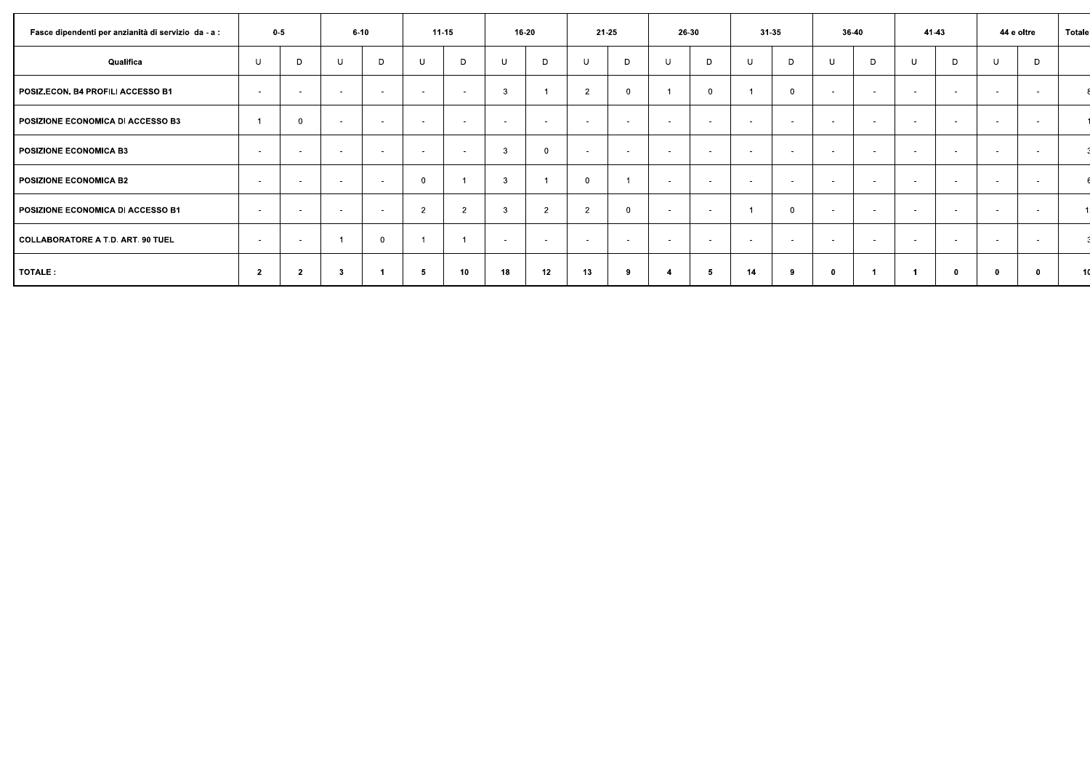| Fasce dipendenti per anzianità di servizio da - a : | $0-5$          |                          |        | $6 - 10$ |                | $11 - 15$      |                | 16-20          |                | 21-25        |        | 26-30          |        | 31-35             |                | 36-40       |        | 41-43       |             | 44 e oltre  | Totale |
|-----------------------------------------------------|----------------|--------------------------|--------|----------|----------------|----------------|----------------|----------------|----------------|--------------|--------|----------------|--------|-------------------|----------------|-------------|--------|-------------|-------------|-------------|--------|
| Qualifica                                           | U              | D                        | U      | D        | -U             | D              | <b>U</b>       | D              | <b>U</b>       | D            | U      | D              | U      | D                 | U              | D           | U      | D           | U           | D           |        |
| POSIZ.ECON. B4 PROFILI ACCESSO B1                   | $\sim$         | $\overline{\phantom{a}}$ |        | . .      | $\sim$         | $\sim$         | $\mathbf{3}$   |                | $\overline{2}$ | $\Omega$     |        | $\overline{0}$ |        | $\Omega$          |                | $\sim$      | $\sim$ | $\sim$      | $\sim$      | $\sim$      |        |
| POSIZIONE ECONOMICA DI ACCESSO B3                   |                | $\Omega$                 | $\sim$ | $\sim$   | $\sim$         | $\sim$         | $\sim$         | $\sim$         | $\sim$         | $\sim$       | $\sim$ | $\sim$         | $\sim$ | $\sim$            | $\overline{a}$ | $\sim$      | $\sim$ | $\sim$      | $\sim$      | $\sim$      |        |
| <b>POSIZIONE ECONOMICA B3</b>                       | $\sim$         | $\sim$                   | $\sim$ | $\sim$   | $\sim$         | $\sim$         | $\overline{3}$ | $\mathbf{0}$   | $\sim$         | $\sim$       | . .    | $\sim$         | $\sim$ | <b>CONTRACTOR</b> | $\sim$         | $\sim$      | $\sim$ | $\sim$      | $\sim$      | <b>1999</b> |        |
| POSIZIONE ECONOMICA B2                              | <b>COL</b>     | $\sim$                   | $\sim$ | $\sim$   | $\mathbf 0$    |                | $\overline{3}$ |                |                |              | . .    | $\sim$         | $\sim$ | <b>CONTRACTOR</b> | $\sim$         | $\sim$      | $\sim$ | $\sim$      | $\sim$      | $\sim$      |        |
| POSIZIONE ECONOMICA DI ACCESSO B1                   | $\sim$         | $\sim$                   | $\sim$ | $\sim$   | $\overline{2}$ | $\overline{2}$ | 3              | $\overline{2}$ | $\overline{2}$ | $\mathbf{0}$ | . .    | $\sim$         |        | $\Omega$          | . .            | . .         | $\sim$ | . .         | $\sim$      | <b>1999</b> |        |
| COLLABORATORE A T.D. ART. 90 TUEL                   | <b>COL</b>     | $\sim$                   |        | $\Omega$ |                |                | $\sim$         | $\sim$         | <b>1999</b>    | <b>1999</b>  |        | $\sim$         | . .    | <b>умера</b>      | . .            | <b>1100</b> | $\sim$ | - 11        | <b>1999</b> | <b>1999</b> |        |
| TOTALE :                                            | $\overline{2}$ | $\overline{2}$           | 3      |          | 5              | 10             | 18             | 12             | 13             | 9            |        | -5             | 14     | -9                |                |             |        | $\mathbf 0$ | $\mathbf 0$ |             |        |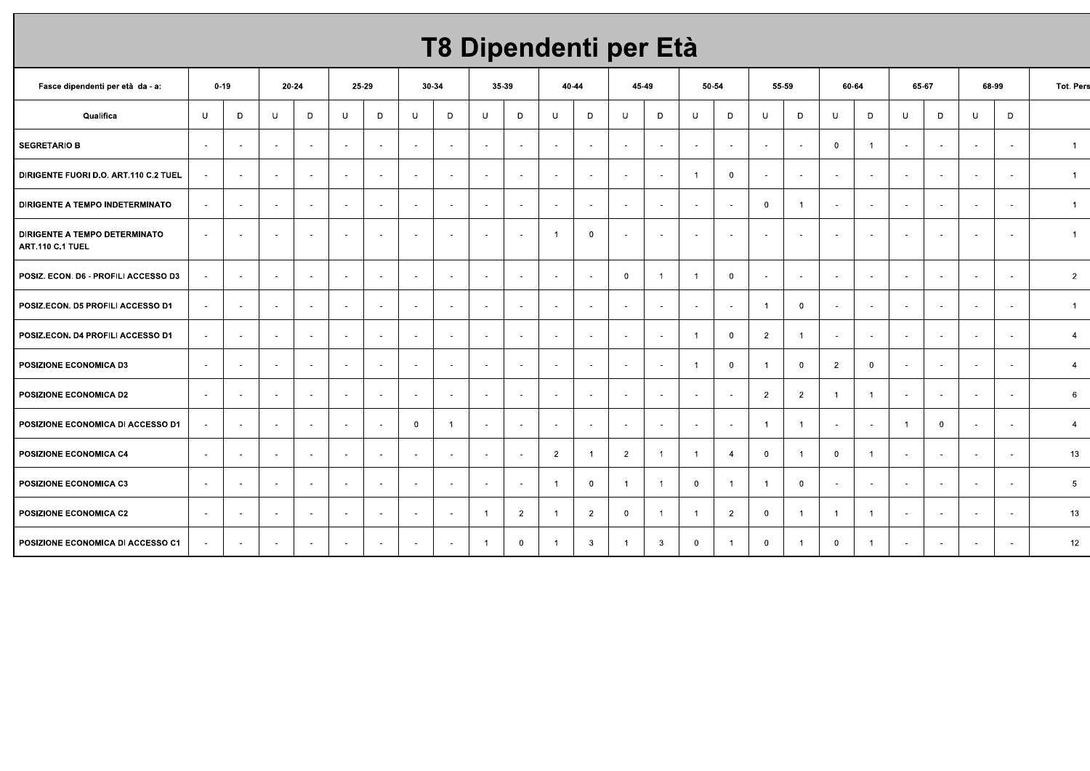# T8 Dipendenti per Età

| Fasce dipendenti per età da - a:                         | $0 - 19$ |                          | 20-24  |                          |        | 25-29                    |                          | 30-34          |                          | 35-39          |                          | 40-44          |                | 45-49        |                          | 50-54                    |                | 55-59          | 60-64          |                          | 65-67          |             | 68-99                    |                          | Tot. Pers      |
|----------------------------------------------------------|----------|--------------------------|--------|--------------------------|--------|--------------------------|--------------------------|----------------|--------------------------|----------------|--------------------------|----------------|----------------|--------------|--------------------------|--------------------------|----------------|----------------|----------------|--------------------------|----------------|-------------|--------------------------|--------------------------|----------------|
| Qualifica                                                | U        | D                        | U      | D                        | U      | D                        | U                        | D              | U                        | D              | <b>U</b>                 | D              | U              | D            | U                        | D                        | $\cup$         | D              | U              | D                        | U              | D           | $\cup$                   | D                        |                |
| <b>SEGRETARIO B</b>                                      | $\sim$   | ٠.                       | $\sim$ | $\sim$                   | $\sim$ | $\sim$                   | $\sim$                   | $\sim$         |                          | $\sim$         | $\overline{\phantom{a}}$ | $\sim$         | $\sim$         | $\sim$       | $\overline{\phantom{a}}$ | $\sim$                   | $\sim$         | $\sim$         | $\overline{0}$ | $\overline{1}$           | $\sim$         | $\sim$      | $\sim$                   | $\sim$                   | $\mathbf{1}$   |
| DIRIGENTE FUORI D.O. ART.110 C.2 TUEL                    | $\sim$   | $\sim$                   | $\sim$ | $\sim$                   | $\sim$ | $\sim$                   | $\sim$                   | $\sim$         | $\sim$                   | $\sim$         | $\sim$                   | $\sim$         | $\sim$         | $\sim$       | $\overline{1}$           | $\overline{0}$           | $\sim$         | $\sim$         | $\sim$         | $\sim$                   | $\sim$         | $\sim$      | $\sim$                   | $\sim$                   | $\overline{1}$ |
| <b>DIRIGENTE A TEMPO INDETERMINATO</b>                   | $\sim$   | $\overline{\phantom{a}}$ | $\sim$ | $\sim$                   | $\sim$ | $\sim$                   | $\sim$                   | $\sim$         | $\sim$                   | $\sim$         | $\overline{\phantom{a}}$ | $\sim$         | $\sim$         | $\sim$       | $\overline{\phantom{a}}$ | $\overline{\phantom{a}}$ | $\mathbf 0$    | -1             | $\sim$         | $\sim$                   | $\sim$         | $\sim$      | $\overline{\phantom{a}}$ | $\sim$                   | -1             |
| <b>DIRIGENTE A TEMPO DETERMINATO</b><br>ART.110 C.1 TUEL | $\sim$   | . .                      | $\sim$ | $\sim$                   | $\sim$ | $\sim$                   | $\sim$                   | $\sim$         | $\sim$                   | $\sim$         | -1                       | $\overline{0}$ | $\sim$         | $\sim$       | $\overline{\phantom{a}}$ | $\sim$                   | $\sim$         | $\sim$         | $\sim$         | $\sim$                   | $\sim$         | $\sim$      | $\overline{\phantom{a}}$ | $\sim$                   | $\overline{1}$ |
| POSIZ. ECON. D6 - PROFILI ACCESSO D3                     | $\sim$   | $\overline{\phantom{a}}$ | $\sim$ | $\sim$                   | $\sim$ | $\sim$                   | $\sim$                   | $\sim$         | $\overline{\phantom{a}}$ | $\sim$         | $\sim$                   | $\sim$         | $\overline{0}$ | $\mathbf{1}$ | $\overline{1}$           | $\overline{0}$           | $\sim$         | $\sim$         | $\sim$         | $\sim$                   | $\sim$         | $\sim$      | $\sim$                   | $\sim$                   | $\overline{2}$ |
| POSIZ.ECON. D5 PROFILI ACCESSO D1                        | $\sim$   | $\overline{\phantom{a}}$ | $\sim$ | $\sim$                   | $\sim$ | $\sim$                   | $\sim$                   | $\sim$         | $\sim$                   | $\sim$         | $\sim$                   | $\sim$         | $\sim$         | $\sim$       | $\overline{\phantom{a}}$ | $\sim$                   | $\overline{1}$ | $\mathbf 0$    | $\sim$         | $\overline{\phantom{a}}$ | $\sim$         | $\sim$      | $\sim$                   | $\sim$                   | -1             |
| POSIZ.ECON. D4 PROFILI ACCESSO D1                        | $\sim$   |                          | $\sim$ | $\sim$                   | $\sim$ | $\sim$                   | $\sim$                   | $\sim$         | $\sim$                   | $\sim$         | $\overline{\phantom{a}}$ | $\sim$         | $\sim$         | $\sim$       | - 1                      | $\overline{0}$           | $\overline{2}$ | -1             | $\sim$         | $\overline{\phantom{a}}$ | $\sim$         | $\sim$      | $\sim$                   | $\overline{\phantom{a}}$ | 4              |
| POSIZIONE ECONOMICA D3                                   | $\sim$   |                          | $\sim$ | $\sim$                   | $\sim$ | $\sim$                   | $\sim$                   | $\sim$         | $\sim$                   | $\sim$         | $\overline{\phantom{a}}$ | $\sim$         | $\sim$         | $\sim$       | $\overline{1}$           | $\overline{0}$           | $\overline{1}$ | $\mathbf 0$    | $\overline{2}$ | $\mathbf 0$              | $\sim$         | $\sim$      | $\sim$                   | $\sim$                   | $\overline{4}$ |
| POSIZIONE ECONOMICA D2                                   | $\sim$   |                          | $\sim$ | $\sim$                   | $\sim$ | ۰.                       | $\overline{\phantom{a}}$ | $\sim$         |                          | $\sim$         | $\overline{\phantom{a}}$ | $\sim$         | $\sim$         | $\sim$       | $\overline{\phantom{a}}$ |                          | $\overline{2}$ | $\overline{2}$ | $\overline{1}$ | $\overline{1}$           | $\sim$         |             | $\overline{\phantom{a}}$ | $\overline{\phantom{a}}$ | 6              |
| POSIZIONE ECONOMICA DI ACCESSO D1                        | $\sim$   | $\overline{\phantom{a}}$ | $\sim$ | $\overline{\phantom{a}}$ | $\sim$ | $\sim$                   | $\mathbf{0}$             | $\overline{1}$ |                          | $\sim$         | $\overline{\phantom{a}}$ | $\sim$         | $\sim$         | $\sim$       | $\blacksquare$           |                          | $\overline{1}$ | -1             | $\sim$         | $\overline{\phantom{a}}$ | $\overline{1}$ | $\mathbf 0$ | $\sim$                   | $\sim$                   | $\overline{4}$ |
| POSIZIONE ECONOMICA C4                                   | $\sim$   |                          | $\sim$ | $\sim$                   | $\sim$ | $\overline{\phantom{a}}$ | $\overline{\phantom{a}}$ | $\sim$         |                          | $\sim$         | $\overline{2}$           | $\overline{1}$ | $\overline{2}$ | $\mathbf{1}$ | $\overline{1}$           | $\overline{a}$           | $\overline{0}$ | - 1            | $\overline{0}$ | $\overline{1}$           | $\sim$         | . .         | $\sim$                   | $\overline{\phantom{a}}$ | 13             |
| POSIZIONE ECONOMICA C3                                   | $\sim$   | $\overline{\phantom{a}}$ | $\sim$ | $\sim$                   | $\sim$ | $\sim$                   | $\sim$                   | $\sim$         | $\sim$                   | $\sim$         | -1                       | $\overline{0}$ | $\overline{1}$ | $\mathbf{1}$ | $\overline{0}$           | $\overline{1}$           | $\overline{1}$ | $\mathbf{0}$   | $\sim$         | $\sim$                   | $\sim$         | $\sim$      | $\sim$                   | $\sim$                   | 5              |
| POSIZIONE ECONOMICA C2                                   | $\sim$   | $\overline{\phantom{a}}$ | $\sim$ | $\sim$                   | $\sim$ | $\sim$                   | $\sim$                   | $\sim$         | - 1                      | $\overline{2}$ | -1                       | $\overline{2}$ | $\mathbf 0$    | $\mathbf{1}$ | $\overline{1}$           | $\overline{2}$           | $\mathbf{0}$   | -1             | $\overline{1}$ | $\overline{1}$           | $\sim$         | $\sim$      | $\sim$                   | $\sim$                   | 13             |
| POSIZIONE ECONOMICA DI ACCESSO C1                        | $\sim$   | $\overline{\phantom{a}}$ | $\sim$ | $\sim$                   | $\sim$ | $\sim$                   | $\sim$                   | $\sim$         | $\overline{1}$           | $\mathbf{0}$   | -1                       | 3              | $\overline{1}$ | $\mathbf{3}$ | $\mathbf 0$              | $\mathbf{1}$             | $\overline{0}$ | -1             | $\mathbf{0}$   | $\overline{1}$           | $\sim$         | $\sim$      | $\sim$                   | $\sim$                   | 12             |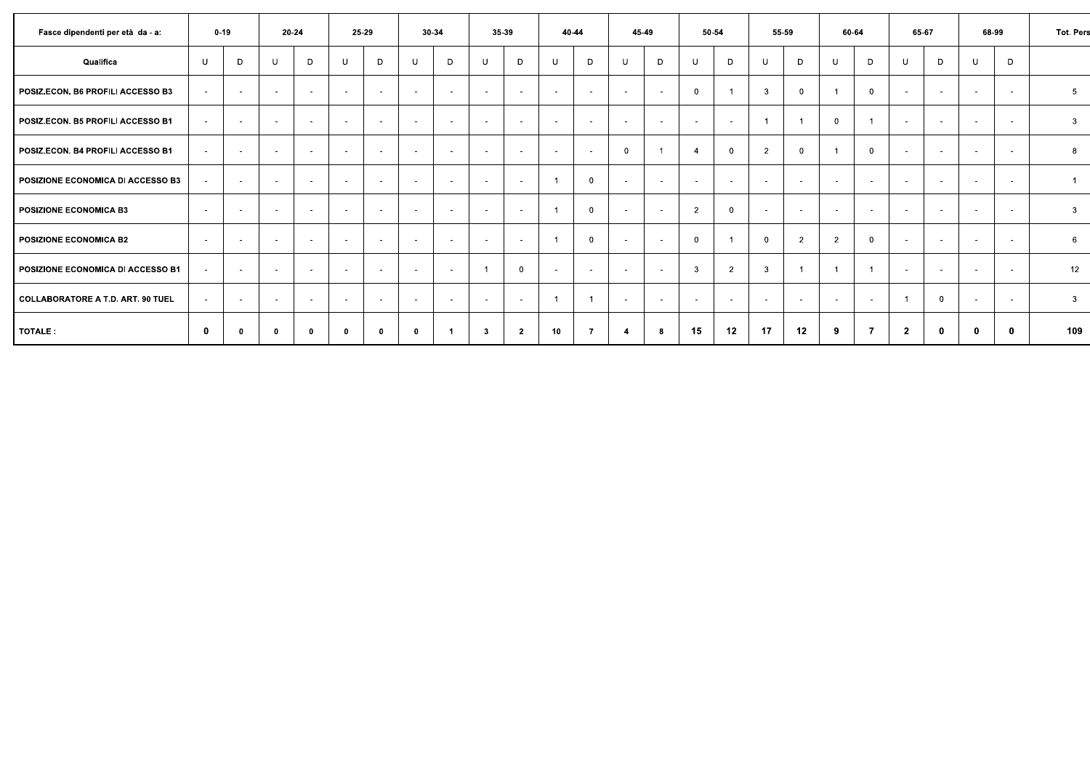| Fasce dipendenti per età da - a:  |        | $0 - 19$                 |                          | 20-24        | 25-29       |             |        | 30-34                    | 35-39                    |                |          | 40-44          |              | 45-49                    |                          | 50-54          | 55-59          |                | 60-64          |                | 65-67                    |                          |        | 68-99      | Tot. Pers               |
|-----------------------------------|--------|--------------------------|--------------------------|--------------|-------------|-------------|--------|--------------------------|--------------------------|----------------|----------|----------------|--------------|--------------------------|--------------------------|----------------|----------------|----------------|----------------|----------------|--------------------------|--------------------------|--------|------------|-------------------------|
| Qualifica                         | U      | D                        | U                        | D            | U           | D           | -U     | D                        | U                        | D              | <b>U</b> | D              | U            | D.                       | U                        | D              | U              | D              | U              | D              | U                        | D                        | -U     | D          |                         |
| POSIZ.ECON. B6 PROFILI ACCESSO B3 | $\sim$ | $\sim$                   | $\sim$                   | $\sim$       | $\sim$      | $\sim$      | $\sim$ | $\sim$                   | $\sim$                   | $\sim$         | $\sim$   | $\sim$         | $\sim$       | $\overline{\phantom{a}}$ | $\Omega$                 |                | 3              | $\Omega$       |                | $\Omega$       | $\sim$                   | $\overline{\phantom{a}}$ | . .    | $\sim$     | 5                       |
| POSIZ.ECON. B5 PROFILI ACCESSO B1 | $\sim$ | $\overline{\phantom{a}}$ | $\sim$                   | $\sim$       | $\sim$      | $\sim$      | $\sim$ | $\overline{\phantom{a}}$ | $\overline{\phantom{a}}$ | $\sim$         | $\sim$   | $\sim$         | $\sim$       | $\overline{\phantom{a}}$ | $\overline{\phantom{a}}$ |                |                |                | $\mathbf 0$    |                | $\overline{\phantom{a}}$ | $\overline{\phantom{a}}$ |        | $\sim$     | $\overline{\mathbf{3}}$ |
| POSIZ.ECON. B4 PROFILI ACCESSO B1 | $\sim$ | $\overline{\phantom{a}}$ | $\sim$                   | $\sim$       | $\sim$      | $\sim$      | $\sim$ | $\sim$                   | $\sim$                   | $\sim$         | $\sim$   | $\sim$         | $\mathbf{0}$ |                          | $\overline{4}$           | $\Omega$       | $\overline{2}$ | $\Omega$       | - 1            | $\mathbf{0}$   | $\sim$                   | $\sim$                   | $\sim$ | $\sim$     | 8                       |
| POSIZIONE ECONOMICA DI ACCESSO B3 | $\sim$ | $\sim$                   | $\sim$                   | $\sim$       | $\sim$      | $\sim$      | $\sim$ | $\sim$                   | $\sim$                   | $\sim$         |          | $\Omega$       | $\sim$       | $\sim$                   | $\sim$                   | $\sim$         | $\sim$         | <b>1999</b>    | $\sim$         | $\sim$         | $\sim$                   | $\sim$                   | $\sim$ | $\sim$     | $\overline{1}$          |
| POSIZIONE ECONOMICA B3            |        |                          | $\sim$                   | $\sim$       | $\sim$      | . .         | $\sim$ | . .                      | . .                      | $\sim$         |          | $\mathbf{0}$   | $\sim$       |                          | $\overline{2}$           | $\Omega$       | $\sim$         | $\sim$         | $\sim$         |                | . .                      | $\sim$                   |        | <b>COL</b> | $\mathbf{3}$            |
| POSIZIONE ECONOMICA B2            | $\sim$ | $\overline{\phantom{a}}$ | $\overline{\phantom{a}}$ | $\sim$       | $\sim$      | ۰.          | $\sim$ | $\sim$                   | $\sim$                   | $\sim$         |          | $\mathbf{0}$   | $\sim$       | $\overline{\phantom{a}}$ | $\mathbf{0}$             |                | $\mathbf{0}$   | $\overline{2}$ | $\overline{2}$ | $\mathbf{0}$   | . .                      | $\sim$                   | . .    | $\sim$     | $6\overline{6}$         |
| POSIZIONE ECONOMICA DI ACCESSO B1 | $\sim$ | $\sim$                   | $\sim$                   | $\sim$       | $\sim$      | $\sim$      | $\sim$ | $\sim$                   |                          | $\overline{0}$ | $\sim$   | $\sim$         | $\sim$       | $\overline{\phantom{a}}$ | 3                        | $\overline{2}$ | $\mathbf{3}$   |                | $\overline{1}$ |                | $\sim$                   | $\sim$                   | . .    | $\sim$     | 12                      |
| COLLABORATORE A T.D. ART. 90 TUEL | $\sim$ | $\overline{a}$           | $\sim$                   | $\sim$       | $\sim$      | $\sim$      | $\sim$ | $\sim$                   | $\sim$                   | $\sim$         |          |                | $\sim$       | $\overline{\phantom{a}}$ | $\overline{\phantom{a}}$ | <b>.</b>       | $\sim$         | <b>1999</b>    | $\sim$         | $\sim$         |                          | $\overline{0}$           |        | $\sim$     | $\mathbf{3}$            |
| TOTALE:                           | 0      | 0                        | $\mathbf{0}$             | $\mathbf{0}$ | $\mathbf 0$ | $\mathbf 0$ | 0      | -1                       | 3                        | $\overline{2}$ | 10       | $\overline{7}$ | -4           |                          | 15                       | 12             | 17             | 12             | 9              | $\overline{7}$ | $\mathbf{2}$             | 0                        |        | $\bf{0}$   | 109                     |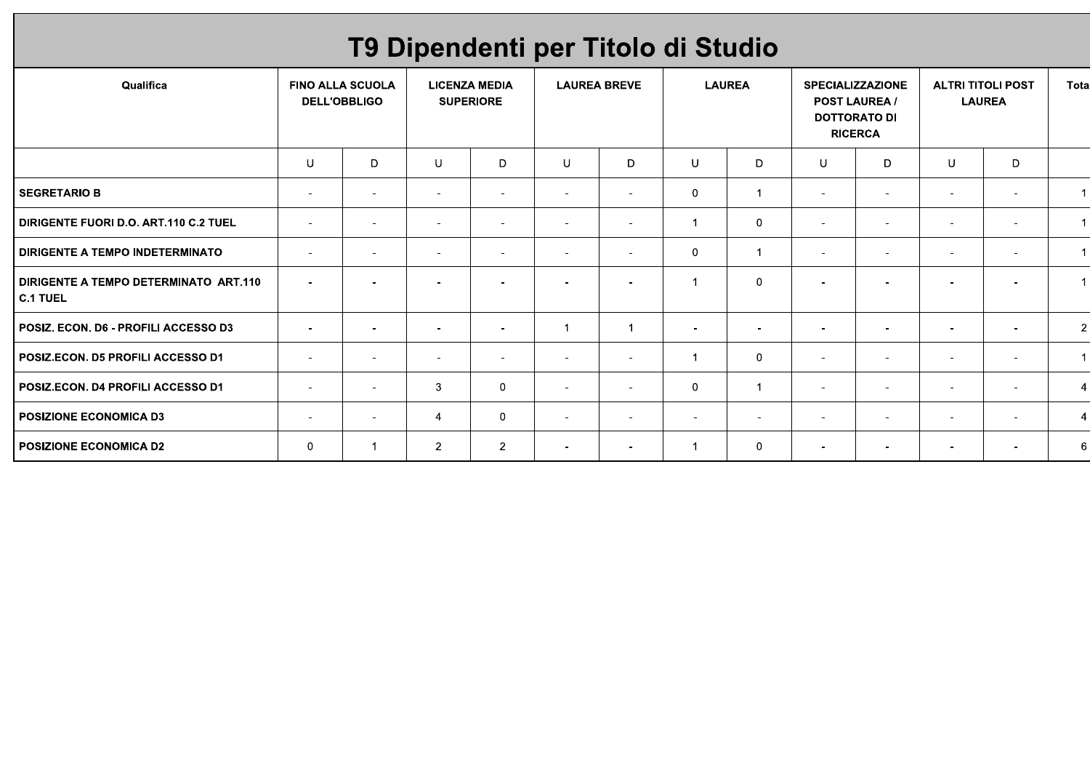# T9 Dipendenti per Titolo di Studio

| Qualifica                                             |                          | <b>FINO ALLA SCUOLA</b><br><b>DELL'OBBLIGO</b> |                          | <b>LICENZA MEDIA</b><br><b>SUPERIORE</b> |                          | <b>LAUREA BREVE</b>      |                          | <b>LAUREA</b>            |                          | <b>SPECIALIZZAZIONE</b><br><b>POST LAUREA /</b><br><b>DOTTORATO DI</b><br><b>RICERCA</b> |                          | <b>ALTRI TITOLI POST</b><br><b>LAUREA</b> | Tota                 |
|-------------------------------------------------------|--------------------------|------------------------------------------------|--------------------------|------------------------------------------|--------------------------|--------------------------|--------------------------|--------------------------|--------------------------|------------------------------------------------------------------------------------------|--------------------------|-------------------------------------------|----------------------|
|                                                       | U                        | D                                              | U                        | D                                        | U                        | D                        | U                        | D                        | U                        | D                                                                                        | U                        | D                                         |                      |
| <b>SEGRETARIO B</b>                                   | $\sim$                   | $\sim$                                         | $\overline{\phantom{a}}$ | $\blacksquare$                           | $\sim$                   | $\sim$                   | $\mathbf 0$              | 1                        | $\overline{\phantom{a}}$ | $\sim$                                                                                   | $\overline{\phantom{a}}$ | $\sim$                                    | 1                    |
| <b>DIRIGENTE FUORI D.O. ART.110 C.2 TUEL</b>          | $\sim$                   | $\overline{\phantom{a}}$                       | $\overline{\phantom{a}}$ | $\blacksquare$                           | $\overline{\phantom{a}}$ | $\sim$                   | 1                        | $\mathbf 0$              | $\overline{\phantom{a}}$ | $\overline{\phantom{a}}$                                                                 |                          | $\sim$                                    | $\blacktriangleleft$ |
| I DIRIGENTE A TEMPO INDETERMINATO                     | $\overline{\phantom{a}}$ | $\overline{\phantom{a}}$                       | $\overline{\phantom{a}}$ | $\overline{\phantom{a}}$                 | $\sim$                   | $\sim$                   | $\mathbf 0$              | $\overline{\mathbf{1}}$  | $\overline{\phantom{a}}$ | $\sim$                                                                                   | $\overline{\phantom{a}}$ | $\overline{\phantom{a}}$                  | $\mathbf 1$          |
| DIRIGENTE A TEMPO DETERMINATO ART.110<br>$ $ C.1 TUEL | $\overline{\phantom{a}}$ | $\overline{\phantom{a}}$                       | $\overline{\phantom{a}}$ | $\overline{\phantom{a}}$                 | $\blacksquare$           | $\overline{\phantom{a}}$ | 1                        | $\mathbf 0$              | $\overline{\phantom{a}}$ | $\overline{\phantom{a}}$                                                                 |                          | $\overline{\phantom{a}}$                  |                      |
| POSIZ. ECON. D6 - PROFILI ACCESSO D3                  | $\overline{\phantom{a}}$ |                                                | $\overline{\phantom{0}}$ | $\blacksquare$                           |                          |                          |                          |                          | $\overline{\phantom{0}}$ | $\overline{\phantom{a}}$                                                                 |                          | $\overline{\phantom{a}}$                  | $\vert$ 2            |
| POSIZ.ECON. D5 PROFILI ACCESSO D1                     | $\overline{\phantom{a}}$ | $\overline{\phantom{a}}$                       | $\overline{\phantom{a}}$ | $\blacksquare$                           | $\sim$                   | $\sim$                   | $\overline{1}$           | $\mathbf{0}$             | $\overline{\phantom{a}}$ | $\sim$                                                                                   | $\overline{\phantom{a}}$ | $\sim$                                    | $\mathbf{1}$         |
| POSIZ.ECON. D4 PROFILI ACCESSO D1                     | $\sim$                   | $\overline{\phantom{a}}$                       | 3                        | $\mathbf{0}$                             | $\sim$                   | $\sim$                   | $\mathbf 0$              | -1                       | $\overline{\phantom{a}}$ | $\sim$                                                                                   | $\overline{\phantom{a}}$ | $\sim$                                    | $\overline{4}$       |
| <b>POSIZIONE ECONOMICA D3</b>                         | $\sim$                   | $\overline{\phantom{a}}$                       | $\overline{4}$           | $\mathbf 0$                              | $\sim$                   | $\sim$                   | $\overline{\phantom{a}}$ | $\overline{\phantom{a}}$ | $\overline{\phantom{a}}$ | $\sim$                                                                                   | $\overline{\phantom{a}}$ | $\overline{\phantom{a}}$                  | 4                    |
| POSIZIONE ECONOMICA D2                                | $\mathbf 0$              |                                                | $\overline{2}$           | $\overline{2}$                           | $\sim$                   | $\sim$                   | 1                        | $\mathbf 0$              | $\sim$                   | $\sim$                                                                                   | $\overline{\phantom{a}}$ | $\sim$                                    | $6 \mid$             |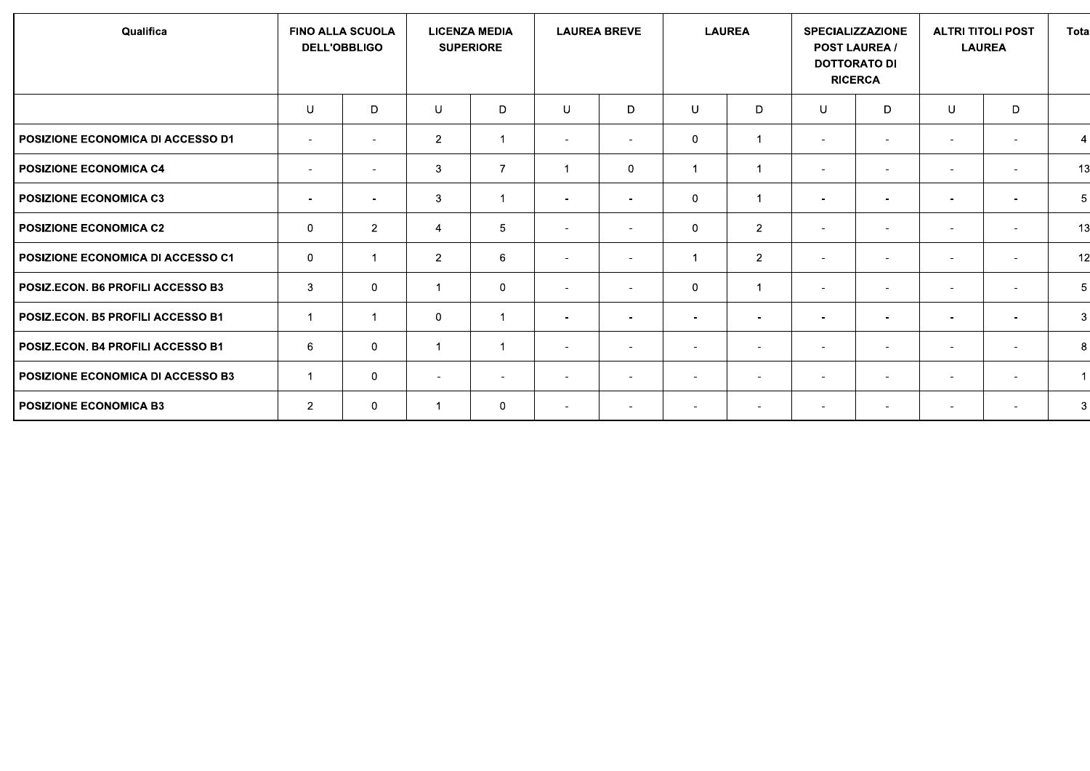| Qualifica                                |                          | <b>FINO ALLA SCUOLA</b><br><b>DELL'OBBLIGO</b> |                          | <b>LICENZA MEDIA</b><br><b>SUPERIORE</b> |                          | <b>LAUREA BREVE</b>      |                          | <b>LAUREA</b>            | <b>SPECIALIZZAZIONE</b>  | <b>POST LAUREA /</b><br><b>DOTTORATO DI</b><br><b>RICERCA</b> |                          | <b>ALTRI TITOLI POST</b><br><b>LAUREA</b> | <b>Tota</b>    |
|------------------------------------------|--------------------------|------------------------------------------------|--------------------------|------------------------------------------|--------------------------|--------------------------|--------------------------|--------------------------|--------------------------|---------------------------------------------------------------|--------------------------|-------------------------------------------|----------------|
|                                          | U                        | D                                              | $\cup$                   | D                                        | U                        | D                        | U                        | D                        | U                        | D                                                             | U                        | D                                         |                |
| POSIZIONE ECONOMICA DI ACCESSO D1        | $\overline{\phantom{a}}$ | $\overline{\phantom{a}}$                       | $\overline{2}$           |                                          | $\sim$                   | $\sim$                   | $\mathbf 0$              | -1                       | $\overline{\phantom{a}}$ | $\overline{\phantom{a}}$                                      | $\overline{\phantom{a}}$ | $\sim$                                    | $\overline{4}$ |
| POSIZIONE ECONOMICA C4                   | $\sim$                   | $\overline{\phantom{a}}$                       | 3                        | $\overline{7}$                           |                          | $\Omega$                 | $\overline{1}$           | $\overline{\mathbf{1}}$  | $\blacksquare$           | $\overline{\phantom{a}}$                                      | $\overline{\phantom{a}}$ | $\overline{\phantom{a}}$                  | 13             |
| <b>POSIZIONE ECONOMICA C3</b>            | $\sim$                   | $\sim$                                         | $\mathbf{3}$             |                                          | $\sim$                   | $\sim$                   | $\mathbf 0$              | -1                       | $\overline{\phantom{a}}$ | $\overline{\phantom{a}}$                                      | $\overline{\phantom{a}}$ | $\overline{\phantom{a}}$                  | 5              |
| POSIZIONE ECONOMICA C2                   | $\mathbf 0$              | $\overline{2}$                                 | $\overline{4}$           | 5                                        | $\sim$                   |                          | $\mathbf 0$              | $\overline{2}$           | $\blacksquare$           | $\overline{\phantom{a}}$                                      | $\overline{\phantom{a}}$ | $\overline{\phantom{a}}$                  | 13             |
| POSIZIONE ECONOMICA DI ACCESSO C1        | $\mathbf 0$              |                                                | $\overline{2}$           | 6                                        | $\sim$                   | $\sim$                   | 1                        | $\overline{2}$           | $\overline{\phantom{a}}$ | $\overline{\phantom{a}}$                                      | $\overline{\phantom{a}}$ | $\overline{\phantom{a}}$                  | 12             |
| POSIZ.ECON. B6 PROFILI ACCESSO B3        | 3                        | 0                                              | $\mathbf{1}$             | $\mathbf 0$                              | $\sim$                   | $\overline{\phantom{0}}$ | $\mathbf 0$              | $\overline{1}$           | $\blacksquare$           | $\overline{\phantom{a}}$                                      | $\overline{\phantom{a}}$ | $\sim$                                    | 5              |
| <b>POSIZ.ECON. B5 PROFILI ACCESSO B1</b> | $\overline{1}$           |                                                | $\mathbf 0$              |                                          | $\sim$                   | $\sim$                   | $\overline{\phantom{a}}$ | $\overline{\phantom{a}}$ | $\overline{\phantom{a}}$ | $\overline{\phantom{a}}$                                      | $\overline{\phantom{a}}$ | $\overline{\phantom{a}}$                  | 3              |
| <b>POSIZ.ECON. B4 PROFILI ACCESSO B1</b> | 6                        | 0                                              | $\mathbf 1$              |                                          | $\sim$                   | $\sim$                   | $\overline{\phantom{a}}$ | $\overline{\phantom{a}}$ | $\overline{\phantom{a}}$ | $\overline{\phantom{a}}$                                      | $\overline{\phantom{a}}$ | $\sim$                                    | 8              |
| POSIZIONE ECONOMICA DI ACCESSO B3        | $\mathbf{1}$             | 0                                              | $\overline{\phantom{a}}$ | $\overline{\phantom{a}}$                 | $\overline{\phantom{a}}$ | $\sim$                   | $\overline{\phantom{a}}$ | $\overline{\phantom{a}}$ | $\overline{\phantom{a}}$ | $\overline{\phantom{a}}$                                      | $\overline{\phantom{a}}$ | $\overline{\phantom{a}}$                  | $\mathbf{1}$   |
| <b>POSIZIONE ECONOMICA B3</b>            | $\overline{2}$           | 0                                              | 1                        | $\mathbf 0$                              | $\sim$                   | $\sim$                   | $\overline{\phantom{a}}$ | $\overline{\phantom{a}}$ | $\overline{\phantom{a}}$ | $\overline{\phantom{a}}$                                      | $\overline{\phantom{a}}$ | $\sim$                                    | 3              |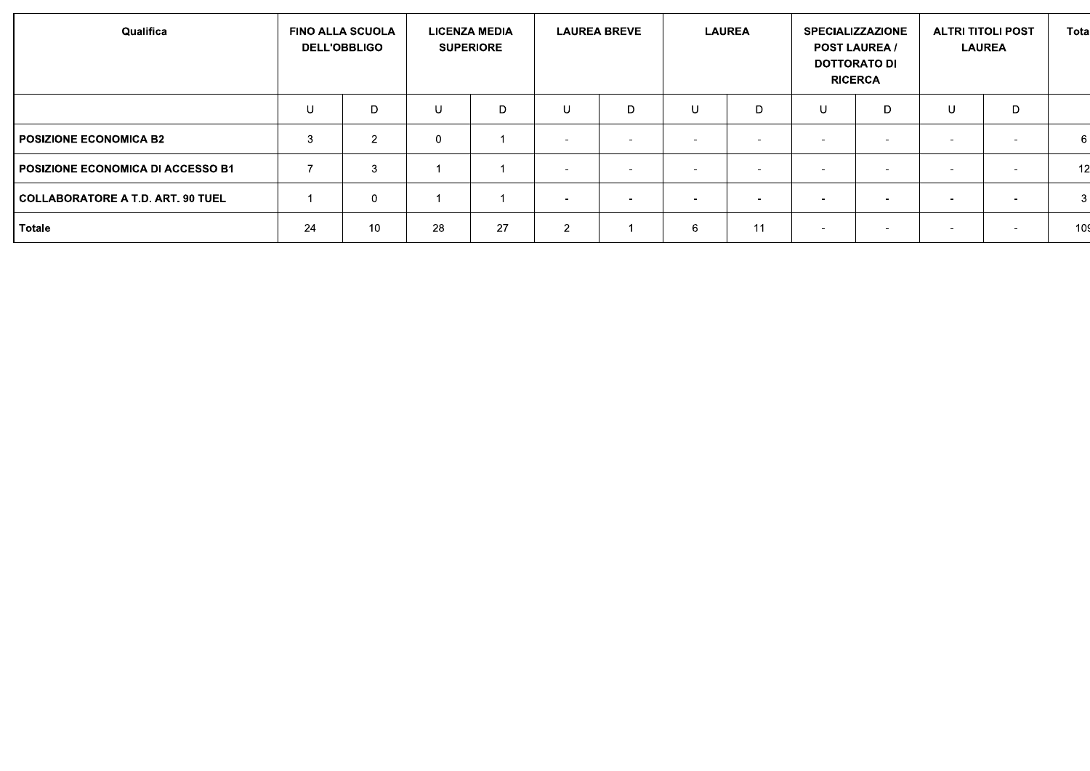| Qualifica                          |    | <b>FINO ALLA SCUOLA</b><br><b>DELL'OBBLIGO</b> |             | <b>LICENZA MEDIA</b><br><b>SUPERIORE</b> |                          | <b>LAUREA BREVE</b> |   | <b>LAUREA</b>            | <b>SPECIALIZZAZIONE</b>  | <b>POST LAUREA /</b><br><b>DOTTORATO DI</b><br><b>RICERCA</b> | <b>ALTRI TITOLI POST</b> | <b>LAUREA</b>            | Tota |
|------------------------------------|----|------------------------------------------------|-------------|------------------------------------------|--------------------------|---------------------|---|--------------------------|--------------------------|---------------------------------------------------------------|--------------------------|--------------------------|------|
|                                    | U  | D                                              | U           | D                                        | U                        | D                   | U | D                        | $\cup$                   | D                                                             | $\mathbf{U}$             | D                        |      |
| I POSIZIONE ECONOMICA B2           | 3  | $\mathcal{D}$                                  | $\mathbf 0$ |                                          | $\overline{\phantom{a}}$ |                     |   |                          |                          |                                                               | $\sim$                   | $\sim$                   | 6    |
| POSIZIONE ECONOMICA DI ACCESSO B1  |    | 3                                              |             |                                          | $\sim$                   |                     |   | $\overline{\phantom{0}}$ |                          |                                                               | $\overline{\phantom{a}}$ | $\overline{\phantom{a}}$ | 12   |
| COLLABORATORE A T.D. ART. 90 TUEL_ |    | 0                                              |             |                                          | $\overline{\phantom{0}}$ |                     |   |                          |                          |                                                               | -                        | . .                      | 3    |
| Totale                             | 24 | 10                                             | 28          | 27                                       | $\overline{2}$           |                     | 6 | -11                      | $\overline{\phantom{0}}$ | -                                                             | $\overline{\phantom{a}}$ | $\overline{\phantom{a}}$ | 109  |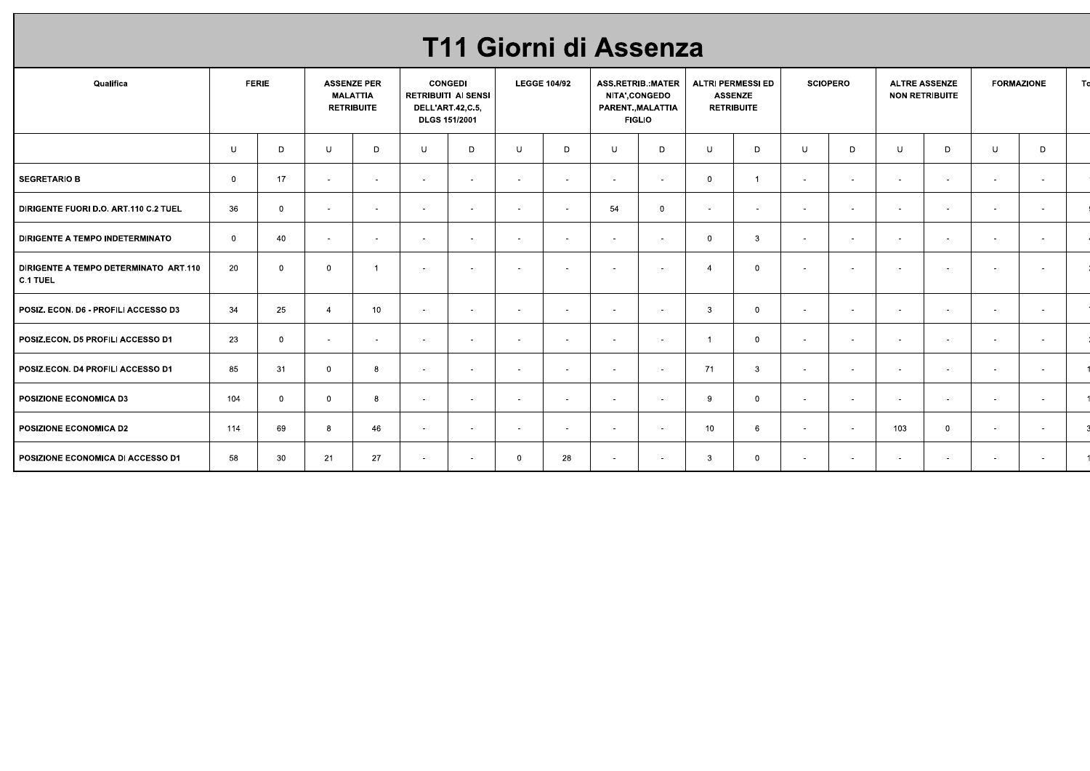| Qualifica                                                |                | <b>FERIE</b>   | <b>ASSENZE PER</b><br><b>MALATTIA</b><br><b>RETRIBUITE</b> |                |        | T11 Giorni di Assenza<br><b>CONGEDI</b><br><b>RETRIBUITI AI SENSI</b><br>DELL'ART.42,C.5, |                | <b>LEGGE 104/92</b>      |        | <b>ASS.RETRIB.:MATER</b><br><b>NITA',CONGEDO</b><br>PARENT., MALATTIA |                | <b>ALTRI PERMESSI ED</b><br><b>ASSENZE</b><br><b>RETRIBUITE</b> |        | <b>SCIOPERO</b> |            | <b>ALTRE ASSENZE</b><br><b>NON RETRIBUITE</b> |        | <b>FORMAZIONE</b>        | Td |
|----------------------------------------------------------|----------------|----------------|------------------------------------------------------------|----------------|--------|-------------------------------------------------------------------------------------------|----------------|--------------------------|--------|-----------------------------------------------------------------------|----------------|-----------------------------------------------------------------|--------|-----------------|------------|-----------------------------------------------|--------|--------------------------|----|
|                                                          |                |                |                                                            |                |        | <b>DLGS 151/2001</b>                                                                      |                |                          |        | <b>FIGLIO</b>                                                         |                |                                                                 |        |                 |            |                                               |        |                          |    |
|                                                          | U              | D              | U                                                          | D              | U      | D                                                                                         | $\cup$         | D                        | U      | D                                                                     | $\cup$         | D                                                               | $\cup$ | D               | U          | $\Box$                                        | U      | D                        |    |
| <b>SEGRETARIO B</b>                                      | $\overline{0}$ | 17             | $\sim$                                                     | $\sim$         | $\sim$ | $\sim$                                                                                    | $\sim$         | $\sim$                   | $\sim$ | $\sim$                                                                | $\overline{0}$ | $\mathbf{1}$                                                    | $\sim$ | $\sim$          | $\sim$     | $\sim$                                        | $\sim$ | $\sim$                   |    |
| DIRIGENTE FUORI D.O. ART.110 C.2 TUEL                    | 36             | $\overline{0}$ | $\sim$                                                     | $\sim$         | $\sim$ | $\sim$                                                                                    | $\sim$         | $\overline{\phantom{a}}$ | 54     | $\overline{0}$                                                        | $\sim$         | $\sim$                                                          | $\sim$ | $\sim$          | $\sim$     | $\overline{\phantom{a}}$                      |        | $\overline{\phantom{a}}$ |    |
| DIRIGENTE A TEMPO INDETERMINATO                          | $\overline{0}$ | 40             | $\sim$                                                     | $\sim$         | $\sim$ | $\sim$                                                                                    | $\sim$         | $\sim$                   | $\sim$ | $\sim$                                                                | $\overline{0}$ | $\mathbf{3}$                                                    | $\sim$ | $\sim$          | $\sim$     | $\sim$                                        | $\sim$ | $\sim$                   |    |
| DIRIGENTE A TEMPO DETERMINATO ART.110<br><b>C.1 TUEL</b> | 20             | $\overline{0}$ | $\overline{0}$                                             | $\overline{1}$ | $\sim$ | $\sim$                                                                                    | $\sim$         | $\sim$                   | $\sim$ | $\sim$                                                                | $\overline{4}$ | $\overline{\mathbf{0}}$                                         | $\sim$ | $\sim$          | $\sim$     | $\sim$                                        | $\sim$ | $\blacksquare$           |    |
| POSIZ. ECON. D6 - PROFILI ACCESSO D3                     | 34             | 25             | $\overline{4}$                                             | 10             | $\sim$ | $\sim$                                                                                    | $\sim$         | $\blacksquare$           | $\sim$ | $\sim$                                                                | $\mathbf{3}$   | $\overline{0}$                                                  | $\sim$ | $\sim$          | $\sim$     | $\sim$                                        |        | $\sim$                   |    |
| POSIZ.ECON. D5 PROFILI ACCESSO D1                        | 23             | $\overline{0}$ | $\sim$                                                     | $\sim$         | $\sim$ | $\sim$                                                                                    | $\sim$         | $\sim$                   | $\sim$ | $\sim$                                                                | $\overline{1}$ | $\overline{0}$                                                  | $\sim$ | $\sim$          | $\sim$     | $\sim$                                        | $\sim$ | $\sim$                   |    |
| POSIZ.ECON. D4 PROFILI ACCESSO D1                        | 85             | 31             | $\overline{0}$                                             | 8              |        |                                                                                           |                |                          |        |                                                                       | 71             | $\mathbf{3}$                                                    |        |                 |            |                                               |        |                          |    |
| POSIZIONE ECONOMICA D3                                   | 104            | $\overline{0}$ | $\overline{0}$                                             | 8              | $\sim$ | $\sim$                                                                                    | $\sim$         | $\sim$                   | $\sim$ | $\sim$                                                                | 9              | $\overline{0}$                                                  | $\sim$ | $\sim$          | $\sim$ $-$ | $\sim$                                        | $\sim$ | $\sim$                   |    |
| POSIZIONE ECONOMICA D2                                   | 114            | 69             | 8                                                          | 46             | $\sim$ | $\sim$                                                                                    | $\sim$         | $\sim$                   | $\sim$ | $\sim$                                                                | 10             | $6\overline{6}$                                                 | $\sim$ | $\sim$          | 103        | $\overline{0}$                                | $\sim$ | $\sim$                   |    |
| POSIZIONE ECONOMICA DI ACCESSO D1                        | 58             | 30             | 21                                                         | 27             | $\sim$ | $\sim$                                                                                    | $\overline{0}$ | 28                       | $\sim$ | $\sim$                                                                | $\mathbf{3}$   | $\overline{0}$                                                  | $\sim$ | $\sim$          | $\sim$ $-$ | $\sim$                                        | $\sim$ | $\sim$                   |    |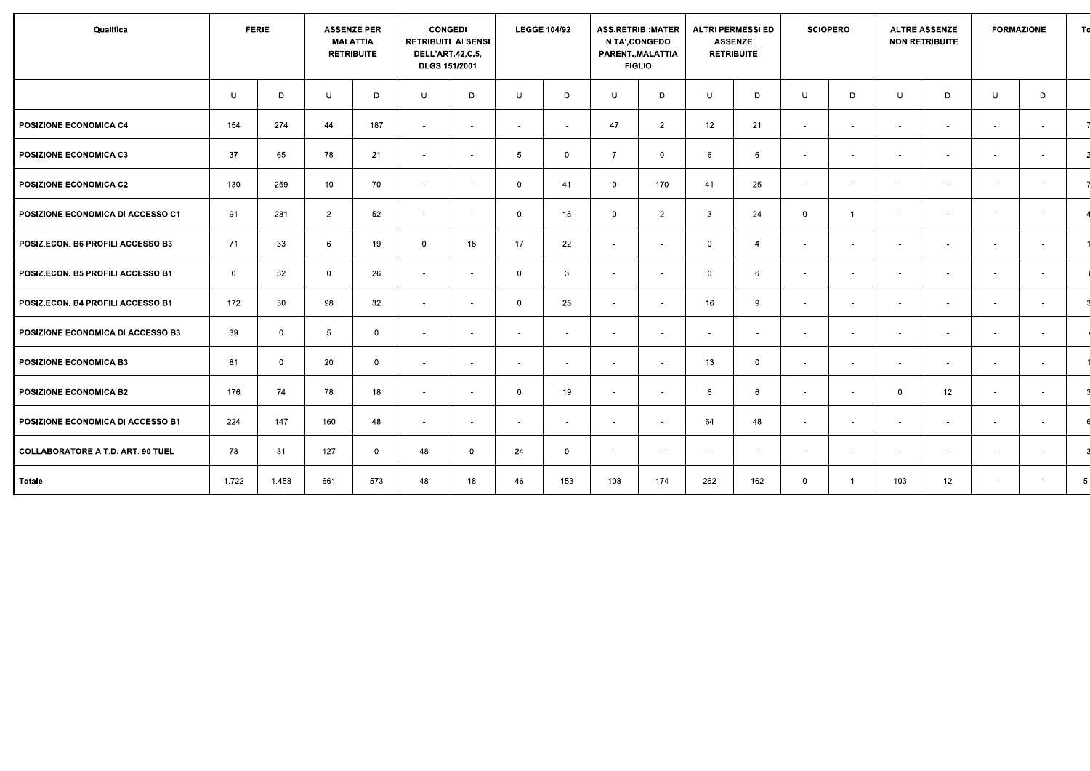| Qualifica                         |             | <b>FERIE</b>   |                | <b>ASSENZE PER</b><br><b>MALATTIA</b><br><b>RETRIBUITE</b> |                          | <b>CONGEDI</b><br><b>RETRIBUITI AI SENSI</b><br><b>DELL'ART.42,C.5,</b><br><b>DLGS 151/2001</b> |                 | <b>LEGGE 104/92</b>      |                          | <b>ASS.RETRIB.: MATER</b><br>NITA', CONGEDO<br>PARENT., MALATTIA<br><b>FIGLIO</b> |              | <b>ALTRI PERMESSI ED</b><br><b>ASSENZE</b><br><b>RETRIBUITE</b> |              | <b>SCIOPERO</b>          |                          | <b>ALTRE ASSENZE</b><br><b>NON RETRIBUITE</b> |                          | <b>FORMAZIONE</b>        | To |
|-----------------------------------|-------------|----------------|----------------|------------------------------------------------------------|--------------------------|-------------------------------------------------------------------------------------------------|-----------------|--------------------------|--------------------------|-----------------------------------------------------------------------------------|--------------|-----------------------------------------------------------------|--------------|--------------------------|--------------------------|-----------------------------------------------|--------------------------|--------------------------|----|
|                                   | U           | D              | U              | D                                                          | U                        | D                                                                                               | $\cup$          | D                        | U                        | D                                                                                 | U            | D                                                               | U            | D                        | U                        | D                                             | U                        | D                        |    |
| POSIZIONE ECONOMICA C4            | 154         | 274            | 44             | 187                                                        | $\sim$                   | $\sim$                                                                                          | $\sim$          | $\overline{\phantom{a}}$ | 47                       | $\overline{2}$                                                                    | 12           | 21                                                              | $\sim$       | $\overline{a}$           | $\sim$                   | $\sim$                                        | $\sim$                   | $\sim$                   |    |
| <b>POSIZIONE ECONOMICA C3</b>     | 37          | 65             | 78             | 21                                                         | $\sim$                   | $\sim$                                                                                          | $5\overline{5}$ | $\mathbf 0$              | $\overline{7}$           | $\mathbf{0}$                                                                      | 6            | 6                                                               | $\sim$       | $\sim$                   | $\sim$                   | $\sim$                                        | $\sim$                   | $\sim$                   |    |
| <b>POSIZIONE ECONOMICA C2</b>     | 130         | 259            | 10             | 70                                                         | $\sim$                   | $\sim$                                                                                          | $\mathbf{0}$    | 41                       | $\mathbf 0$              | 170                                                                               | 41           | 25                                                              | $\sim$       | $\sim$                   | $\sim$                   | $\sim$                                        | $\sim$                   | $\sim$                   |    |
| POSIZIONE ECONOMICA DI ACCESSO C1 | 91          | 281            | $\overline{2}$ | 52                                                         | $\sim$                   | $\overline{\phantom{a}}$                                                                        | $\mathbf{0}$    | 15                       | $\mathbf{0}$             | $\overline{2}$                                                                    | $\mathbf{3}$ | 24                                                              | $\mathbf{0}$ | $\overline{1}$           | $\sim$                   | $\overline{\phantom{a}}$                      | $\sim$                   | $\sim$                   |    |
| POSIZ.ECON. B6 PROFILI ACCESSO B3 | 71          | 33             | 6              | 19                                                         | $\mathbf{0}$             | 18                                                                                              | 17              | 22                       | $\sim$                   | $\sim$                                                                            | $\mathbf 0$  | $\overline{4}$                                                  | $\sim$       | $\sim$                   | $\sim$                   | $\sim$                                        | $\sim$                   | $\sim$                   |    |
| POSIZ.ECON. B5 PROFILI ACCESSO B1 | $\mathbf 0$ | 52             | $\Omega$       | 26                                                         | $\sim$                   | $\sim$                                                                                          | $\mathbf 0$     | 3                        | $\overline{\phantom{a}}$ | $\sim$                                                                            | $\mathbf{0}$ | 6                                                               | $\sim$       | $\sim$                   | $\overline{a}$           | $\sim$                                        | $\sim$                   | $\sim$                   |    |
| POSIZ.ECON. B4 PROFILI ACCESSO B1 | 172         | 30             | 98             | 32                                                         | $\overline{\phantom{a}}$ |                                                                                                 | $\overline{0}$  | 25                       | $\overline{\phantom{a}}$ | $\overline{\phantom{a}}$                                                          | 16           | 9                                                               | $\sim$       | $\overline{a}$           |                          | $\sim$                                        | $\sim$                   | $\overline{\phantom{a}}$ |    |
| POSIZIONE ECONOMICA DI ACCESSO B3 | 39          | $\overline{0}$ | $5^{\circ}$    | $\overline{0}$                                             | $\sim$                   | $\sim$                                                                                          | $\sim$          | $\overline{\phantom{a}}$ | $\sim$                   | $\sim$                                                                            | $\sim$       | $\sim$                                                          | $\sim$       | $\sim$                   | $\sim$                   | $\sim$                                        | $\sim$                   | $\sim$                   |    |
| <b>POSIZIONE ECONOMICA B3</b>     | 81          | $\overline{0}$ | 20             | $\mathbf 0$                                                | $\sim$                   | $\sim$                                                                                          | $\sim$          | $\overline{\phantom{a}}$ | $\sim$                   | $\sim$                                                                            | 13           | $\overline{0}$                                                  | $\sim$       | $\sim$                   | $\sim$                   | $\sim$                                        | $\sim$                   | $\sim$                   |    |
| POSIZIONE ECONOMICA B2            | 176         | 74             | 78             | 18                                                         | $\sim$                   | $\overline{\phantom{a}}$                                                                        | $\overline{0}$  | 19                       | $\overline{\phantom{a}}$ | $\overline{\phantom{a}}$                                                          | 6            | 6                                                               | $\sim$       | $\overline{\phantom{0}}$ | $\Omega$                 | 12                                            | $\sim$                   | $\sim$                   |    |
| POSIZIONE ECONOMICA DI ACCESSO B1 | 224         | 147            | 160            | 48                                                         | $\sim$                   | $\sim$                                                                                          | $\sim$          | $\overline{\phantom{a}}$ | $\sim$                   | $\sim$                                                                            | 64           | 48                                                              | $\sim$       | $\sim$                   | $\sim$                   | $\sim$                                        | $\sim$                   | $\sim$                   |    |
| COLLABORATORE A T.D. ART. 90 TUEL | 73          | 31             | 127            | $\overline{0}$                                             | 48                       | $\Omega$                                                                                        | 24              | $\mathbf{0}$             | $\sim$                   | $\overline{\phantom{a}}$                                                          | $\sim$       | $\overline{\phantom{a}}$                                        | $\sim$       | $\sim$                   | $\overline{\phantom{a}}$ | $\sim$                                        | $\sim$                   | $\sim$                   |    |
| Totale                            | 1.722       | 1.458          | 661            | 573                                                        | 48                       | 18                                                                                              | 46              | 153                      | 108                      | 174                                                                               | 262          | 162                                                             | $\mathbf 0$  | $\overline{1}$           | 103                      | 12 <sup>2</sup>                               | $\overline{\phantom{a}}$ | $\sim$                   | 5. |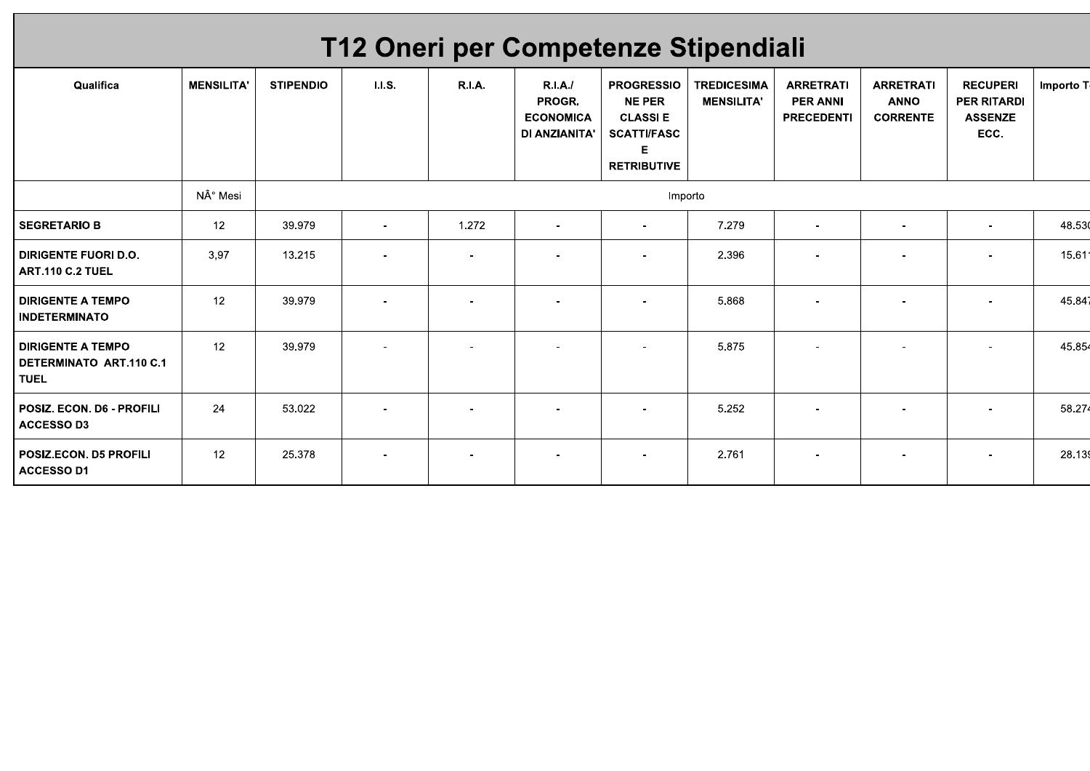| T12 Oneri per Competenze Stipendiali                               |                   |                  |         |               |                                                       |                                                                                                        |                                         |                                                          |                                                    |                                                                 |           |
|--------------------------------------------------------------------|-------------------|------------------|---------|---------------|-------------------------------------------------------|--------------------------------------------------------------------------------------------------------|-----------------------------------------|----------------------------------------------------------|----------------------------------------------------|-----------------------------------------------------------------|-----------|
| Qualifica                                                          | <b>MENSILITA'</b> | <b>STIPENDIO</b> | 1.1.5.  | <b>R.I.A.</b> | R.I.A.<br>PROGR.<br><b>ECONOMICA</b><br>DI ANZIANITA' | <b>PROGRESSIO</b><br><b>NE PER</b><br><b>CLASSIE</b><br><b>SCATTI/FASC</b><br>Е.<br><b>RETRIBUTIVE</b> | <b>TREDICESIMA</b><br><b>MENSILITA'</b> | <b>ARRETRATI</b><br><b>PER ANNI</b><br><b>PRECEDENTI</b> | <b>ARRETRATI</b><br><b>ANNO</b><br><b>CORRENTE</b> | <b>RECUPERI</b><br><b>PER RITARDI</b><br><b>ASSENZE</b><br>ECC. | Importo T |
|                                                                    | N° Mesi           |                  | Importo |               |                                                       |                                                                                                        |                                         |                                                          |                                                    |                                                                 |           |
| <b>SEGRETARIO B</b>                                                | 12 <sup>2</sup>   | 39.979           |         | 1.272         |                                                       |                                                                                                        | 7.279                                   |                                                          |                                                    |                                                                 | 48.53     |
| <b>DIRIGENTE FUORI D.O.</b><br><b>ART.110 C.2 TUEL</b>             | 3.97              | 13.215           |         |               |                                                       |                                                                                                        | 2.396                                   |                                                          |                                                    |                                                                 | 15.61     |
| <b>DIRIGENTE A TEMPO</b><br><b>INDETERMINATO</b>                   | 12 <sup>2</sup>   | 39.979           |         |               |                                                       |                                                                                                        | 5.868                                   |                                                          |                                                    |                                                                 | 45.84     |
| <b>DIRIGENTE A TEMPO</b><br>DETERMINATO ART.110 C.1<br><b>TUEL</b> | 12 <sup>2</sup>   | 39.979           |         |               |                                                       |                                                                                                        | 5.875                                   |                                                          |                                                    |                                                                 | 45.85     |
| POSIZ. ECON. D6 - PROFILI<br><b>ACCESSO D3</b>                     | 24                | 53.022           |         |               |                                                       |                                                                                                        | 5.252                                   |                                                          |                                                    |                                                                 | 58.27     |
| <b>POSIZ.ECON. D5 PROFILI</b><br><b>ACCESSO D1</b>                 | 12 <sup>2</sup>   | 25.378           |         |               |                                                       |                                                                                                        | 2.761                                   |                                                          |                                                    |                                                                 | 28.13     |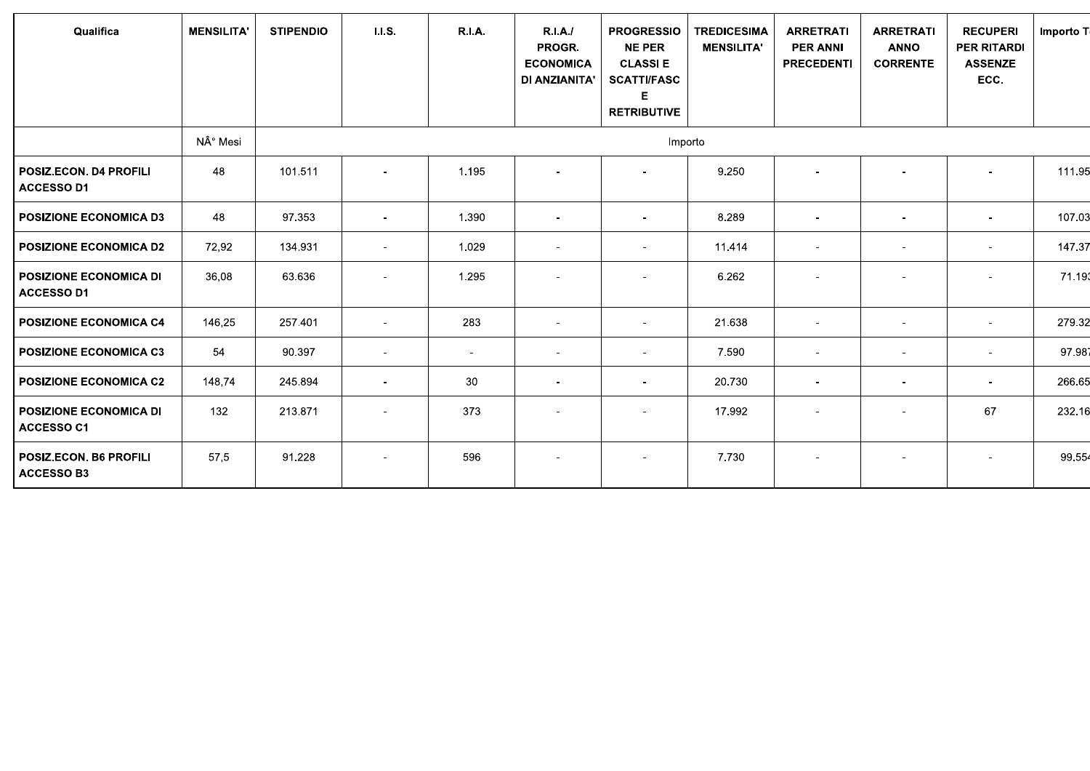| Qualifica                                   | <b>MENSILITA'</b> | <b>STIPENDIO</b> | 1.1.5.         | <b>R.I.A.</b> | R.I.A.<br>PROGR.<br><b>ECONOMICA</b><br>DI ANZIANITA' | <b>PROGRESSIO</b><br><b>NE PER</b><br><b>CLASSIE</b><br><b>SCATTI/FASC</b><br><b>RETRIBUTIVE</b> | <b>TREDICESIMA</b><br><b>MENSILITA'</b> | <b>ARRETRATI</b><br><b>PER ANNI</b><br><b>PRECEDENTI</b> | <b>ARRETRATI</b><br><b>ANNO</b><br><b>CORRENTE</b> | <b>RECUPERI</b><br><b>PER RITARDI</b><br><b>ASSENZE</b><br>ECC. | Importo T |
|---------------------------------------------|-------------------|------------------|----------------|---------------|-------------------------------------------------------|--------------------------------------------------------------------------------------------------|-----------------------------------------|----------------------------------------------------------|----------------------------------------------------|-----------------------------------------------------------------|-----------|
|                                             | N° Mesi           |                  |                |               |                                                       | Importo                                                                                          |                                         |                                                          |                                                    |                                                                 |           |
| POSIZ.ECON. D4 PROFILI<br>ACCESSO D1        | 48                | 101.511          |                | 1.195         |                                                       |                                                                                                  | 9.250                                   | $\blacksquare$                                           | $\blacksquare$                                     |                                                                 | 111.95    |
| POSIZIONE ECONOMICA D3                      | 48                | 97.353           | $\sim$         | 1.390         |                                                       |                                                                                                  | 8.289                                   | $\overline{\phantom{0}}$                                 | $\overline{\phantom{0}}$                           | $\blacksquare$                                                  | 107.03    |
| POSIZIONE ECONOMICA D2                      | 72,92             | 134.931          | $\sim$         | 1.029         | $\sim$                                                | $\sim$                                                                                           | 11.414                                  | $\sim$                                                   | $\overline{\phantom{a}}$                           | $\blacksquare$                                                  | 147.37    |
| POSIZIONE ECONOMICA DI<br><b>ACCESSO D1</b> | 36,08             | 63.636           |                | 1.295         |                                                       |                                                                                                  | 6.262                                   | $\blacksquare$                                           | $\blacksquare$                                     | $\blacksquare$                                                  | 71.19     |
| POSIZIONE ECONOMICA C4                      | 146,25            | 257.401          | $\sim$         | 283           | $\sim$                                                | $\sim$                                                                                           | 21.638                                  | $\sim$                                                   | $\overline{\phantom{a}}$                           | $\sim$                                                          | 279.32    |
| <b>POSIZIONE ECONOMICA C3</b>               | 54                | 90.397           | $\blacksquare$ | $\sim$        |                                                       | $\overline{\phantom{a}}$                                                                         | 7.590                                   | $\sim$                                                   | ٠                                                  | $\blacksquare$                                                  | 97.98     |
| <b>POSIZIONE ECONOMICA C2</b>               | 148,74            | 245.894          | $\blacksquare$ | 30            | $\overline{\phantom{a}}$                              | $\blacksquare$                                                                                   | 20.730                                  | $\overline{\phantom{a}}$                                 | $\overline{\phantom{a}}$                           | $\overline{\phantom{a}}$                                        | 266.65    |
| <b>POSIZIONE ECONOMICA DI</b><br>ACCESSO C1 | 132               | 213.871          | $\sim$         | 373           | $\sim$                                                | $\blacksquare$                                                                                   | 17.992                                  | $\overline{\phantom{a}}$                                 | $\overline{\phantom{a}}$                           | 67                                                              | 232.16    |
| POSIZ.ECON. B6 PROFILI<br><b>ACCESSO B3</b> | 57,5              | 91.228           |                | 596           |                                                       |                                                                                                  | 7.730                                   |                                                          | $\blacksquare$                                     |                                                                 | 99.55     |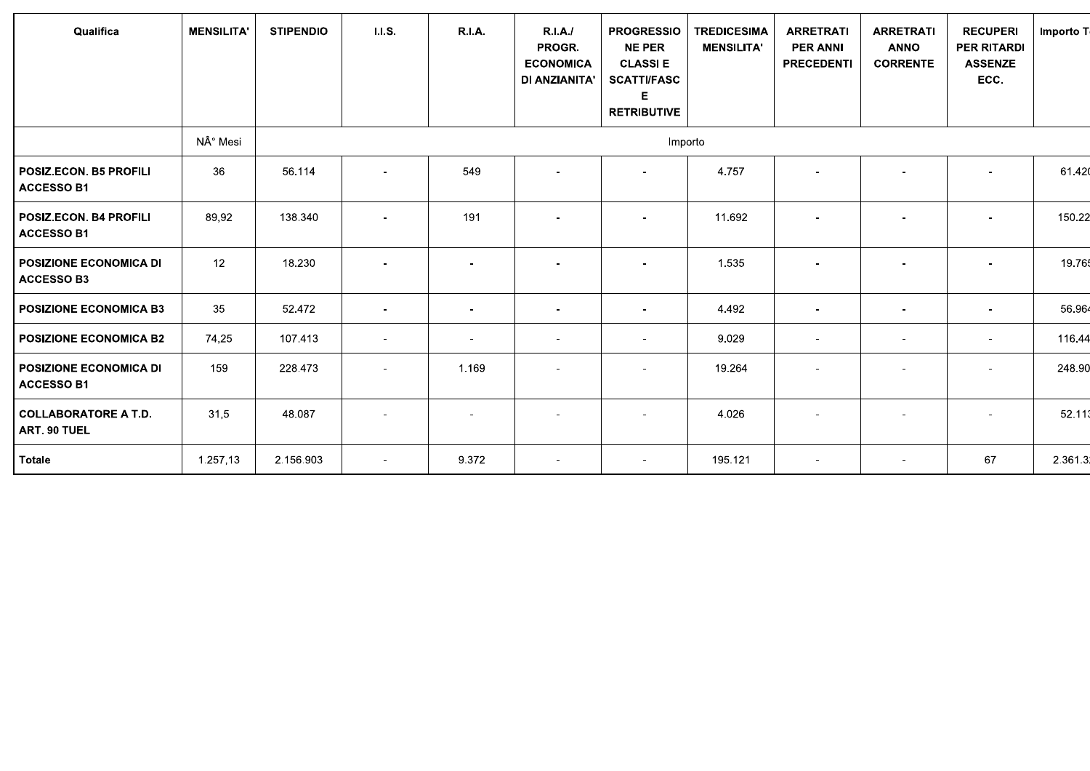| Qualifica                                          | <b>MENSILITA'</b> | <b>STIPENDIO</b> | <b>I.I.S.</b>            | <b>R.I.A.</b>            | R.I.A.<br>PROGR.<br><b>ECONOMICA</b><br>DI ANZIANITA' | <b>PROGRESSIO</b><br><b>NE PER</b><br><b>CLASSIE</b><br><b>SCATTI/FASC</b><br>E<br><b>RETRIBUTIVE</b> | <b>TREDICESIMA</b><br><b>MENSILITA'</b> | <b>ARRETRATI</b><br><b>PER ANNI</b><br><b>PRECEDENTI</b> | <b>ARRETRATI</b><br><b>ANNO</b><br><b>CORRENTE</b> | <b>RECUPERI</b><br><b>PER RITARDI</b><br><b>ASSENZE</b><br>ECC. | Importo T |  |
|----------------------------------------------------|-------------------|------------------|--------------------------|--------------------------|-------------------------------------------------------|-------------------------------------------------------------------------------------------------------|-----------------------------------------|----------------------------------------------------------|----------------------------------------------------|-----------------------------------------------------------------|-----------|--|
|                                                    | N° Mesi           |                  | Importo                  |                          |                                                       |                                                                                                       |                                         |                                                          |                                                    |                                                                 |           |  |
| POSIZ.ECON. B5 PROFILI<br><b>ACCESSO B1</b>        | 36                | 56.114           |                          | 549                      |                                                       |                                                                                                       | 4.757                                   |                                                          |                                                    |                                                                 | 61.420    |  |
| <b>POSIZ.ECON. B4 PROFILI</b><br><b>ACCESSO B1</b> | 89,92             | 138.340          |                          | 191                      |                                                       |                                                                                                       | 11.692                                  |                                                          |                                                    |                                                                 | 150.22    |  |
| <b>POSIZIONE ECONOMICA DI</b><br><b>ACCESSO B3</b> | 12                | 18.230           |                          |                          |                                                       |                                                                                                       | 1.535                                   |                                                          |                                                    |                                                                 | 19.76     |  |
| <b>POSIZIONE ECONOMICA B3</b>                      | 35                | 52.472           | $\overline{a}$           | $\overline{\phantom{a}}$ |                                                       |                                                                                                       | 4.492                                   |                                                          |                                                    |                                                                 | 56.964    |  |
| <b>POSIZIONE ECONOMICA B2</b>                      | 74,25             | 107.413          | $\overline{\phantom{a}}$ | $\blacksquare$           | $\overline{\phantom{a}}$                              | $\overline{\phantom{a}}$                                                                              | 9.029                                   | $\blacksquare$                                           | $\overline{\phantom{a}}$                           | $\sim$                                                          | 116.44    |  |
| <b>POSIZIONE ECONOMICA DI</b><br><b>ACCESSO B1</b> | 159               | 228.473          |                          | 1.169                    |                                                       |                                                                                                       | 19.264                                  |                                                          |                                                    |                                                                 | 248.90    |  |
| COLLABORATORE A T.D.<br>ART. 90 TUEL               | 31,5              | 48.087           |                          | $\sim$                   |                                                       |                                                                                                       | 4.026                                   |                                                          |                                                    |                                                                 | 52.113    |  |
| Totale                                             | 1.257,13          | 2.156.903        | $\sim$                   | 9.372                    | $\sim$                                                | $\overline{\phantom{a}}$                                                                              | 195.121                                 | $\sim$                                                   | $\sim$                                             | 67                                                              | 2.361.3   |  |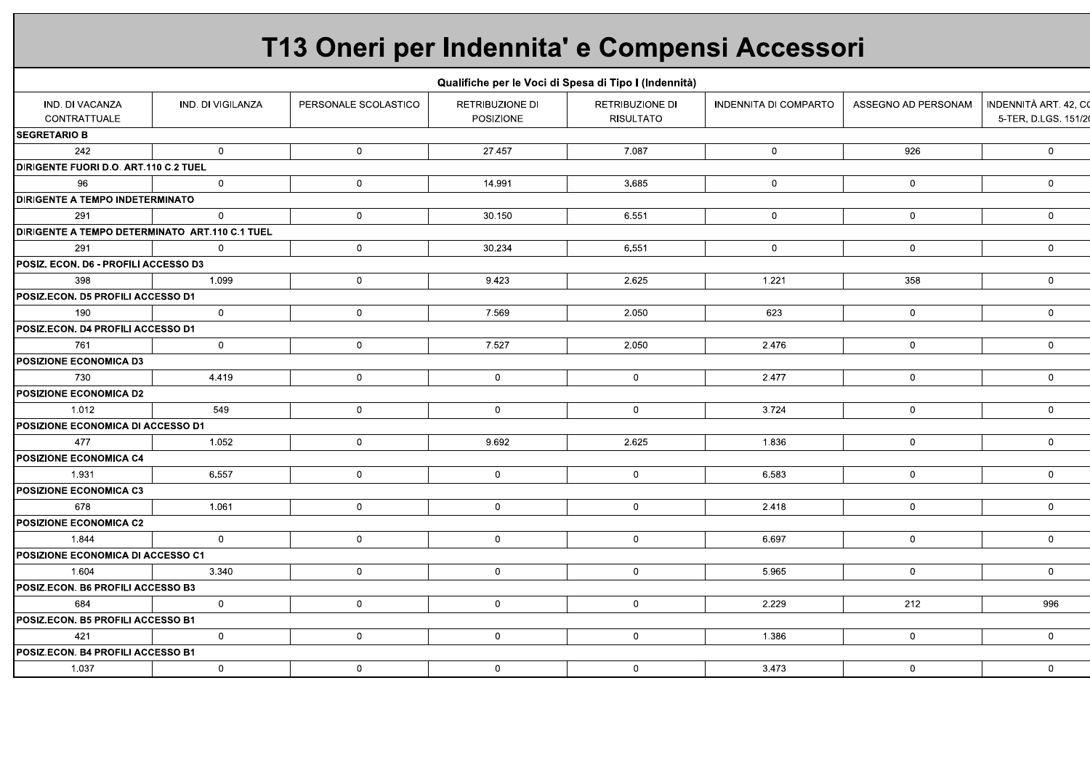# T13 Oneri per Indennita' e Compensi Accessori

|                                                |                   |                      |                              | Qualifiche per le Voci di Spesa di Tipo I (Indennità) |                              |                     |                                             |
|------------------------------------------------|-------------------|----------------------|------------------------------|-------------------------------------------------------|------------------------------|---------------------|---------------------------------------------|
| IND. DI VACANZA<br>CONTRATTUALE                | IND. DI VIGILANZA | PERSONALE SCOLASTICO | RETRIBUZIONE DI<br>POSIZIONE | <b>RETRIBUZIONE DI</b><br><b>RISULTATO</b>            | <b>INDENNITA DI COMPARTO</b> | ASSEGNO AD PERSONAM | INDENNITÀ ART. 42, C<br>5-TER, D.LGS. 151/2 |
| <b>SEGRETARIO B</b>                            |                   |                      |                              |                                                       |                              |                     |                                             |
| 242                                            | $\overline{0}$    | $\overline{0}$       | 27.457                       | 7.087                                                 | $\mathbf 0$                  | 926                 | $\mathbf 0$                                 |
| <b>DIRIGENTE FUORI D.O. ART.110 C.2 TUEL</b>   |                   |                      |                              |                                                       |                              |                     |                                             |
| 96                                             | $\overline{0}$    | $\mathbf 0$          | 14.991                       | 3.685                                                 | $\mathbf{0}$                 | $\mathbf 0$         | $\mathbf 0$                                 |
| <b>DIRIGENTE A TEMPO INDETERMINATO</b>         |                   |                      |                              |                                                       |                              |                     |                                             |
| 291                                            | $\mathbf{0}$      | $\overline{0}$       | 30.150                       | 6.551                                                 | $\mathbf 0$                  | $\overline{0}$      | $\mathbf 0$                                 |
| DIRIGENTE A TEMPO DETERMINATO ART.110 C.1 TUEL |                   |                      |                              |                                                       |                              |                     |                                             |
| 291                                            | $\Omega$          | $\mathbf 0$          | 30.234                       | 6.551                                                 | $\overline{0}$               | $\mathbf 0$         | $\mathbf 0$                                 |
| POSIZ. ECON. D6 - PROFILI ACCESSO D3           |                   |                      |                              |                                                       |                              |                     |                                             |
| 398                                            | 1.099             | $\mathbf 0$          | 9.423                        | 2.625                                                 | 1.221                        | 358                 | $\mathbf 0$                                 |
| POSIZ.ECON. D5 PROFILI ACCESSO D1              |                   |                      |                              |                                                       |                              |                     |                                             |
| 190                                            | $\mathbf 0$       | $\mathbf 0$          | 7.569                        | 2.050                                                 | 623                          | $\mathbf 0$         | $\mathbf 0$                                 |
| POSIZ.ECON. D4 PROFILI ACCESSO D1              |                   |                      |                              |                                                       |                              |                     |                                             |
| 761                                            | $\overline{0}$    | $\overline{0}$       | 7.527                        | 2.050                                                 | 2.476                        | $\mathbf 0$         | $\mathbf 0$                                 |
| <b>POSIZIONE ECONOMICA D3</b>                  |                   |                      |                              |                                                       |                              |                     |                                             |
| 730                                            | 4.419             | $\mathbf 0$          | $\mathbf{0}$                 | $\overline{0}$                                        | 2.477                        | $\mathbf 0$         | $\mathbf 0$                                 |
| <b>POSIZIONE ECONOMICA D2</b>                  |                   |                      |                              |                                                       |                              |                     |                                             |
| 1.012                                          | 549               | $\mathbf 0$          | $\mathbf 0$                  | $\overline{0}$                                        | 3.724                        | $\mathbf 0$         | $\mathbf 0$                                 |
| POSIZIONE ECONOMICA DI ACCESSO D1              |                   |                      |                              |                                                       |                              |                     |                                             |
| 477                                            | 1.052             | $\mathbf{0}$         | 9.692                        | 2.625                                                 | 1.836                        | $\overline{0}$      | $\mathbf 0$                                 |
| <b>POSIZIONE ECONOMICA C4</b>                  |                   |                      |                              |                                                       |                              |                     |                                             |
| 1.931                                          | 6.557             | $\mathbf 0$          | $\mathbf 0$                  | $\mathbf{0}$                                          | 6.583                        | $\mathbf 0$         | $\mathbf 0$                                 |
| POSIZIONE ECONOMICA C3                         |                   |                      |                              |                                                       |                              |                     |                                             |
| 678                                            | 1.061             | $\mathbf{0}$         | $\mathbf 0$                  | $\overline{0}$                                        | 2.418                        | $\mathbf 0$         | $\mathbf 0$                                 |
| <b>POSIZIONE ECONOMICA C2</b>                  |                   |                      |                              |                                                       |                              |                     |                                             |
| 1.844                                          | $\mathbf 0$       | $\mathbf 0$          | $\mathbf 0$                  | $\mathbf 0$                                           | 6.697                        | $\mathbf 0$         | $\mathbf 0$                                 |
| POSIZIONE ECONOMICA DI ACCESSO C1              |                   |                      |                              |                                                       |                              |                     |                                             |
| 1.604                                          | 3.340             | $\mathbf{0}$         | $\overline{0}$               | $\overline{0}$                                        | 5.965                        | $\mathbf 0$         | $\mathbf 0$                                 |
| POSIZ.ECON. B6 PROFILI ACCESSO B3              |                   |                      |                              |                                                       |                              |                     |                                             |
| 684                                            | $\overline{0}$    | $\mathbf 0$          | $\overline{0}$               | $\overline{0}$                                        | 2.229                        | 212                 | 996                                         |
| POSIZ.ECON. B5 PROFILI ACCESSO B1              |                   |                      |                              |                                                       |                              |                     |                                             |
| 421                                            | $\mathbf{0}$      | $\mathbf 0$          | $\mathbf 0$                  | $\mathbf{0}$                                          | 1.386                        | $\mathbf 0$         | $\mathbf{0}$                                |
| POSIZ.ECON. B4 PROFILI ACCESSO B1              |                   |                      |                              |                                                       |                              |                     |                                             |
| 1.037                                          | $\mathbf 0$       | $\overline{0}$       | $\mathbf 0$                  | $\overline{0}$                                        | 3.473                        | $\mathbf 0$         | $\mathbf 0$                                 |
|                                                |                   |                      |                              |                                                       |                              |                     |                                             |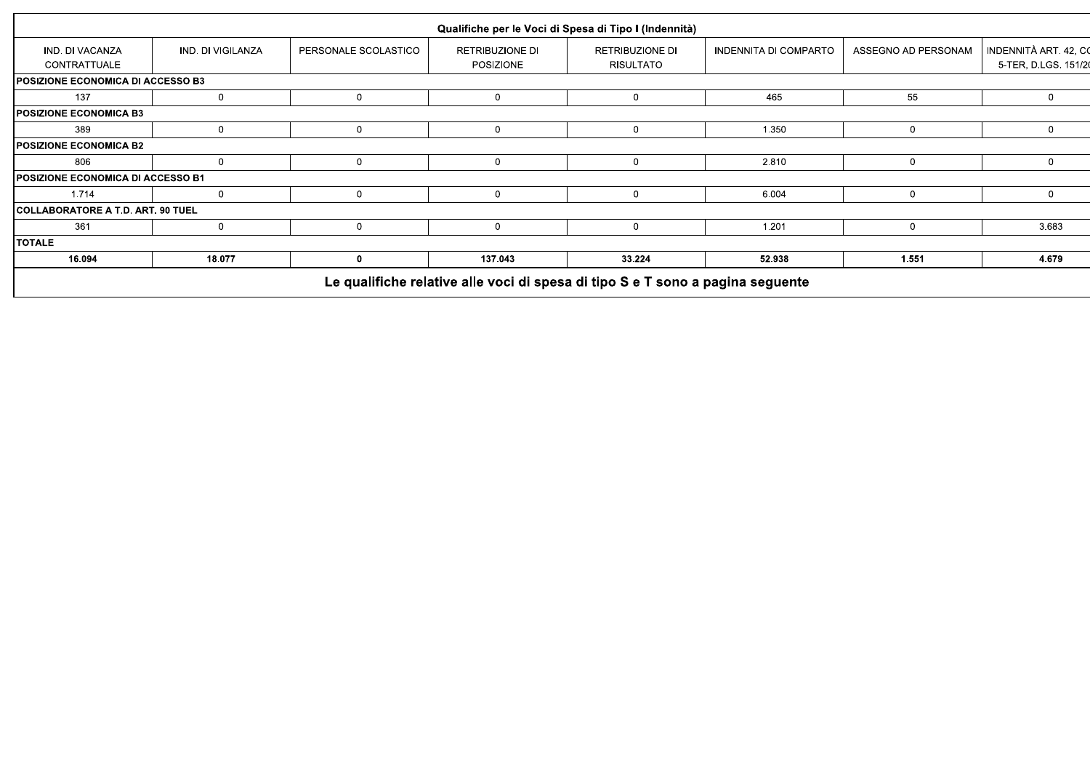|                                          |                   |                      | Qualifiche per le Voci di Spesa di Tipo I (Indennità) |                                            |                       |                     |                                             |
|------------------------------------------|-------------------|----------------------|-------------------------------------------------------|--------------------------------------------|-----------------------|---------------------|---------------------------------------------|
| IND. DI VACANZA<br>CONTRATTUALE          | IND. DI VIGILANZA | PERSONALE SCOLASTICO | RETRIBUZIONE DI<br>POSIZIONE                          | <b>RETRIBUZIONE DI</b><br><b>RISULTATO</b> | INDENNITA DI COMPARTO | ASSEGNO AD PERSONAM | INDENNITÀ ART. 42, C<br>5-TER, D.LGS. 151/2 |
| <b>POSIZIONE ECONOMICA DI ACCESSO B3</b> |                   |                      |                                                       |                                            |                       |                     |                                             |
| 137                                      | $\mathbf 0$       | $\mathbf{0}$         | 0                                                     | 0                                          | 465                   | 55                  | $\mathbf 0$                                 |
| POSIZIONE ECONOMICA B3                   |                   |                      |                                                       |                                            |                       |                     |                                             |
| 389                                      | $\mathbf{0}$      | $\mathbf 0$          | $\mathbf{0}$                                          | $\Omega$                                   | 1.350                 | 0                   | $\Omega$                                    |
| POSIZIONE ECONOMICA B2                   |                   |                      |                                                       |                                            |                       |                     |                                             |
| 806                                      | $\Omega$          | $\mathbf 0$          | $\mathbf{0}$                                          | $\mathbf{0}$                               | 2.810                 | $\Omega$            | $\mathbf 0$                                 |
| <b>POSIZIONE ECONOMICA DI ACCESSO B1</b> |                   |                      |                                                       |                                            |                       |                     |                                             |
| 1.714                                    | 0                 | $\overline{0}$       | 0                                                     |                                            | 6.004                 | 0                   | $\Omega$                                    |
| COLLABORATORE A T.D. ART. 90 TUEL        |                   |                      |                                                       |                                            |                       |                     |                                             |
| 361                                      | 0                 | $\mathbf{0}$         | 0                                                     | 0                                          | 1.201                 | $\Omega$            | 3.683                                       |
| <b>TOTALE</b>                            |                   |                      |                                                       |                                            |                       |                     |                                             |
| 16.094                                   | 18.077            | 0                    | 137.043                                               | 33.224                                     | 52.938                | 1.551               | 4.679                                       |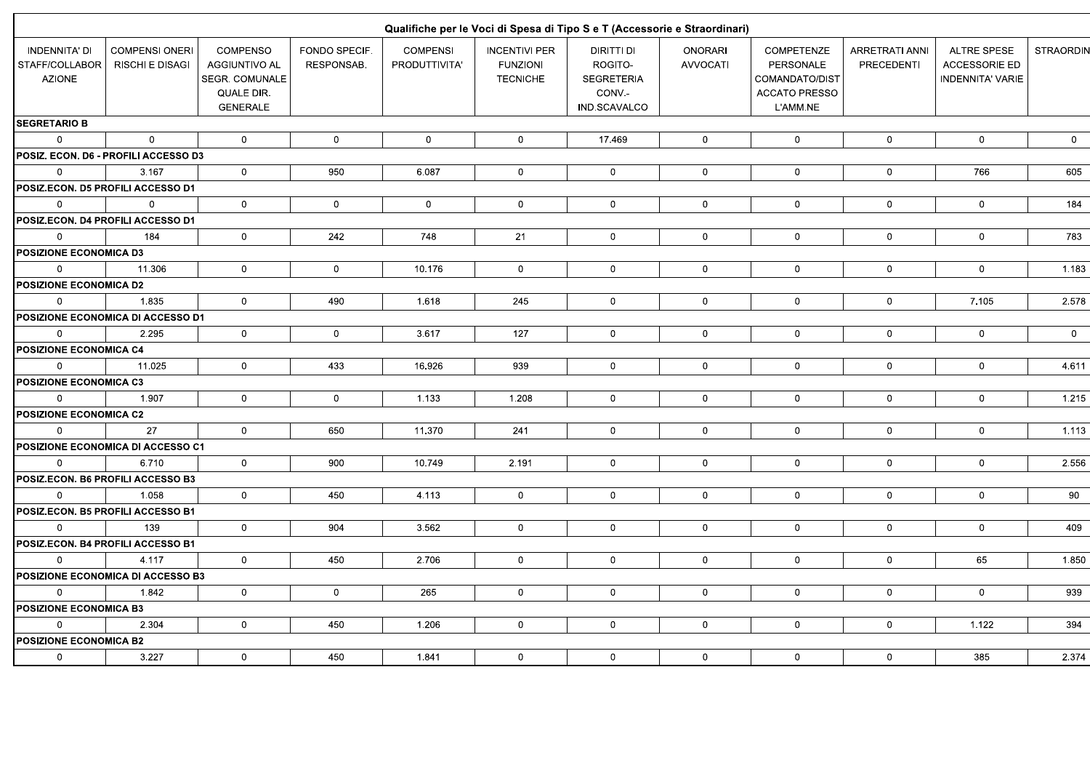|                                                         |                                                 |                                                                                            |                             |                                  |                                                            | Qualifiche per le Voci di Spesa di Tipo S e T (Accessorie e Straordinari) |                                   |                                                                               |                                            |                                                                       |                 |
|---------------------------------------------------------|-------------------------------------------------|--------------------------------------------------------------------------------------------|-----------------------------|----------------------------------|------------------------------------------------------------|---------------------------------------------------------------------------|-----------------------------------|-------------------------------------------------------------------------------|--------------------------------------------|-----------------------------------------------------------------------|-----------------|
| <b>INDENNITA' DI</b><br>STAFF/COLLABOR<br><b>AZIONE</b> | <b>COMPENSI ONERI</b><br><b>RISCHI E DISAGI</b> | <b>COMPENSO</b><br>AGGIUNTIVO AL<br><b>SEGR. COMUNALE</b><br>QUALE DIR.<br><b>GENERALE</b> | FONDO SPECIF.<br>RESPONSAB. | <b>COMPENSI</b><br>PRODUTTIVITA' | <b>INCENTIVI PER</b><br><b>FUNZIONI</b><br><b>TECNICHE</b> | DIRITTI DI<br>ROGITO-<br><b>SEGRETERIA</b><br>CONV.-<br>IND.SCAVALCO      | <b>ONORARI</b><br><b>AVVOCATI</b> | COMPETENZE<br>PERSONALE<br>COMANDATO/DIST<br><b>ACCATO PRESSO</b><br>L'AMM.NE | <b>ARRETRATI ANNI</b><br><b>PRECEDENTI</b> | <b>ALTRE SPESE</b><br><b>ACCESSORIE ED</b><br><b>INDENNITA' VARIE</b> | <b>STRAORDI</b> |
| <b>SEGRETARIO B</b>                                     |                                                 |                                                                                            |                             |                                  |                                                            |                                                                           |                                   |                                                                               |                                            |                                                                       |                 |
| $\overline{0}$                                          | $\Omega$                                        | $\mathbf 0$                                                                                | $\mathbf 0$                 | $\mathbf 0$                      | $\mathbf 0$                                                | 17.469                                                                    | $\mathbf 0$                       | $\mathbf 0$                                                                   | $\mathbf 0$                                | $\mathbf 0$                                                           | $\overline{0}$  |
|                                                         | POSIZ. ECON. D6 - PROFILI ACCESSO D3            |                                                                                            |                             |                                  |                                                            |                                                                           |                                   |                                                                               |                                            |                                                                       |                 |
| $\mathbf 0$                                             | 3.167                                           | $\mathbf 0$                                                                                | 950                         | 6.087                            | $\mathbf 0$                                                | $\mathbf 0$                                                               | $\mathbf 0$                       | $\mathbf 0$                                                                   | $\mathbf 0$                                | 766                                                                   | 605             |
| <b>POSIZ.ECON. D5 PROFILI ACCESSO D1</b>                |                                                 |                                                                                            |                             |                                  |                                                            |                                                                           |                                   |                                                                               |                                            |                                                                       |                 |
| $\overline{0}$                                          | $\Omega$                                        | $\mathbf 0$                                                                                | $\mathbf 0$                 | $\mathbf 0$                      | $\mathbf 0$                                                | $\mathbf{0}$                                                              | $\mathbf 0$                       | $\mathbf 0$                                                                   | $\mathbf 0$                                | $\mathsf 0$                                                           | 184             |
|                                                         | <b>POSIZ.ECON. D4 PROFILI ACCESSO D1</b>        |                                                                                            |                             |                                  |                                                            |                                                                           |                                   |                                                                               |                                            |                                                                       |                 |
| $\mathbf 0$                                             | 184                                             | $\mathbf 0$                                                                                | 242                         | 748                              | 21                                                         | $\mathbf 0$                                                               | $\mathbf 0$                       | $\mathbf 0$                                                                   | $\mathbf 0$                                | $\mathsf 0$                                                           | 783             |
| <b>POSIZIONE ECONOMICA D3</b>                           |                                                 |                                                                                            |                             |                                  |                                                            |                                                                           |                                   |                                                                               |                                            |                                                                       |                 |
| $\mathbf{0}$                                            | 11.306                                          | $\mathbf 0$                                                                                | $\mathbf 0$                 | 10.176                           | $\mathbf 0$                                                | $\mathbf{0}$                                                              | $\mathbf 0$                       | $\mathbf 0$                                                                   | $\mathsf{O}\xspace$                        | $\mathbf 0$                                                           | 1.183           |
| <b>POSIZIONE ECONOMICA D2</b>                           |                                                 |                                                                                            |                             |                                  |                                                            |                                                                           |                                   |                                                                               |                                            |                                                                       |                 |
| $\mathbf 0$                                             | 1.835                                           | $\mathbf 0$                                                                                | 490                         | 1.618                            | 245                                                        | $\mathbf 0$                                                               | $\mathbf 0$                       | $\mathbf 0$                                                                   | $\mathbf 0$                                | 7.105                                                                 | 2.578           |
|                                                         | <b>POSIZIONE ECONOMICA DI ACCESSO D1</b>        |                                                                                            |                             |                                  |                                                            |                                                                           |                                   |                                                                               |                                            |                                                                       |                 |
| $\mathbf 0$                                             | 2.295                                           | $\mathbf 0$                                                                                | $\mathsf 0$                 | 3.617                            | 127                                                        | $\mathbf{0}$                                                              | $\mathsf{O}\xspace$               | $\mathbf 0$                                                                   | $\mathbf 0$                                | $\mathsf{O}\xspace$                                                   | $\overline{0}$  |
| POSIZIONE ECONOMICA C4                                  |                                                 |                                                                                            |                             |                                  |                                                            |                                                                           |                                   |                                                                               |                                            |                                                                       |                 |
| $\mathbf 0$                                             | 11.025                                          | $\overline{0}$                                                                             | 433                         | 16.926                           | 939                                                        | $\mathbf{0}$                                                              | $\mathsf{O}\xspace$               | $\mathbf 0$                                                                   | $\mathbf 0$                                | $\mathsf 0$                                                           | 4.611           |
| <b>POSIZIONE ECONOMICA C3</b>                           |                                                 |                                                                                            |                             |                                  |                                                            |                                                                           |                                   |                                                                               |                                            |                                                                       |                 |
| $\mathbf{0}$                                            | 1.907                                           | $\mathbf 0$                                                                                | $\mathbf 0$                 | 1.133                            | 1.208                                                      | $\mathbf 0$                                                               | $\mathbf 0$                       | $\mathbf 0$                                                                   | $\mathbf 0$                                | $\mathsf 0$                                                           | 1.215           |
| <b>POSIZIONE ECONOMICA C2</b>                           |                                                 |                                                                                            |                             |                                  |                                                            |                                                                           |                                   |                                                                               |                                            |                                                                       |                 |
| $\Omega$                                                | 27                                              | $\mathbf{0}$                                                                               | 650                         | 11.370                           | 241                                                        | $\overline{0}$                                                            | $\mathbf 0$                       | $\overline{0}$                                                                | $\mathbf 0$                                | $\mathbf 0$                                                           | 1.113           |
|                                                         | <b>POSIZIONE ECONOMICA DI ACCESSO C1</b>        |                                                                                            |                             |                                  |                                                            |                                                                           |                                   |                                                                               |                                            |                                                                       |                 |
| $\mathbf{0}$                                            | 6.710                                           | $\mathbf 0$                                                                                | 900                         | 10.749                           | 2.191                                                      | $\mathbf{0}$                                                              | $\mathbf 0$                       | $\mathbf 0$                                                                   | $\mathbf 0$                                | $\mathbf 0$                                                           | 2.556           |
|                                                         | POSIZ.ECON. B6 PROFILI ACCESSO B3               |                                                                                            |                             |                                  |                                                            |                                                                           |                                   |                                                                               |                                            |                                                                       |                 |
| $\mathbf{0}$                                            | 1.058                                           | $\mathbf 0$                                                                                | 450                         | 4.113                            | $\mathbf 0$                                                | $\overline{0}$                                                            | $\mathbf 0$                       | $\mathbf{0}$                                                                  | $\mathbf 0$                                | $\mathbf 0$                                                           | 90              |
|                                                         | POSIZ.ECON. B5 PROFILI ACCESSO B1               |                                                                                            |                             |                                  |                                                            |                                                                           |                                   |                                                                               |                                            |                                                                       |                 |
| $\Omega$                                                | 139                                             | $\mathbf{0}$                                                                               | 904                         | 3.562                            | $\mathbf 0$                                                | $\mathbf 0$                                                               | $\mathbf 0$                       | $\mathbf 0$                                                                   | $\mathbf 0$                                | $\mathbf 0$                                                           | 409             |
|                                                         | POSIZ.ECON. B4 PROFILI ACCESSO B1               |                                                                                            |                             |                                  |                                                            |                                                                           |                                   |                                                                               |                                            |                                                                       |                 |
| $\mathbf{0}$                                            | 4.117                                           | $\mathbf 0$                                                                                | 450                         | 2.706                            | $\mathbf{0}$                                               | $\mathbf{0}$                                                              | $\mathbf 0$                       | $\mathbf{0}$                                                                  | $\mathbf 0$                                | 65                                                                    | 1.850           |
|                                                         | POSIZIONE ECONOMICA DI ACCESSO B3               |                                                                                            |                             |                                  |                                                            |                                                                           |                                   |                                                                               |                                            |                                                                       |                 |
| $\mathbf 0$                                             | 1.842                                           | $\mathbf 0$                                                                                | $\mathsf 0$                 | 265                              | $\mathbf 0$                                                | $\overline{0}$                                                            | $\mathbf 0$                       | $\mathbf 0$                                                                   | $\mathbf 0$                                | $\mathsf 0$                                                           | 939             |
| POSIZIONE ECONOMICA B3                                  |                                                 |                                                                                            |                             |                                  |                                                            |                                                                           |                                   |                                                                               |                                            |                                                                       |                 |
| $\mathbf 0$                                             | 2.304                                           | $\mathbf 0$                                                                                | 450                         | 1.206                            | $\overline{0}$                                             | $\overline{0}$                                                            | $\mathbf 0$                       | $\mathbf 0$                                                                   | $\overline{0}$                             | 1.122                                                                 | 394             |
| <b>POSIZIONE ECONOMICA B2</b>                           |                                                 |                                                                                            |                             |                                  |                                                            |                                                                           |                                   |                                                                               |                                            |                                                                       |                 |
| $\mathbf 0$                                             | 3.227                                           | $\mathbf 0$                                                                                | 450                         | 1.841                            | $\mathbf 0$                                                | $\mathbf{0}$                                                              | $\mathbf 0$                       | $\mathbf{0}$                                                                  | $\mathbf 0$                                | 385                                                                   | 2.374           |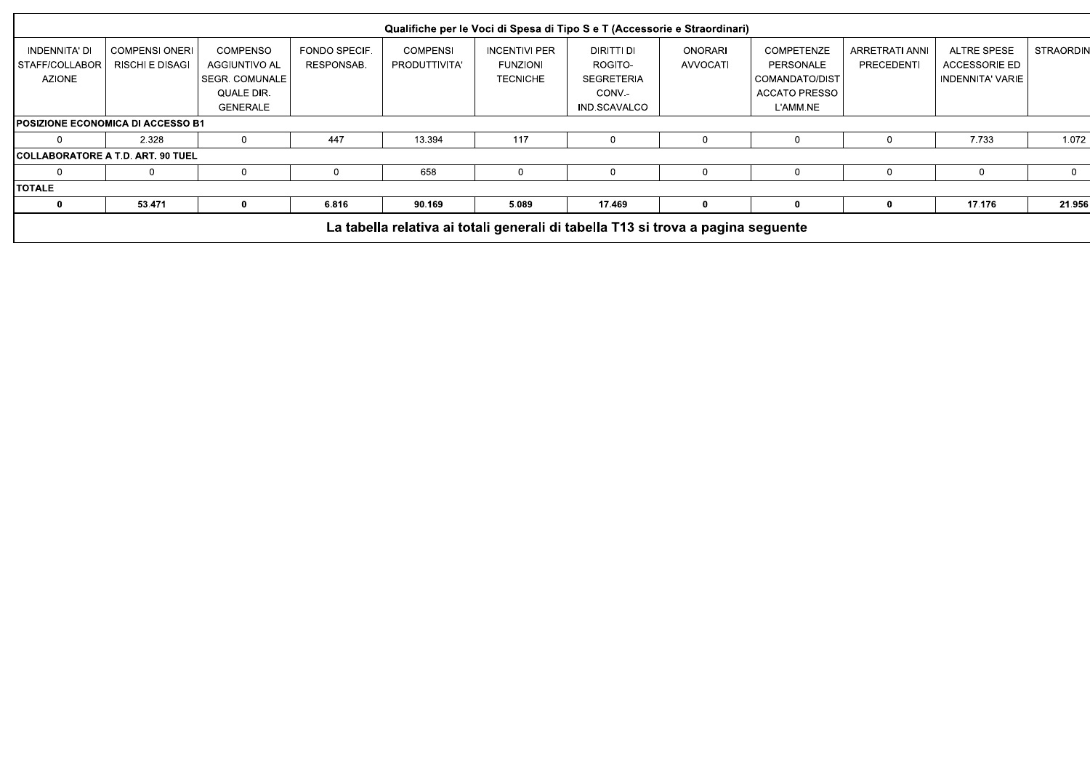|                                          |                                                 |                                  |                             |                                  | Qualifiche per le Voci di Spesa di Tipo S e T (Accessorie e Straordinari)        |                       |                                   |                                |                              |                                            |              |
|------------------------------------------|-------------------------------------------------|----------------------------------|-----------------------------|----------------------------------|----------------------------------------------------------------------------------|-----------------------|-----------------------------------|--------------------------------|------------------------------|--------------------------------------------|--------------|
| INDENNITA' DI<br>STAFF/COLLABOR          | <b>COMPENSI ONERI</b><br><b>RISCHI E DISAGI</b> | <b>COMPENSO</b><br>AGGIUNTIVO AL | FONDO SPECIF.<br>RESPONSAB. | <b>COMPENSI</b><br>PRODUTTIVITA' | <b>INCENTIVI PER</b><br><b>FUNZIONI</b>                                          | DIRITTI DI<br>ROGITO- | <b>ONORARI</b><br><b>AVVOCATI</b> | <b>COMPETENZE</b><br>PERSONALE | ARRETRATI ANNI<br>PRECEDENTI | <b>ALTRE SPESE</b><br><b>ACCESSORIE ED</b> | STRAORDIN    |
| <b>AZIONE</b>                            |                                                 | SEGR. COMUNALE                   |                             |                                  | <b>TECNICHE</b>                                                                  | <b>SEGRETERIA</b>     |                                   | COMANDATO/DIST                 |                              | <b>INDENNITA' VARIE</b>                    |              |
|                                          |                                                 | QUALE DIR.                       |                             |                                  |                                                                                  | CONV.-                |                                   | <b>ACCATO PRESSO</b>           |                              |                                            |              |
|                                          |                                                 | GENERALE                         |                             |                                  |                                                                                  | IND.SCAVALCO          |                                   | L'AMM.NE                       |                              |                                            |              |
|                                          | POSIZIONE ECONOMICA DI ACCESSO B1               |                                  |                             |                                  |                                                                                  |                       |                                   |                                |                              |                                            |              |
|                                          | 2.328                                           |                                  | 447                         | 13.394                           | 117                                                                              |                       | $\Omega$                          |                                |                              | 7.733                                      | 1.072        |
| <b>COLLABORATORE A T.D. ART. 90 TUEL</b> |                                                 |                                  |                             |                                  |                                                                                  |                       |                                   |                                |                              |                                            |              |
|                                          |                                                 |                                  | $\Omega$                    | 658                              |                                                                                  |                       | $\Omega$                          | $\Omega$                       |                              | 0                                          | $\mathbf{0}$ |
| <b>ITOTALE</b>                           |                                                 |                                  |                             |                                  |                                                                                  |                       |                                   |                                |                              |                                            |              |
|                                          | 53.471                                          |                                  | 6.816                       | 90.169                           | 5.089                                                                            | 17.469                | 0                                 |                                |                              | 17.176                                     | 21.956       |
|                                          |                                                 |                                  |                             |                                  | La tabella relativa ai totali generali di tabella T13 si trova a pagina seguente |                       |                                   |                                |                              |                                            |              |
|                                          |                                                 |                                  |                             |                                  |                                                                                  |                       |                                   |                                |                              |                                            |              |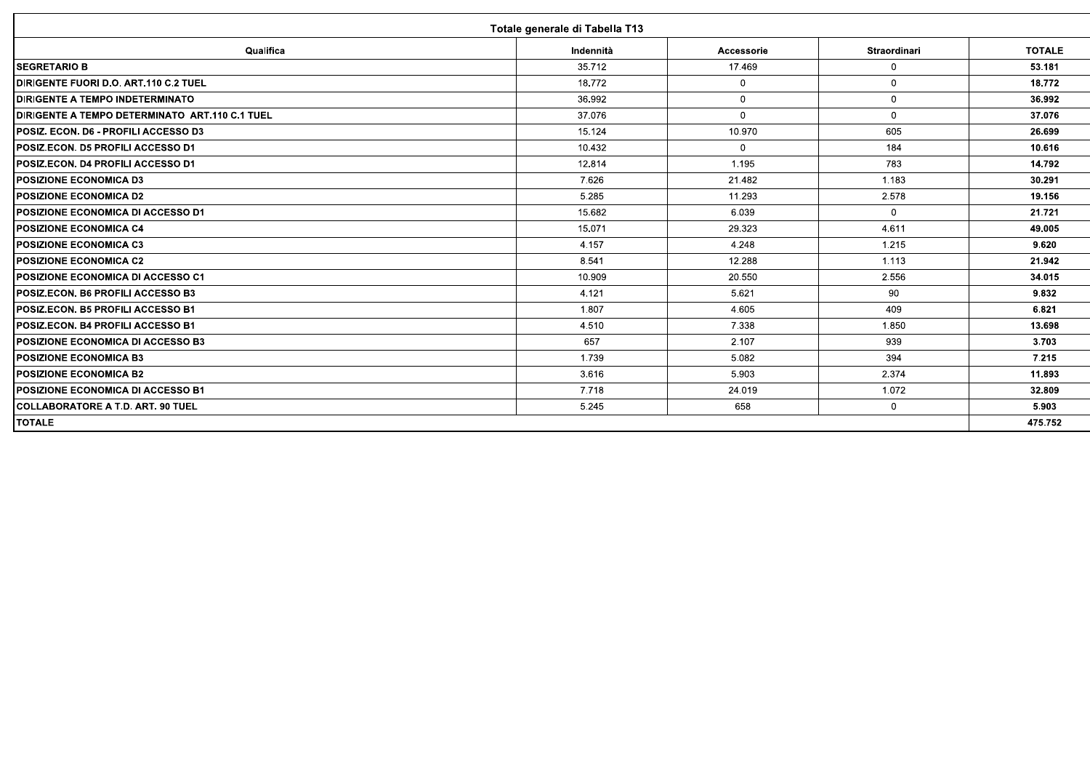| Totale generale di Tabella T13                         |           |              |                |               |  |  |  |  |  |
|--------------------------------------------------------|-----------|--------------|----------------|---------------|--|--|--|--|--|
| Qualifica                                              | Indennità | Accessorie   | Straordinari   | <b>TOTALE</b> |  |  |  |  |  |
| <b>SEGRETARIO B</b>                                    | 35.712    | 17.469       | $\mathbf 0$    | 53.181        |  |  |  |  |  |
| DIRIGENTE FUORI D.O. ART.110 C.2 TUEL                  | 18.772    | $\mathbf 0$  | $\mathbf{0}$   | 18.772        |  |  |  |  |  |
| <b>IDIRIGENTE A TEMPO INDETERMINATO</b>                | 36.992    | $\mathbf{0}$ | $\Omega$       | 36.992        |  |  |  |  |  |
| <b>IDIRIGENTE A TEMPO DETERMINATO ART.110 C.1 TUEL</b> | 37.076    | $\Omega$     | $\overline{0}$ | 37.076        |  |  |  |  |  |
| <b>IPOSIZ. ECON. D6 - PROFILI ACCESSO D3</b>           | 15.124    | 10.970       | 605            | 26.699        |  |  |  |  |  |
| <b>POSIZ.ECON. D5 PROFILI ACCESSO D1</b>               | 10.432    | $\mathbf{0}$ | 184            | 10.616        |  |  |  |  |  |
| <b>IPOSIZ.ECON. D4 PROFILI ACCESSO D1</b>              | 12.814    | 1.195        | 783            | 14.792        |  |  |  |  |  |
| <b>POSIZIONE ECONOMICA D3</b>                          | 7.626     | 21.482       | 1.183          | 30.291        |  |  |  |  |  |
| <b>POSIZIONE ECONOMICA D2</b>                          | 5.285     | 11.293       | 2.578          | 19.156        |  |  |  |  |  |
| <b>IPOSIZIONE ECONOMICA DI ACCESSO D1</b>              | 15.682    | 6.039        | $\overline{0}$ | 21.721        |  |  |  |  |  |
| <b>IPOSIZIONE ECONOMICA C4</b>                         | 15.071    | 29.323       | 4.611          | 49.005        |  |  |  |  |  |
| <b>IPOSIZIONE ECONOMICA C3</b>                         | 4.157     | 4.248        | 1.215          | 9.620         |  |  |  |  |  |
| <b>IPOSIZIONE ECONOMICA C2</b>                         | 8.541     | 12.288       | 1.113          | 21.942        |  |  |  |  |  |
| POSIZIONE ECONOMICA DI ACCESSO C1                      | 10.909    | 20.550       | 2.556          | 34.015        |  |  |  |  |  |
| <b>IPOSIZ.ECON. B6 PROFILI ACCESSO B3</b>              | 4.121     | 5.621        | 90             | 9.832         |  |  |  |  |  |
| <b>IPOSIZ.ECON. B5 PROFILI ACCESSO B1</b>              | 1.807     | 4.605        | 409            | 6.821         |  |  |  |  |  |
| <b>IPOSIZ.ECON. B4 PROFILI ACCESSO B1</b>              | 4.510     | 7.338        | 1.850          | 13.698        |  |  |  |  |  |
| <b>IPOSIZIONE ECONOMICA DI ACCESSO B3</b>              | 657       | 2.107        | 939            | 3.703         |  |  |  |  |  |
| <b>POSIZIONE ECONOMICA B3</b>                          | 1.739     | 5.082        | 394            | 7.215         |  |  |  |  |  |
| <b>POSIZIONE ECONOMICA B2</b>                          | 3.616     | 5.903        | 2.374          | 11.893        |  |  |  |  |  |
| <b>POSIZIONE ECONOMICA DI ACCESSO B1</b>               | 7.718     | 24.019       | 1.072          | 32.809        |  |  |  |  |  |
| <b>ICOLLABORATORE A T.D. ART. 90 TUEL</b>              | 5.245     | 658          | $\overline{0}$ | 5.903         |  |  |  |  |  |
| <b>TOTALE</b>                                          |           |              |                | 475.752       |  |  |  |  |  |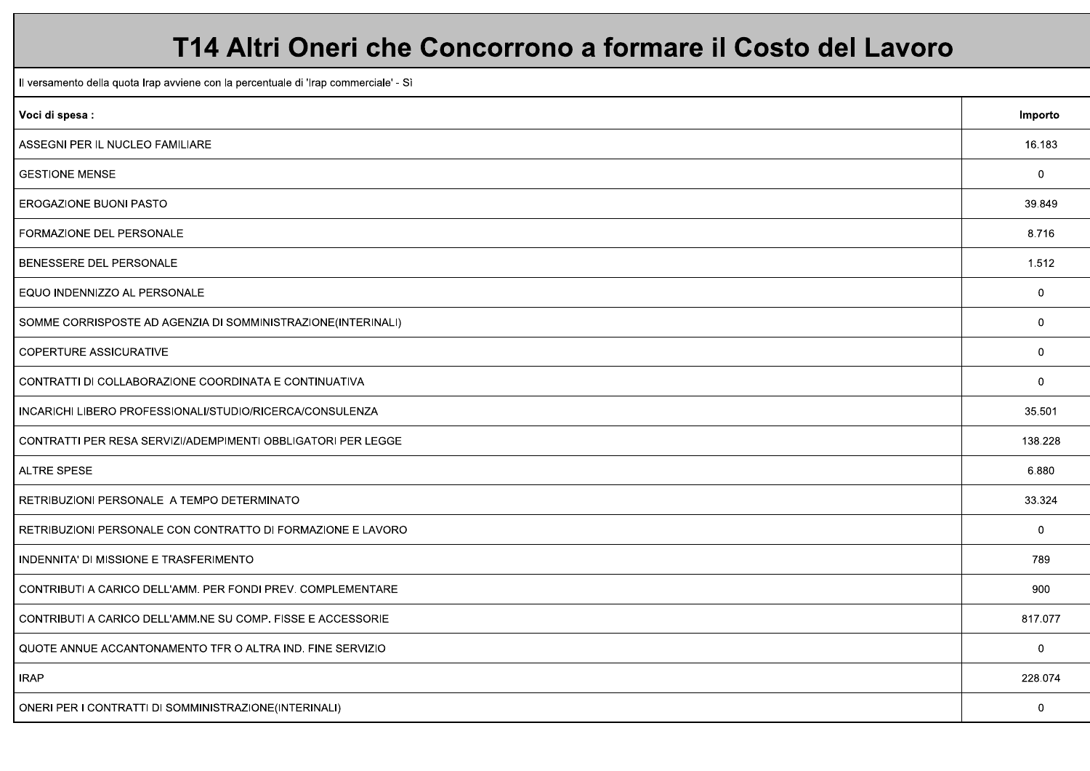### T14 Altri Oneri che Concorrono a formare il Costo del Lavoro

Il versamento della quota Irap avviene con la percentuale di 'Irap commerciale' - Sì

| Voci di spesa :                                              | Importo        |
|--------------------------------------------------------------|----------------|
| ASSEGNI PER IL NUCLEO FAMILIARE                              | 16.183         |
| <b>GESTIONE MENSE</b>                                        | $\mathbf 0$    |
| EROGAZIONE BUONI PASTO                                       | 39.849         |
| FORMAZIONE DEL PERSONALE                                     | 8.716          |
| BENESSERE DEL PERSONALE                                      | 1.512          |
| EQUO INDENNIZZO AL PERSONALE                                 | $\overline{0}$ |
| SOMME CORRISPOSTE AD AGENZIA DI SOMMINISTRAZIONE(INTERINALI) | $\mathbf 0$    |
| <b>COPERTURE ASSICURATIVE</b>                                | $\mathbf 0$    |
| CONTRATTI DI COLLABORAZIONE COORDINATA E CONTINUATIVA        | $\overline{0}$ |
| INCARICHI LIBERO PROFESSIONALI/STUDIO/RICERCA/CONSULENZA     | 35.501         |
| CONTRATTI PER RESA SERVIZI/ADEMPIMENTI OBBLIGATORI PER LEGGE | 138.228        |
| <b>ALTRE SPESE</b>                                           | 6.880          |
| RETRIBUZIONI PERSONALE A TEMPO DETERMINATO                   | 33.324         |
| RETRIBUZIONI PERSONALE CON CONTRATTO DI FORMAZIONE E LAVORO  | $\mathbf 0$    |
| INDENNITA' DI MISSIONE E TRASFERIMENTO                       | 789            |
| CONTRIBUTI A CARICO DELL'AMM. PER FONDI PREV. COMPLEMENTARE  | 900            |
| CONTRIBUTI A CARICO DELL'AMM.NE SU COMP. FISSE E ACCESSORIE  | 817.077        |
| QUOTE ANNUE ACCANTONAMENTO TFR O ALTRA IND. FINE SERVIZIO    | $\overline{0}$ |
| <b>IRAP</b>                                                  | 228.074        |
| ONERI PER I CONTRATTI DI SOMMINISTRAZIONE(INTERINALI)        | $\overline{0}$ |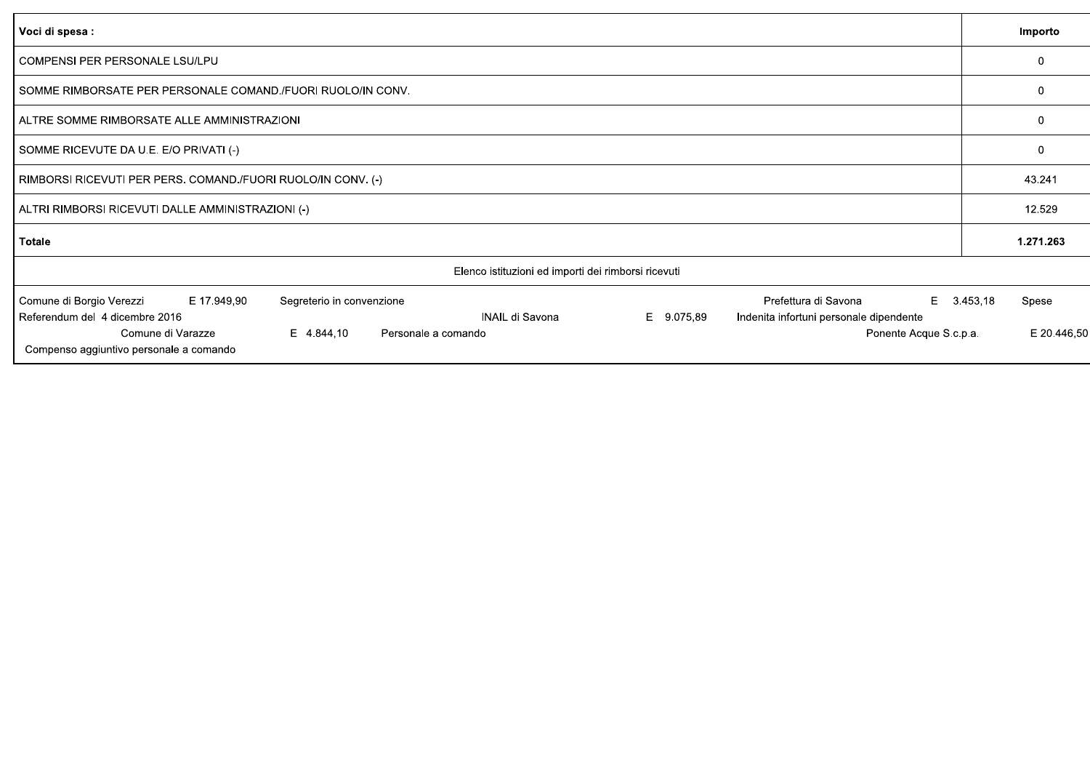| Voci di spesa :                                                                                                                                                                                                                                                                                                                                 | Importo                          |
|-------------------------------------------------------------------------------------------------------------------------------------------------------------------------------------------------------------------------------------------------------------------------------------------------------------------------------------------------|----------------------------------|
| COMPENSI PER PERSONALE LSU/LPU                                                                                                                                                                                                                                                                                                                  | $\Omega$                         |
| SOMME RIMBORSATE PER PERSONALE COMAND. FUORI RUOLO/IN CONV.                                                                                                                                                                                                                                                                                     | $\Omega$                         |
| ALTRE SOMME RIMBORSATE ALLE AMMINISTRAZIONI                                                                                                                                                                                                                                                                                                     | $\Omega$                         |
| SOMME RICEVUTE DA U.E. E/O PRIVATI (-)                                                                                                                                                                                                                                                                                                          | $\Omega$                         |
| RIMBORSI RICEVUTI PER PERS. COMAND./FUORI RUOLO/IN CONV. (-)                                                                                                                                                                                                                                                                                    | 43.241                           |
| ALTRI RIMBORSI RICEVUTI DALLE AMMINISTRAZIONI (-)                                                                                                                                                                                                                                                                                               | 12.529                           |
| <b>Totale</b>                                                                                                                                                                                                                                                                                                                                   | 1.271.263                        |
| Elenco istituzioni ed importi dei rimborsi ricevuti                                                                                                                                                                                                                                                                                             |                                  |
| Prefettura di Savona<br>Comune di Borgio Verezzi<br>Segreterio in convenzione<br>E.<br>E 17.949,90<br>Referendum del 4 dicembre 2016<br>INAIL di Savona<br>E 9.075,89<br>Indenita infortuni personale dipendente<br>E 4.844,10<br>Comune di Varazze<br>Personale a comando<br>Ponente Acque S.c.p.a.<br>Compenso aggiuntivo personale a comando | 3.453,18<br>Spese<br>E 20.446,50 |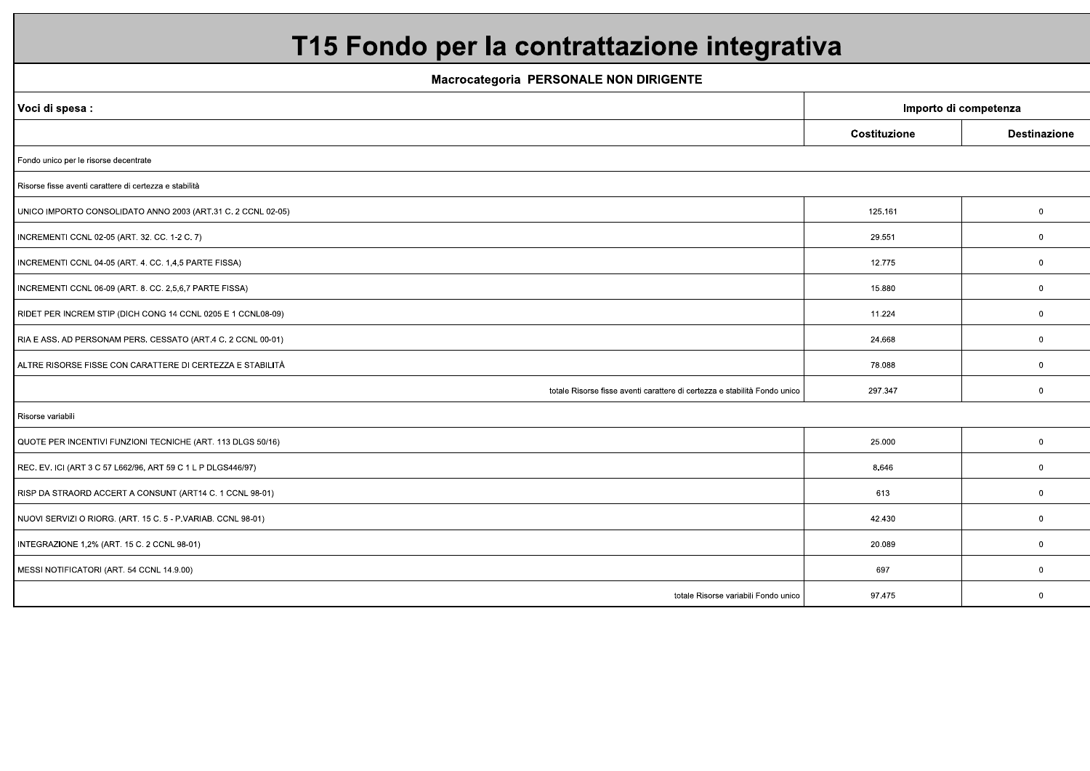# T15 Fondo per la contrattazione integrativa

**Macrocategoria PERSONALE NON DIRIGENTE** 

| Importo di competenza<br>Voci di spesa :<br>Costituzione<br><b>Destinazione</b><br>Fondo unico per le risorse decentrate<br>Risorse fisse aventi carattere di certezza e stabilità<br>UNICO IMPORTO CONSOLIDATO ANNO 2003 (ART.31 C. 2 CCNL 02-05)<br>125.161<br>$\mathbf 0$<br>INCREMENTI CCNL 02-05 (ART. 32. CC. 1-2 C. 7)<br>29.551<br>$\mathbf{0}$<br>12.775<br>INCREMENTI CCNL 04-05 (ART. 4. CC. 1,4,5 PARTE FISSA)<br>$\mathbf 0$<br>15.880<br>$\mathbf 0$<br>INCREMENTI CCNL 06-09 (ART. 8. CC. 2,5,6,7 PARTE FISSA) |
|-------------------------------------------------------------------------------------------------------------------------------------------------------------------------------------------------------------------------------------------------------------------------------------------------------------------------------------------------------------------------------------------------------------------------------------------------------------------------------------------------------------------------------|
|                                                                                                                                                                                                                                                                                                                                                                                                                                                                                                                               |
|                                                                                                                                                                                                                                                                                                                                                                                                                                                                                                                               |
|                                                                                                                                                                                                                                                                                                                                                                                                                                                                                                                               |
|                                                                                                                                                                                                                                                                                                                                                                                                                                                                                                                               |
|                                                                                                                                                                                                                                                                                                                                                                                                                                                                                                                               |
|                                                                                                                                                                                                                                                                                                                                                                                                                                                                                                                               |
|                                                                                                                                                                                                                                                                                                                                                                                                                                                                                                                               |
|                                                                                                                                                                                                                                                                                                                                                                                                                                                                                                                               |
| RIDET PER INCREM STIP (DICH CONG 14 CCNL 0205 E 1 CCNL08-09)<br>11.224<br>$\mathbf 0$                                                                                                                                                                                                                                                                                                                                                                                                                                         |
| RIA E ASS. AD PERSONAM PERS. CESSATO (ART.4 C. 2 CCNL 00-01)<br>24.668<br>$\mathbf 0$                                                                                                                                                                                                                                                                                                                                                                                                                                         |
| ALTRE RISORSE FISSE CON CARATTERE DI CERTEZZA E STABILITÀ<br>78.088<br>$\overline{0}$                                                                                                                                                                                                                                                                                                                                                                                                                                         |
| totale Risorse fisse aventi carattere di certezza e stabilità Fondo unico<br>297.347<br>$\mathbf 0$                                                                                                                                                                                                                                                                                                                                                                                                                           |
| Risorse variabili                                                                                                                                                                                                                                                                                                                                                                                                                                                                                                             |
| QUOTE PER INCENTIVI FUNZIONI TECNICHE (ART. 113 DLGS 50/16)<br>$\mathbf 0$<br>25.000                                                                                                                                                                                                                                                                                                                                                                                                                                          |
| REC. EV. ICI (ART 3 C 57 L662/96, ART 59 C 1 L P DLGS446/97)<br>8.646<br>$\mathbf 0$                                                                                                                                                                                                                                                                                                                                                                                                                                          |
| 613<br>RISP DA STRAORD ACCERT A CONSUNT (ART14 C. 1 CCNL 98-01)<br>$\mathbf 0$                                                                                                                                                                                                                                                                                                                                                                                                                                                |
| NUOVI SERVIZI O RIORG. (ART. 15 C. 5 - P.VARIAB. CCNL 98-01)<br>42.430<br>$\mathbf 0$                                                                                                                                                                                                                                                                                                                                                                                                                                         |
| INTEGRAZIONE 1,2% (ART. 15 C. 2 CCNL 98-01)<br>20.089<br>$\mathbf 0$                                                                                                                                                                                                                                                                                                                                                                                                                                                          |
| MESSI NOTIFICATORI (ART. 54 CCNL 14.9.00)<br>697<br>$\overline{0}$                                                                                                                                                                                                                                                                                                                                                                                                                                                            |
| totale Risorse variabili Fondo unico<br>97.475<br>$\mathbf{0}$                                                                                                                                                                                                                                                                                                                                                                                                                                                                |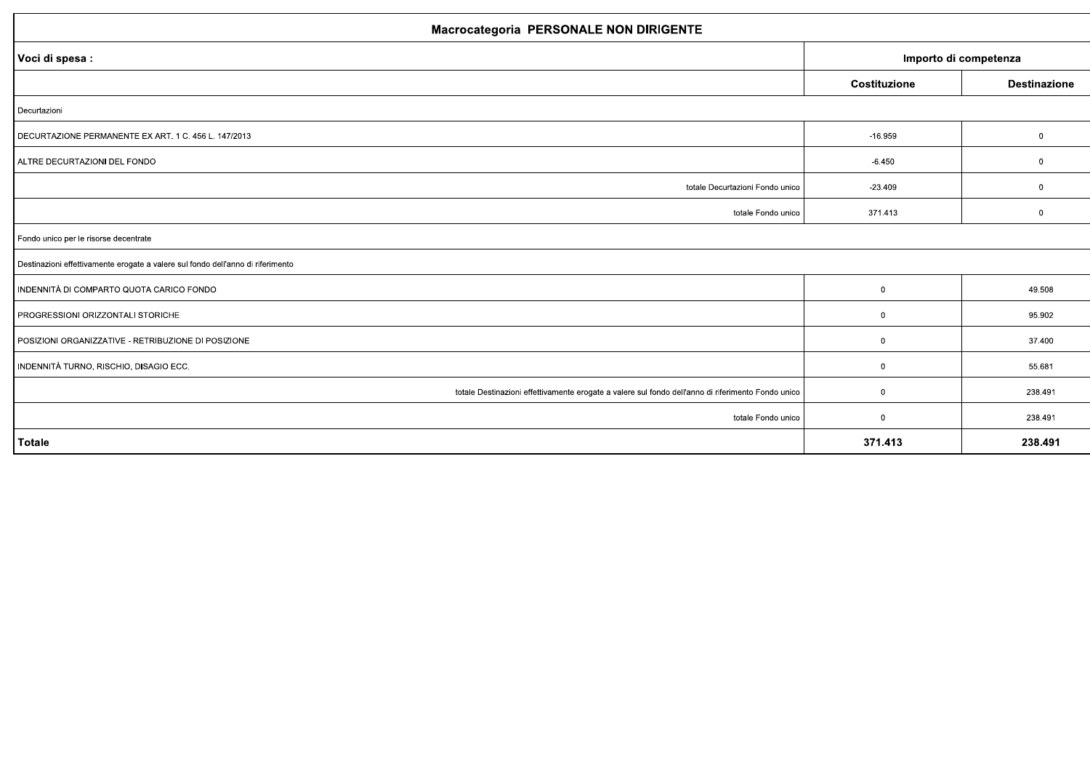#### Macrocategoria, PERSONALE NON DIRIGENTE

| macrocatogoria i EROONALE NON DINIOLITIE                                                           |                       |                     |  |
|----------------------------------------------------------------------------------------------------|-----------------------|---------------------|--|
| Voci di spesa :                                                                                    | Importo di competenza |                     |  |
|                                                                                                    | Costituzione          | <b>Destinazione</b> |  |
| Decurtazioni                                                                                       |                       |                     |  |
| DECURTAZIONE PERMANENTE EX ART. 1 C. 456 L. 147/2013                                               | $-16.959$             | $\mathbf 0$         |  |
| ALTRE DECURTAZIONI DEL FONDO                                                                       | $-6.450$              | $\mathbf{0}$        |  |
| totale Decurtazioni Fondo unico                                                                    | $-23.409$             | $\mathbf 0$         |  |
| totale Fondo unico                                                                                 | 371.413               | $\mathbf 0$         |  |
| Fondo unico per le risorse decentrate                                                              |                       |                     |  |
| Destinazioni effettivamente erogate a valere sul fondo dell'anno di riferimento                    |                       |                     |  |
| INDENNITÀ DI COMPARTO QUOTA CARICO FONDO                                                           | $\mathbf 0$           | 49.508              |  |
| PROGRESSIONI ORIZZONTALI STORICHE                                                                  | $\mathbf 0$           | 95.902              |  |
| POSIZIONI ORGANIZZATIVE - RETRIBUZIONE DI POSIZIONE                                                | 0                     | 37.400              |  |
| INDENNITÀ TURNO, RISCHIO, DISAGIO ECC.                                                             | $\mathbf 0$           | 55.681              |  |
| totale Destinazioni effettivamente erogate a valere sul fondo dell'anno di riferimento Fondo unico | $\mathbf 0$           | 238.491             |  |
| totale Fondo unico                                                                                 | $\mathbf 0$           | 238.491             |  |
| Totale                                                                                             | 371.413               | 238.491             |  |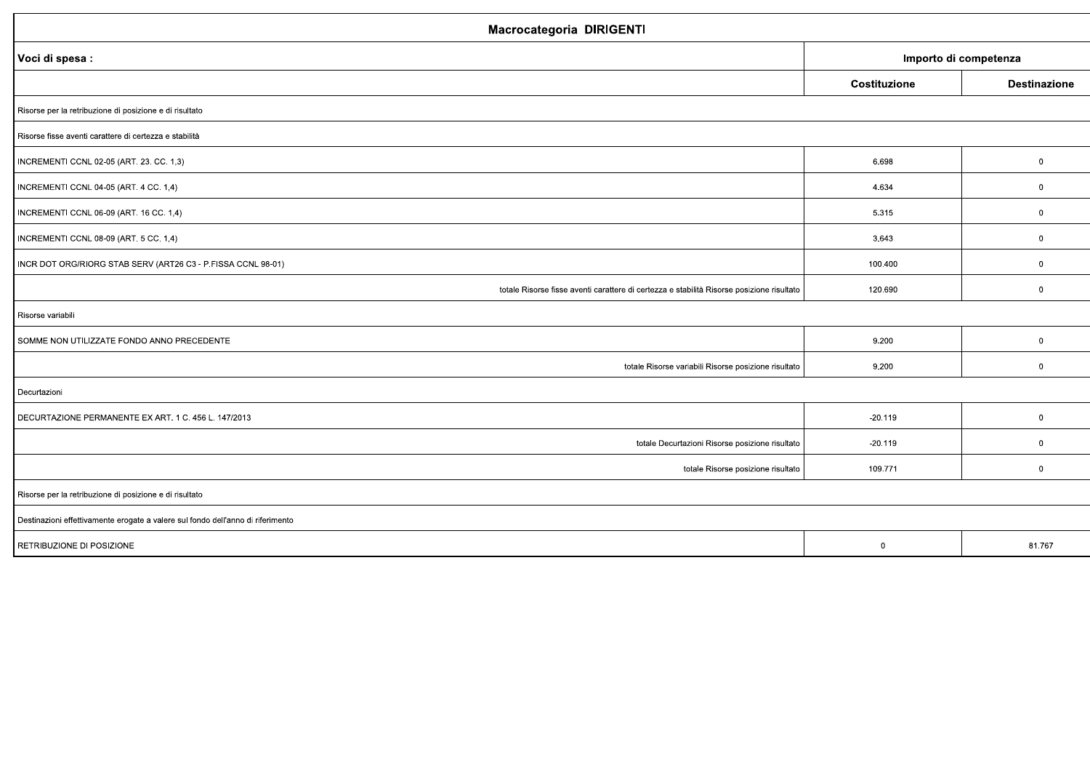| Macrocategoria DIRIGENTI                                                                  |                       |                     |
|-------------------------------------------------------------------------------------------|-----------------------|---------------------|
| Voci di spesa :                                                                           | Importo di competenza |                     |
|                                                                                           | Costituzione          | <b>Destinazione</b> |
| Risorse per la retribuzione di posizione e di risultato                                   |                       |                     |
| Risorse fisse aventi carattere di certezza e stabilità                                    |                       |                     |
| INCREMENTI CCNL 02-05 (ART. 23. CC. 1,3)                                                  | 6.698                 | $\mathbf 0$         |
| INCREMENTI CCNL 04-05 (ART. 4 CC. 1,4)                                                    | 4.634                 | $\mathbf 0$         |
| INCREMENTI CCNL 06-09 (ART. 16 CC. 1,4)                                                   | 5.315                 | $\mathbf 0$         |
| INCREMENTI CCNL 08-09 (ART. 5 CC. 1,4)                                                    | 3.643                 | $\mathbf 0$         |
| INCR DOT ORG/RIORG STAB SERV (ART26 C3 - P.FISSA CCNL 98-01)                              | 100.400               | $\mathbf 0$         |
| totale Risorse fisse aventi carattere di certezza e stabilità Risorse posizione risultato | 120.690               | $\mathbf 0$         |
| Risorse variabili                                                                         |                       |                     |
| SOMME NON UTILIZZATE FONDO ANNO PRECEDENTE                                                | 9.200                 | $\mathbf 0$         |
| totale Risorse variabili Risorse posizione risultato                                      | 9.200                 | $\mathbf 0$         |
| Decurtazioni                                                                              |                       |                     |
| DECURTAZIONE PERMANENTE EX ART. 1 C. 456 L. 147/2013                                      | $-20.119$             | $\mathbf 0$         |
| totale Decurtazioni Risorse posizione risultato                                           | $-20.119$             | $\mathbf 0$         |
| totale Risorse posizione risultato                                                        | 109.771               | $\mathbf 0$         |
| Risorse per la retribuzione di posizione e di risultato                                   |                       |                     |
| Destinazioni effettivamente erogate a valere sul fondo dell'anno di riferimento           |                       |                     |
| RETRIBUZIONE DI POSIZIONE                                                                 | $\overline{0}$        | 81.767              |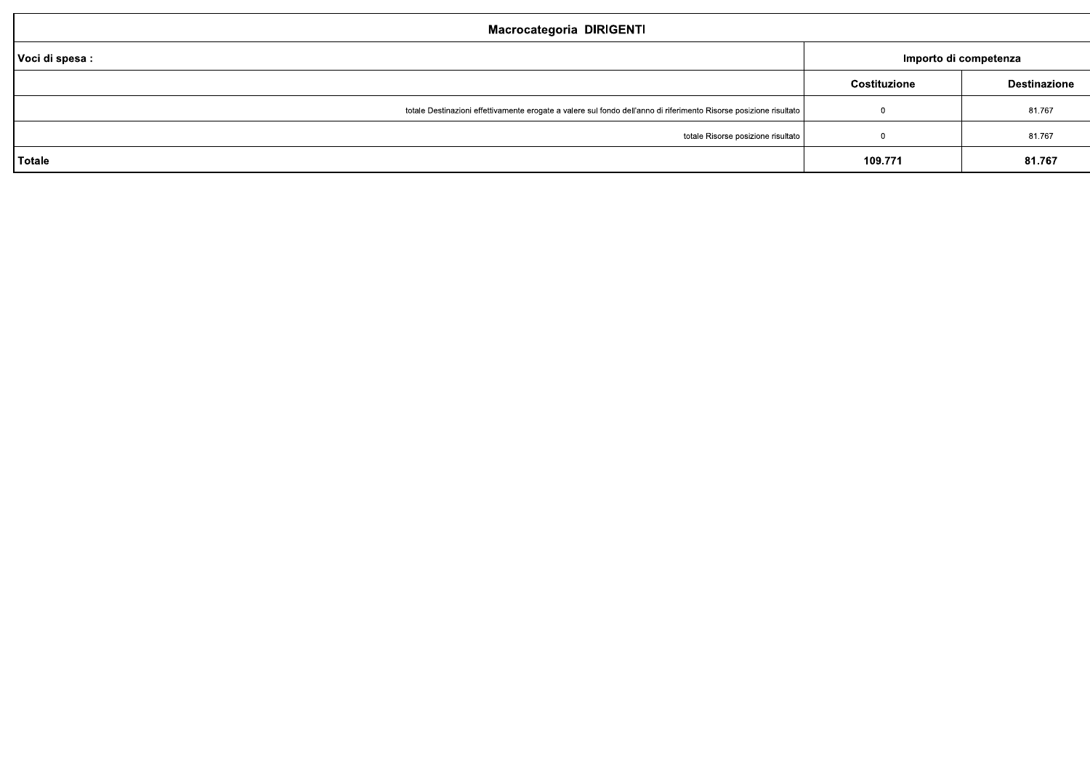#### Macrocategoria DIRIGENTI

| Voci di spesa :                                                                                                    | Importo di competenza |                     |
|--------------------------------------------------------------------------------------------------------------------|-----------------------|---------------------|
|                                                                                                                    | Costituzione          | <b>Destinazione</b> |
| totale Destinazioni effettivamente erogate a valere sul fondo dell'anno di riferimento Risorse posizione risultato |                       | 81.767              |
| totale Risorse posizione risultato                                                                                 |                       | 81.767              |
| Totale                                                                                                             | 109.771               | 81.767              |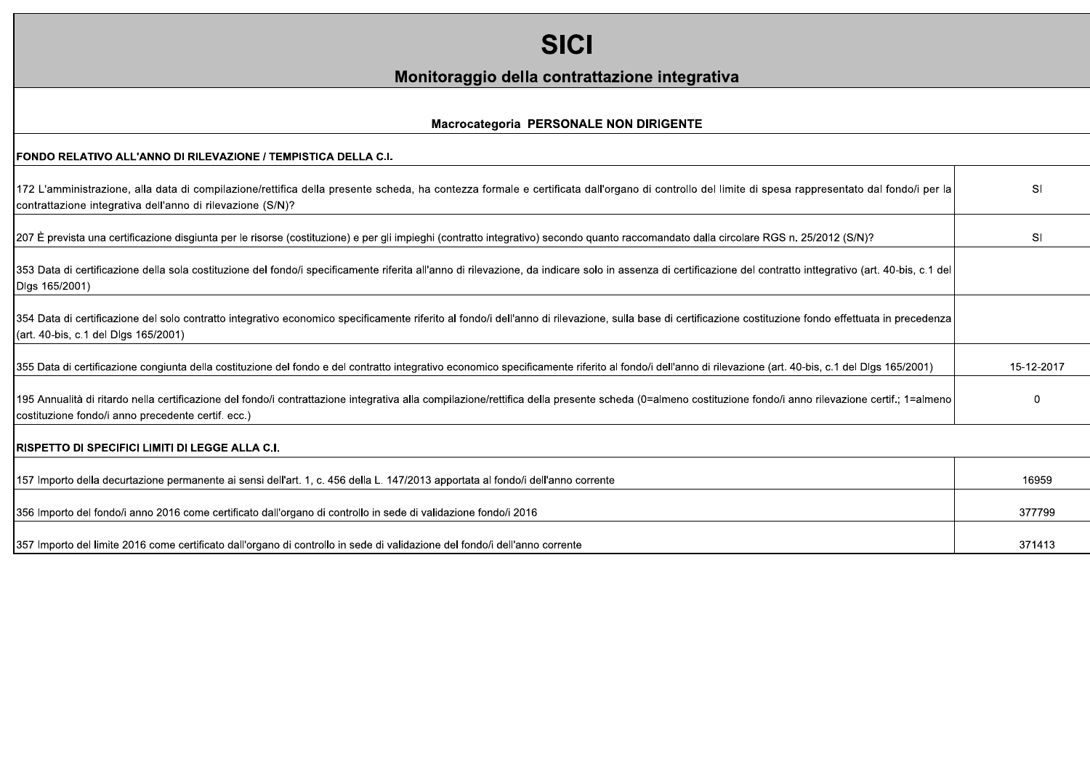| <b>SICI</b>                                                                                                                                                                                                                                                     |             |
|-----------------------------------------------------------------------------------------------------------------------------------------------------------------------------------------------------------------------------------------------------------------|-------------|
| Monitoraggio della contrattazione integrativa                                                                                                                                                                                                                   |             |
| Macrocategoria PERSONALE NON DIRIGENTE                                                                                                                                                                                                                          |             |
| FONDO RELATIVO ALL'ANNO DI RILEVAZIONE / TEMPISTICA DELLA C.I.                                                                                                                                                                                                  |             |
| 172 L'amministrazione, alla data di compilazione/rettifica della presente scheda, ha contezza formale e certificata dall'organo di controllo del limite di spesa rappresentato dal fondo/i per la<br>contrattazione integrativa dell'anno di rilevazione (S/N)? | SI          |
| 207 È prevista una certificazione disgiunta per le risorse (costituzione) e per gli impieghi (contratto integrativo) secondo quanto raccomandato dalla circolare RGS n. 25/2012 (S/N)?                                                                          | SI          |
| 353 Data di certificazione della sola costituzione del fondo/i specificamente riferita all'anno di rilevazione, da indicare solo in assenza di certificazione del contratto inttegrativo (art. 40-bis, c.1 del<br>Dlgs 165/2001)                                |             |
| 354 Data di certificazione del solo contratto integrativo economico specificamente riferito al fondo/i dell'anno di rilevazione, sulla base di certificazione costituzione fondo effettuata in precedenza<br>(art. 40-bis, c.1 del Dlgs 165/2001)               |             |
| 355 Data di certificazione congiunta della costituzione del fondo e del contratto integrativo economico specificamente riferito al fondo/i dell'anno di rilevazione (art. 40-bis, c.1 del Dlgs 165/2001)                                                        | 15-12-2017  |
| 195 Annualità di ritardo nella certificazione del fondo/i contrattazione integrativa alla compilazione/rettifica della presente scheda (0=almeno costituzione fondo/i anno rilevazione certif.; 1=almeno<br>costituzione fondo/i anno precedente certif. ecc.)  | $\mathbf 0$ |
| <b>RISPETTO DI SPECIFICI LIMITI DI LEGGE ALLA C.I.</b>                                                                                                                                                                                                          |             |
| 157 Importo della decurtazione permanente ai sensi dell'art. 1, c. 456 della L. 147/2013 apportata al fondo/i dell'anno corrente                                                                                                                                | 16959       |
| 356 Importo del fondo/i anno 2016 come certificato dall'organo di controllo in sede di validazione fondo/i 2016                                                                                                                                                 | 377799      |
| 357 Importo del limite 2016 come certificato dall'organo di controllo in sede di validazione del fondo/i dell'anno corrente                                                                                                                                     | 371413      |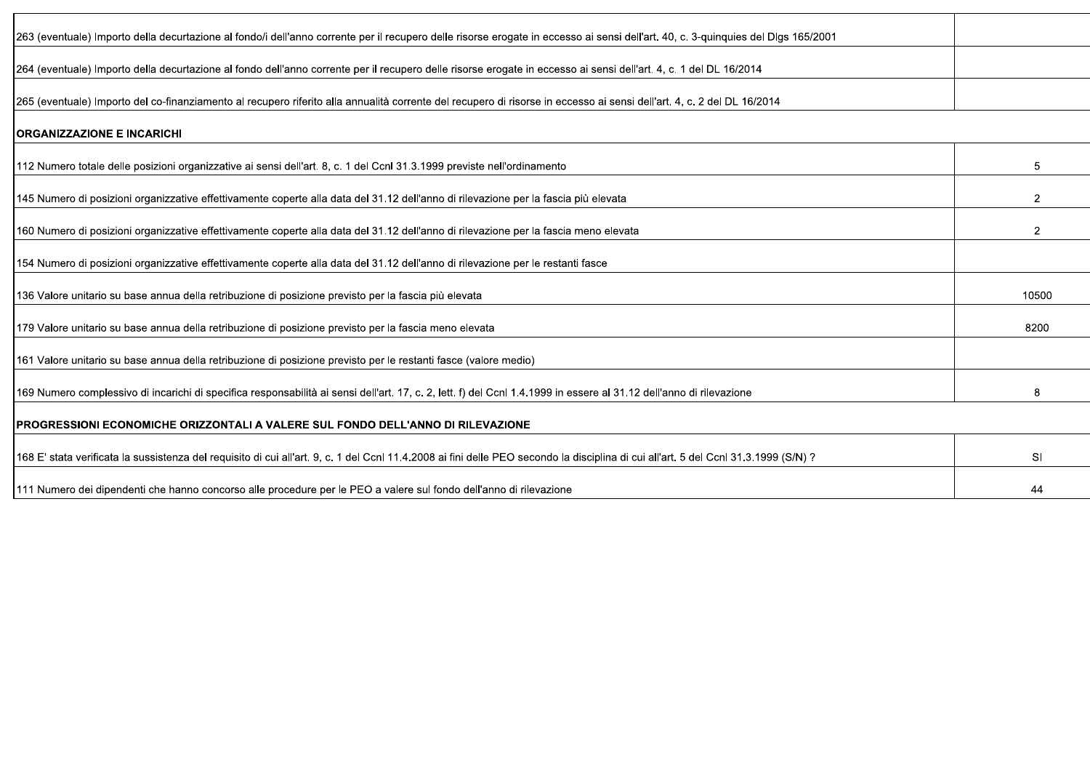| 263 (eventuale) Importo della decurtazione al fondo/i dell'anno corrente per il recupero delle risorse erogate in eccesso ai sensi dell'art. 40, c. 3-quinquies del Dlgs 165/2001    |                |
|--------------------------------------------------------------------------------------------------------------------------------------------------------------------------------------|----------------|
| 264 (eventuale) Importo della decurtazione al fondo dell'anno corrente per il recupero delle risorse erogate in eccesso ai sensi dell'art. 4, c. 1 del DL 16/2014                    |                |
| 265 (eventuale) Importo del co-finanziamento al recupero riferito alla annualità corrente del recupero di risorse in eccesso ai sensi dell'art. 4, c. 2 del DL 16/2014               |                |
| <b>ORGANIZZAZIONE E INCARICHI</b>                                                                                                                                                    |                |
| 112 Numero totale delle posizioni organizzative ai sensi dell'art. 8, c. 1 del Ccnl 31.3.1999 previste nell'ordinamento                                                              | 5              |
| 145 Numero di posizioni organizzative effettivamente coperte alla data del 31.12 dell'anno di rilevazione per la fascia più elevata                                                  | $\overline{2}$ |
| 160 Numero di posizioni organizzative effettivamente coperte alla data del 31.12 dell'anno di rilevazione per la fascia meno elevata                                                 | $\overline{2}$ |
| 154 Numero di posizioni organizzative effettivamente coperte alla data del 31.12 dell'anno di rilevazione per le restanti fasce                                                      |                |
| 136 Valore unitario su base annua della retribuzione di posizione previsto per la fascia più elevata                                                                                 | 10500          |
| 179 Valore unitario su base annua della retribuzione di posizione previsto per la fascia meno elevata                                                                                | 8200           |
| 161 Valore unitario su base annua della retribuzione di posizione previsto per le restanti fasce (valore medio)                                                                      |                |
| 169 Numero complessivo di incarichi di specifica responsabilità ai sensi dell'art. 17, c. 2, lett. f) del Ccnl 1.4.1999 in essere al 31.12 dell'anno di rilevazione                  | 8              |
| IPROGRESSIONI ECONOMICHE ORIZZONTALI A VALERE SUL FONDO DELL'ANNO DI RILEVAZIONE                                                                                                     |                |
| 168 E' stata verificata la sussistenza del requisito di cui all'art. 9, c. 1 del Ccnl 11.4.2008 ai fini delle PEO secondo la disciplina di cui all'art. 5 del Ccnl 31.3.1999 (S/N) ? | <b>SI</b>      |
| 111 Numero dei dipendenti che hanno concorso alle procedure per le PEO a valere sul fondo dell'anno di rilevazione                                                                   | 44             |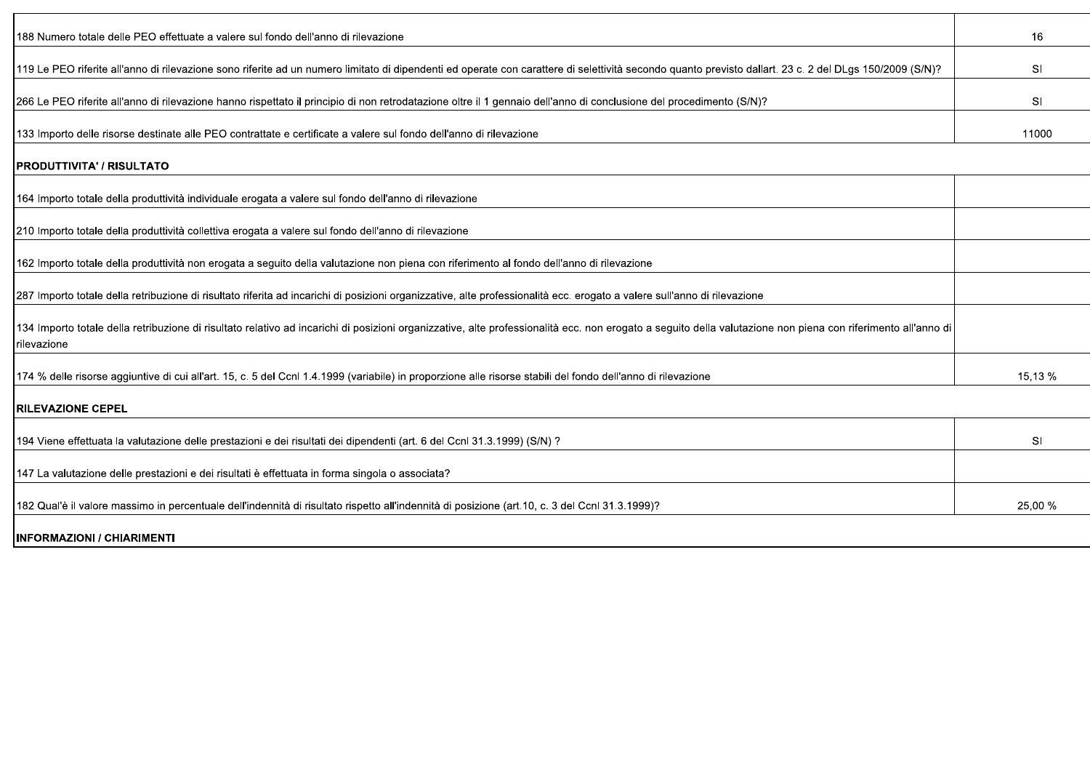| 188 Numero totale delle PEO effettuate a valere sul fondo dell'anno di rilevazione                                                                                                                                                   | 16        |
|--------------------------------------------------------------------------------------------------------------------------------------------------------------------------------------------------------------------------------------|-----------|
| 19 150/2009 (S/N)? If a sera conceptant ed un numero limitato di dipendenti ed operate con carattere di selettività secondo quanto previsto dallart. 23 c. 2 del DLgs 150/2009 (S/N)?                                                | <b>SI</b> |
| 266 Le PEO riferite all'anno di rilevazione hanno rispettato il principio di non retrodatazione oltre il 1 gennaio dell'anno di conclusione del procedimento (S/N)?                                                                  | <b>SI</b> |
| 133 Importo delle risorse destinate alle PEO contrattate e certificate a valere sul fondo dell'anno di rilevazione                                                                                                                   | 11000     |
| <b> PRODUTTIVITA' / RISULTATO</b>                                                                                                                                                                                                    |           |
| 164 Importo totale della produttività individuale erogata a valere sul fondo dell'anno di rilevazione                                                                                                                                |           |
| 210 Importo totale della produttività collettiva erogata a valere sul fondo dell'anno di rilevazione                                                                                                                                 |           |
| 162 Importo totale della produttività non erogata a seguito della valutazione non piena con riferimento al fondo dell'anno di rilevazione                                                                                            |           |
| 287 Importo totale della retribuzione di risultato riferita ad incarichi di posizioni organizzative, alte professionalità ecc. erogato a valere sull'anno di rilevazione                                                             |           |
| 134 Importo totale della retribuzione di risultato relativo ad incarichi di posizioni organizzative, alte professionalità ecc. non erogato a seguito della valutazione non piena con riferimento all'anno di<br><b>I</b> rilevazione |           |
| 174 % delle risorse aggiuntive di cui all'art. 15, c. 5 del Ccnl 1.4.1999 (variabile) in proporzione alle risorse stabili del fondo dell'anno di rilevazione                                                                         | 15.13 %   |
| <b>IRILEVAZIONE CEPEL</b>                                                                                                                                                                                                            |           |
| 194 Viene effettuata la valutazione delle prestazioni e dei risultati dei dipendenti (art. 6 del Ccnl 31.3.1999) (S/N) ?                                                                                                             | <b>SI</b> |
| 147 La valutazione delle prestazioni e dei risultati è effettuata in forma singola o associata?                                                                                                                                      |           |
| 182 Qual'è il valore massimo in percentuale dell'indennità di risultato rispetto all'indennità di posizione (art.10, c. 3 del Ccnl 31.3.1999)?                                                                                       | 25,00 %   |

**INFORMAZIONI / CHIARIMENTI**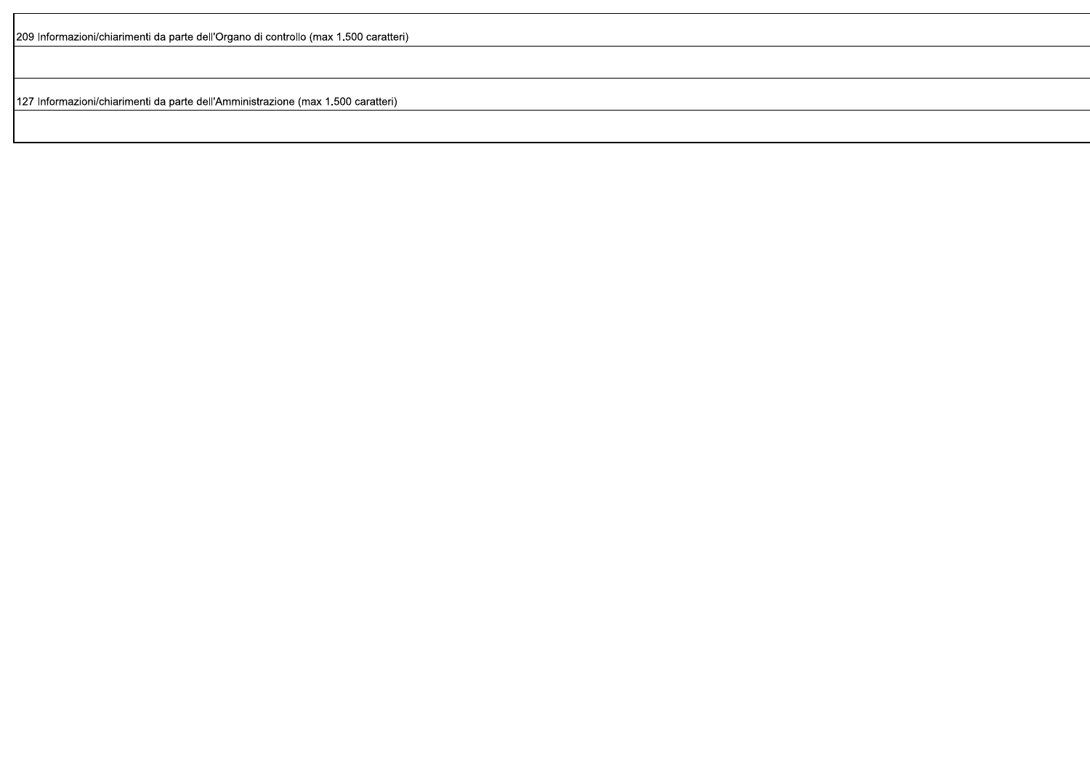209 Informazioni/chiarimenti da parte dell'Organo di controllo (max 1.500 caratteri)

127 Informazioni/chiarimenti da parte dell'Amministrazione (max 1.500 caratteri)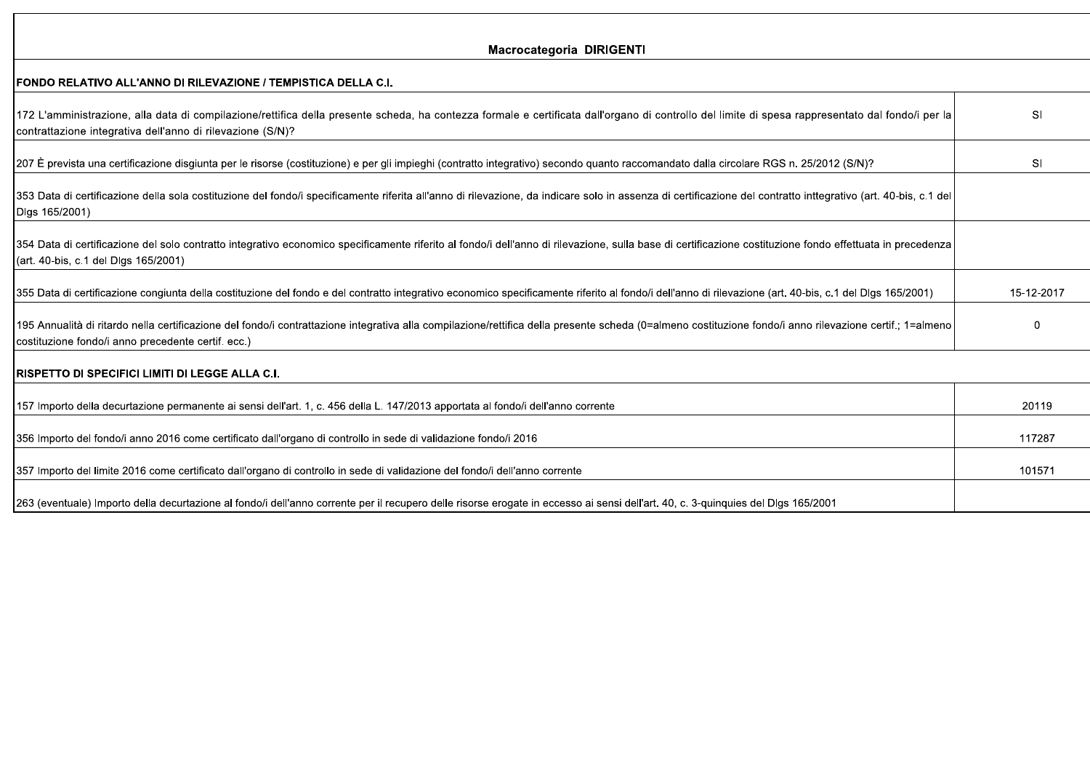#### Macrocategoria DIRIGENTI

------

 $\mathbf{r}$ 

| IFUNDU RELATIVU ALL'ANNU DI RILEVAZIUNE / TEMPISTICA DELLA C.I.                                                                                                                                                                                                  |            |
|------------------------------------------------------------------------------------------------------------------------------------------------------------------------------------------------------------------------------------------------------------------|------------|
| [172 L'amministrazione, alla data di compilazione/rettifica della presente scheda, ha contezza formale e certificata dall'organo di controllo del limite di spesa rappresentato dal fondo/i per la<br>contrattazione integrativa dell'anno di rilevazione (S/N)? | SI         |
| [207 È prevista una certificazione disgiunta per le risorse (costituzione) e per gli impieghi (contratto integrativo) secondo quanto raccomandato dalla circolare RGS n. 25/2012 (S/N)?                                                                          | SI         |
| [353 Data di certificazione della sola costituzione del fondo/i specificamente riferita all'anno di rilevazione, da indicare solo in assenza di certificazione del contratto inttegrativo (art. 40-bis, c.1 del<br>Digs 165/2001)                                |            |
| 354 Data di certificazione del solo contratto integrativo economico specificamente riferito al fondo/i dell'anno di rilevazione, sulla base di certificazione costituzione fondo effettuata in precedenza<br>(art. 40-bis, c.1 del Dlgs 165/2001)                |            |
| 355 Data di certificazione congiunta della costituzione del fondo e del contratto integrativo economico specificamente riferito al fondo/i dell'anno di rilevazione (art. 40-bis, c.1 del Dlgs 165/2001)                                                         | 15-12-2017 |
| 195 Annualità di ritardo nella certificazione del fondo/i contrattazione integrativa alla compilazione/rettifica della presente scheda (0=almeno costituzione fondo/i anno rilevazione certif.; 1=almeno<br>costituzione fondo/i anno precedente certif. ecc.)   |            |
| <b>RISPETTO DI SPECIFICI LIMITI DI LEGGE ALLA C.I.</b>                                                                                                                                                                                                           |            |
| $\overline{157}$ lmnorte della decurrectiona permenente di anno idella in $\overline{150}$ della L $\overline{117/9049}$ ennortete al fende i dell'anno corrento                                                                                                 | 00110      |

| 157 Importo della decurtazione permanente ai sensi dell'art. 1, c. 456 della L. 147/2013 apportata al fondo/i dell'anno corrente                                                   | 20119  |
|------------------------------------------------------------------------------------------------------------------------------------------------------------------------------------|--------|
|                                                                                                                                                                                    |        |
| 16 306 Importo del fondo/i anno 2016 come certificato dall'organo di controllo in sede di validazione fondo/i                                                                      | 117287 |
|                                                                                                                                                                                    |        |
| 357 Importo del limite 2016 come certificato dall'organo di controllo in sede di validazione del fondo/i dell'anno corrente                                                        | 101571 |
|                                                                                                                                                                                    |        |
| [263 (eventuale) Importo della decurtazione al fondo/i dell'anno corrente per il recupero delle risorse erogate in eccesso ai sensi dell'art. 40, c. 3-quinquies del DIgs 165/2001 |        |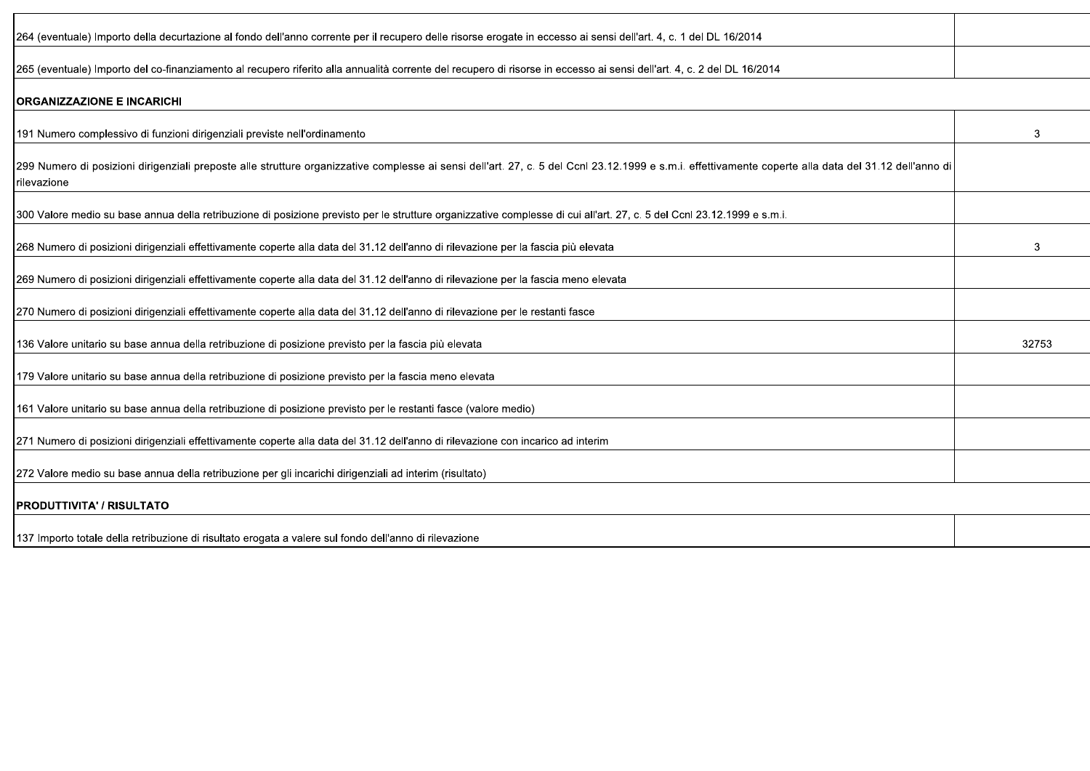| [264 (eventuale) Importo della decurtazione al fondo dell'anno corrente per il recupero delle risorse erogate in eccesso ai sensi dell'art. 4, c. 1 del DL 16/2014           |  |
|------------------------------------------------------------------------------------------------------------------------------------------------------------------------------|--|
| 2014) 265 (eventuale) Importo del co-finanziamento al recupero riferito alla annualità corrente del recupero di risorse in eccesso ai sensi dell'art. 4, c. 2 del DL 16/2014 |  |

#### **ORGANIZZAZIONE E INCARICHI**

| 191 Numero complessivo di funzioni dirigenziali previste nell'ordinamento                                                                                                                                                      | 3     |
|--------------------------------------------------------------------------------------------------------------------------------------------------------------------------------------------------------------------------------|-------|
| [299 Numero di posizioni dirigenziali preposte alle strutture organizzative complesse ai sensi dell'art. 27, c. 5 del Ccnl 23.12.1999 e s.m.i. effettivamente coperte alla data del 31.12 dell'anno di<br><b>I</b> rilevazione |       |
| 300 Valore medio su base annua della retribuzione di posizione previsto per le strutture organizzative complesse di cui all'art. 27, c. 5 del Ccnl 23.12.1999 e s.m.i.                                                         |       |
| 268 Numero di posizioni dirigenziali effettivamente coperte alla data del 31.12 dell'anno di rilevazione per la fascia più elevata                                                                                             | 3     |
| 269 Numero di posizioni dirigenziali effettivamente coperte alla data del 31.12 dell'anno di rilevazione per la fascia meno elevata                                                                                            |       |
| [270 Numero di posizioni dirigenziali effettivamente coperte alla data del 31.12 dell'anno di rilevazione per le restanti fasce                                                                                                |       |
| 136 Valore unitario su base annua della retribuzione di posizione previsto per la fascia più elevata                                                                                                                           | 32753 |
| 179 Valore unitario su base annua della retribuzione di posizione previsto per la fascia meno elevata                                                                                                                          |       |
| 161 Valore unitario su base annua della retribuzione di posizione previsto per le restanti fasce (valore medio)                                                                                                                |       |
| 271 Numero di posizioni dirigenziali effettivamente coperte alla data del 31.12 dell'anno di rilevazione con incarico ad interim                                                                                               |       |
| [272 Valore medio su base annua della retribuzione per gli incarichi dirigenziali ad interim (risultato)                                                                                                                       |       |
| <b>IPRODUTTIVITA' / RISULTATO</b>                                                                                                                                                                                              |       |
| 137 Importo totale della retribuzione di risultato erogata a valere sul fondo dell'anno di rilevazione                                                                                                                         |       |